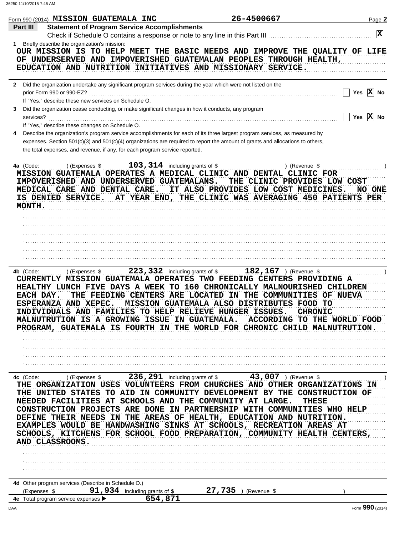|           | Form 990 (2014) MISSION GUATEMALA INC                                                                                                                      |                                          | 26-4500667                                                                                                                                                                                                                                                                                                                                                                                                                                                                                                             | Page 2                                        |
|-----------|------------------------------------------------------------------------------------------------------------------------------------------------------------|------------------------------------------|------------------------------------------------------------------------------------------------------------------------------------------------------------------------------------------------------------------------------------------------------------------------------------------------------------------------------------------------------------------------------------------------------------------------------------------------------------------------------------------------------------------------|-----------------------------------------------|
| Part III  | <b>Statement of Program Service Accomplishments</b>                                                                                                        |                                          |                                                                                                                                                                                                                                                                                                                                                                                                                                                                                                                        | $\overline{\mathbf{x}}$                       |
|           |                                                                                                                                                            |                                          |                                                                                                                                                                                                                                                                                                                                                                                                                                                                                                                        |                                               |
|           | 1 Briefly describe the organization's mission:                                                                                                             |                                          | OUR MISSION IS TO HELP MEET THE BASIC NEEDS AND IMPROVE THE QUALITY OF LIFE<br>OF UNDERSERVED AND IMPOVERISHED GUATEMALAN PEOPLES THROUGH HEALTH,<br>EDUCATION AND NUTRITION INITIATIVES AND MISSIONARY SERVICE.                                                                                                                                                                                                                                                                                                       |                                               |
|           | 2 Did the organization undertake any significant program services during the year which were not listed on the<br>prior Form 990 or 990-EZ?                |                                          |                                                                                                                                                                                                                                                                                                                                                                                                                                                                                                                        | Yes $ X $ No                                  |
| 3         | If "Yes," describe these new services on Schedule O.<br>Did the organization cease conducting, or make significant changes in how it conducts, any program |                                          |                                                                                                                                                                                                                                                                                                                                                                                                                                                                                                                        |                                               |
|           | services?                                                                                                                                                  |                                          |                                                                                                                                                                                                                                                                                                                                                                                                                                                                                                                        | Yes $X$ No                                    |
| 4         | If "Yes," describe these changes on Schedule O.                                                                                                            |                                          | Describe the organization's program service accomplishments for each of its three largest program services, as measured by                                                                                                                                                                                                                                                                                                                                                                                             |                                               |
|           | the total expenses, and revenue, if any, for each program service reported.                                                                                |                                          | expenses. Section 501(c)(3) and 501(c)(4) organizations are required to report the amount of grants and allocations to others,                                                                                                                                                                                                                                                                                                                                                                                         |                                               |
| 4a (Code: | ) (Expenses \$<br>IMPOVERISHED AND UNDERSERVED GUATEMALANS.<br>MEDICAL CARE AND DENTAL CARE.<br>IS DENIED SERVICE.<br>MONTH.                               | $103, 314$ including grants of \$        | ) (Revenue \$<br>MISSION GUATEMALA OPERATES A MEDICAL CLINIC AND DENTAL CLINIC FOR<br>THE CLINIC PROVIDES LOW COST<br>IT ALSO PROVIDES LOW COST MEDICINES.<br>AT YEAR END, THE CLINIC WAS AVERAGING 450 PATIENTS PER                                                                                                                                                                                                                                                                                                   | NO ONE                                        |
|           |                                                                                                                                                            |                                          |                                                                                                                                                                                                                                                                                                                                                                                                                                                                                                                        |                                               |
|           |                                                                                                                                                            |                                          |                                                                                                                                                                                                                                                                                                                                                                                                                                                                                                                        |                                               |
|           |                                                                                                                                                            |                                          |                                                                                                                                                                                                                                                                                                                                                                                                                                                                                                                        |                                               |
|           |                                                                                                                                                            |                                          |                                                                                                                                                                                                                                                                                                                                                                                                                                                                                                                        |                                               |
| 4b (Code: | ) (Expenses \$<br>EACH DAY.<br>ESPERANZA AND XEPEC.<br>MALNUTRUTION IS A GROWING ISSUE IN GUATEMALA.                                                       | 223, 332 including grants of \$          | $182, 167$ ) (Revenue \$<br>CURRENTLY MISSION GUATEMALA OPERATES TWO FEEDING CENTERS PROVIDING A<br>HEALTHY LUNCH FIVE DAYS A WEEK TO 160 CHRONICALLY MALNOURISHED CHILDREN<br>THE FEEDING CENTERS ARE LOCATED IN THE COMMUNITIES OF NUEVA<br>MISSION GUATEMALA ALSO DISTRIBUTES FOOD TO<br>INDIVIDUALS AND FAMILIES TO HELP RELIEVE HUNGER ISSUES.<br>PROGRAM, GUATEMALA IS FOURTH IN THE WORLD FOR CHRONIC CHILD MALNUTRUTION.                                                                                       | <b>CHRONIC</b><br>ACCORDING TO THE WORLD FOOD |
|           |                                                                                                                                                            |                                          |                                                                                                                                                                                                                                                                                                                                                                                                                                                                                                                        |                                               |
|           |                                                                                                                                                            |                                          |                                                                                                                                                                                                                                                                                                                                                                                                                                                                                                                        |                                               |
|           |                                                                                                                                                            |                                          |                                                                                                                                                                                                                                                                                                                                                                                                                                                                                                                        |                                               |
| 4c (Code: | ) (Expenses \$                                                                                                                                             |                                          | 236, 291 including grants of \$ 43, 007 ) (Revenue \$                                                                                                                                                                                                                                                                                                                                                                                                                                                                  |                                               |
|           | AND CLASSROOMS.                                                                                                                                            |                                          | THE ORGANIZATION USES VOLUNTEERS FROM CHURCHES AND OTHER ORGANIZATIONS IN<br>THE UNITED STATES TO AID IN COMMUNITY DEVELOPMENT BY THE CONSTRUCTION OF<br>NEEDED FACILITIES AT SCHOOLS AND THE COMMUNITY AT LARGE.<br>CONSTRUCTION PROJECTS ARE DONE IN PARTNERSHIP WITH COMMUNITIES WHO HELP<br>DEFINE THEIR NEEDS IN THE AREAS OF HEALTH, EDUCATION AND NUTRITION.<br>EXAMPLES WOULD BE HANDWASHING SINKS AT SCHOOLS, RECREATION AREAS AT<br>SCHOOLS, KITCHENS FOR SCHOOL FOOD PREPARATION, COMMUNITY HEALTH CENTERS, | THESE                                         |
|           |                                                                                                                                                            |                                          |                                                                                                                                                                                                                                                                                                                                                                                                                                                                                                                        |                                               |
|           |                                                                                                                                                            |                                          |                                                                                                                                                                                                                                                                                                                                                                                                                                                                                                                        |                                               |
|           | 4d Other program services (Describe in Schedule O.)                                                                                                        |                                          |                                                                                                                                                                                                                                                                                                                                                                                                                                                                                                                        |                                               |
|           | (Expenses \$<br>4e Total program service expenses ▶                                                                                                        | 91,934 including grants of \$<br>654,871 | 27,735<br>(Revenue \$                                                                                                                                                                                                                                                                                                                                                                                                                                                                                                  |                                               |
| DAA       |                                                                                                                                                            |                                          |                                                                                                                                                                                                                                                                                                                                                                                                                                                                                                                        | Form 990 (2014)                               |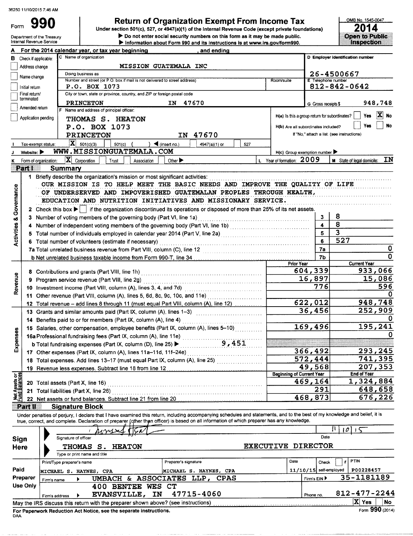Department of the Treasury

Form

Use Only

990

## Return of Organization Exempt From Income Tax

Under section 501(c), 527, or 4947(a)(1) of the internal Revenue Code (except private foundations)

Do not enter social security numbers on this form as it may be made public.



|                                        | internai Revenue Service       | $\blacktriangleright$ Information about Form 990 and its instructions is at www.irs.gov/form990.                                                                                                                                                                                                                         |                                                     |                           | urdu duri                                  |
|----------------------------------------|--------------------------------|--------------------------------------------------------------------------------------------------------------------------------------------------------------------------------------------------------------------------------------------------------------------------------------------------------------------------|-----------------------------------------------------|---------------------------|--------------------------------------------|
|                                        |                                | For the 2014 calendar year, or tax year beginning<br>and ending                                                                                                                                                                                                                                                          |                                                     |                           |                                            |
| в                                      | Check if applicable:           | C Name of organization                                                                                                                                                                                                                                                                                                   |                                                     |                           | D Employer identification number           |
|                                        | Address change                 | <b>MISSION GUATEMALA INC</b>                                                                                                                                                                                                                                                                                             |                                                     |                           |                                            |
|                                        | Name change                    | Doing business as                                                                                                                                                                                                                                                                                                        |                                                     |                           | 26-4500667                                 |
|                                        | Initial return                 | Number and street (or P.O. box if mail is not delivered to street address)<br>P.O. BOX 1073                                                                                                                                                                                                                              | Room/suite                                          | <b>E</b> Telephone number | $812 - 842 - 0642$                         |
|                                        | Final return/                  | City or town, state or province, country, and ZIP or foreign postal code                                                                                                                                                                                                                                                 |                                                     |                           |                                            |
|                                        | terminated                     | <b>PRINCETON</b><br>IN 47670                                                                                                                                                                                                                                                                                             |                                                     |                           | 948,748                                    |
|                                        | Amended return                 | F Name and address of principal officer:                                                                                                                                                                                                                                                                                 |                                                     | G Gross receipts \$       |                                            |
|                                        | Application pending            | THOMAS S. HEATON                                                                                                                                                                                                                                                                                                         | H(a) Is this a group return for subordinates?       |                           | $ \mathbf{X} $<br><b>No</b><br>Yes         |
|                                        |                                | P.O. BOX 1073                                                                                                                                                                                                                                                                                                            | H(b) Are all subordinates included?                 |                           | No<br>Yœ                                   |
|                                        |                                | IN 47670<br><b>PRINCETON</b>                                                                                                                                                                                                                                                                                             |                                                     |                           | If "No," attach a list. (see instructions) |
|                                        | Tax-exempt status:             | $ \mathbf{X} $ 501(c)(3)<br>$\log$ (insert no.)<br>$501(c)$ (<br>527<br>4947(a)(1) or                                                                                                                                                                                                                                    |                                                     |                           |                                            |
|                                        | Website: $\blacktriangleright$ | WWW.MISSIONGUATEMALA.COM                                                                                                                                                                                                                                                                                                 | $H(c)$ Group exemption number $\blacktriangleright$ |                           |                                            |
|                                        |                                | $ \mathbf{X} $ Corporation<br>Form of organization:<br>Trust<br>Association<br>Other $\blacktriangleright$                                                                                                                                                                                                               | L Year of formation: 2009                           |                           | ΙN<br>M State of legal domicile:           |
|                                        | <b>MARA</b>                    | Summary                                                                                                                                                                                                                                                                                                                  |                                                     |                           |                                            |
|                                        |                                | 1 Briefly describe the organization's mission or most significant activities:                                                                                                                                                                                                                                            |                                                     |                           |                                            |
|                                        |                                | OUR MISSION IS TO HELP MEET THE BASIC NEEDS AND IMPROVE THE QUALITY OF LIFE                                                                                                                                                                                                                                              |                                                     |                           |                                            |
|                                        |                                | OF UNDERSERVED AND IMPOVERISHED GUATEMALAN PEOPLES THROUGH HEALTH,                                                                                                                                                                                                                                                       |                                                     |                           |                                            |
|                                        |                                | EDUCATION AND NUTRITION INITIATIVES AND MISSIONARY SERVICE.                                                                                                                                                                                                                                                              |                                                     |                           |                                            |
| Governance                             |                                | 2 Check this box $\blacktriangleright$   if the organization discontinued its operations or disposed of more than 25% of its net assets.                                                                                                                                                                                 |                                                     |                           |                                            |
|                                        |                                |                                                                                                                                                                                                                                                                                                                          |                                                     | 3                         | 8                                          |
| œ                                      |                                | 3 Number of voting members of the governing body (Part VI, line 1a)<br>1. Concerning the context context context context context context of the series of the government context context of the series of the series of the seri                                                                                         |                                                     | 4                         | 8                                          |
|                                        |                                | 4 Number of independent voting members of the governing body (Part VI, line 1b) [11] (11] Number of independent voting                                                                                                                                                                                                   |                                                     | 5                         | 3                                          |
| Activities                             |                                |                                                                                                                                                                                                                                                                                                                          |                                                     | 6                         | 527                                        |
|                                        |                                |                                                                                                                                                                                                                                                                                                                          |                                                     | 7a                        | 0                                          |
|                                        |                                |                                                                                                                                                                                                                                                                                                                          |                                                     | 7Ь                        | 0                                          |
|                                        |                                |                                                                                                                                                                                                                                                                                                                          | <b>Prior Year</b>                                   |                           | <b>Current Year</b>                        |
|                                        |                                |                                                                                                                                                                                                                                                                                                                          |                                                     | 604,339                   | 933,066                                    |
|                                        |                                | 9 Program service revenue (Part VIII, line 2g)                                                                                                                                                                                                                                                                           |                                                     | 16,897                    | 15,086                                     |
| Revenue                                |                                |                                                                                                                                                                                                                                                                                                                          |                                                     | 776                       | 596                                        |
|                                        |                                | 11 Other revenue (Part VIII, column (A), lines 5, 6d, 8c, 9c, 10c, and 11e)                                                                                                                                                                                                                                              |                                                     |                           |                                            |
|                                        |                                | 12 Total revenue - add lines 8 through 11 (must equal Part VIII, column (A), line 12)                                                                                                                                                                                                                                    |                                                     | 622,012                   | 948,748                                    |
|                                        |                                | 13 Grants and similar amounts paid (Part IX, column (A), lines 1-3) [11] [12] Crants and similar amounts and similar and similar and similar and similar and similar and similar and similar and similar and similar and simil                                                                                           |                                                     | 36,456                    | 252,909                                    |
|                                        |                                | 14 Benefits paid to or for members (Part IX, column (A), line 4)                                                                                                                                                                                                                                                         |                                                     |                           |                                            |
|                                        |                                | 15 Salaries, other compensation, employee benefits (Part IX, column (A), lines 5-10)                                                                                                                                                                                                                                     |                                                     | 169,496                   | 195,241                                    |
| penses                                 |                                | 16a Professional fundraising fees (Part IX, column (A), line 11e) [11] [11] 168                                                                                                                                                                                                                                          |                                                     |                           | o                                          |
|                                        |                                | 9,451<br><b>b</b> Total fundraising expenses (Part IX, column (D), line 25) ▶                                                                                                                                                                                                                                            |                                                     |                           |                                            |
| ۵ň                                     |                                |                                                                                                                                                                                                                                                                                                                          |                                                     | 366,492                   | 293, 245                                   |
|                                        |                                | 18 Total expenses. Add lines 13-17 (must equal Part IX, column (A), line 25) [[[[[[[[[[[[[[[[[[[[[[[[[[[[[[[[                                                                                                                                                                                                            |                                                     | 572,444                   | 741,395                                    |
|                                        |                                | 19 Revenue less expenses. Subtract line 18 from line 12 [11] Revenue contains the Revenue of the Revenue of the Revenue of the Revenue of the Revenue of the Revenue of the Revenue of the Revenue of the Revenue of the Reven                                                                                           |                                                     | 49,568                    | 207,353                                    |
|                                        |                                |                                                                                                                                                                                                                                                                                                                          | <b>Beginning of Current Year</b>                    |                           | End of Year                                |
| <b>Net Assets or<br/>Fund Balances</b> |                                | 20 Total assets (Part X, line 16)                                                                                                                                                                                                                                                                                        |                                                     | 469,164                   | 1,324,884                                  |
|                                        |                                | 21 Total liabilities (Part X, line 26)                                                                                                                                                                                                                                                                                   |                                                     | 291                       | 648,658                                    |
|                                        |                                | 22 Net assets or fund balances. Subtract line 21 from line 20                                                                                                                                                                                                                                                            |                                                     | 468,873                   | 676,226                                    |
|                                        | Rartill                        | <b>Signature Block</b>                                                                                                                                                                                                                                                                                                   |                                                     |                           |                                            |
|                                        |                                | Under penalties of perjury, I declare that I have examined this return, including accompanying schedules and statements, and to the best of my knowledge and belief, it is<br>true, correct, and complete. Declaration of preparer (other than officer) is based on all information of which preparer has any knowledge. |                                                     |                           |                                            |
|                                        |                                |                                                                                                                                                                                                                                                                                                                          |                                                     |                           | 101                                        |
|                                        | Sign                           | Signature of officer                                                                                                                                                                                                                                                                                                     |                                                     | Date                      |                                            |
|                                        | Here                           | <b>HEATON</b><br><b>THOMAS</b><br>S.                                                                                                                                                                                                                                                                                     | EXECUTIVE DIRECTOR                                  |                           |                                            |
|                                        |                                | Type or print name and title                                                                                                                                                                                                                                                                                             |                                                     |                           |                                            |
|                                        |                                | Preparer's signature<br>Print/Type preparer's name                                                                                                                                                                                                                                                                       | Date                                                | Check                     | <b>PTIN</b><br>if                          |
| Paid                                   |                                | MICHAEL S. HAYNES, CPA<br><b>MICHAEL S. HAYNES, CPA</b>                                                                                                                                                                                                                                                                  |                                                     | $11/10/15$ self-employed  | P00228457                                  |
|                                        | Preparer                       | UMBACH & ASSOCIATES LLP, CPAS<br>Firm's name                                                                                                                                                                                                                                                                             |                                                     | Firm's EIN ▶              | 35-1181189                                 |

|     | Firm's address | EVANSVILLE, IN 47715-4060                                                         |  | Phone no. | 812-477-2244 |      |                 |  |
|-----|----------------|-----------------------------------------------------------------------------------|--|-----------|--------------|------|-----------------|--|
|     |                | May the IRS discuss this return with the preparer shown above? (see instructions) |  |           |              | 'Yes |                 |  |
|     |                | For Paperwork Reduction Act Notice, see the separate instructions.                |  |           |              |      | Form 990 (2014) |  |
| DAA |                |                                                                                   |  |           |              |      |                 |  |

400 BENTEE

WES CT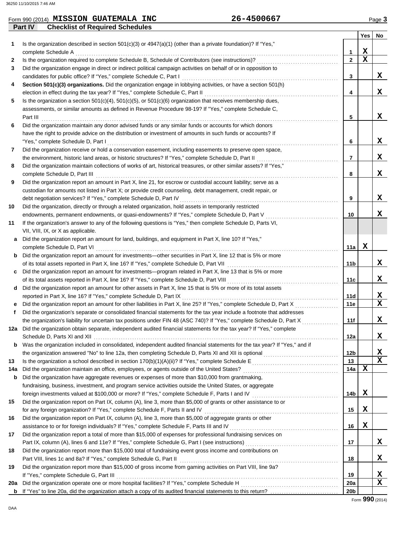|     | Form 990 (2014) MISSION GUATEMALA INC                                                                                                                                                                                                             | 26-4500667      |             | Page 3 |
|-----|---------------------------------------------------------------------------------------------------------------------------------------------------------------------------------------------------------------------------------------------------|-----------------|-------------|--------|
|     | <b>Checklist of Required Schedules</b><br><b>Part IV</b>                                                                                                                                                                                          |                 |             |        |
|     |                                                                                                                                                                                                                                                   |                 | Yes         | No     |
| 1.  | Is the organization described in section $501(c)(3)$ or $4947(a)(1)$ (other than a private foundation)? If "Yes,"                                                                                                                                 |                 |             |        |
|     | complete Schedule A                                                                                                                                                                                                                               | 1               | X           |        |
| 2   | Is the organization required to complete Schedule B, Schedule of Contributors (see instructions)?                                                                                                                                                 | $\overline{2}$  | $\mathbf x$ |        |
| 3   | Did the organization engage in direct or indirect political campaign activities on behalf of or in opposition to                                                                                                                                  |                 |             |        |
|     | candidates for public office? If "Yes," complete Schedule C, Part I                                                                                                                                                                               | 3               |             | X      |
| 4   | Section 501(c)(3) organizations. Did the organization engage in lobbying activities, or have a section 501(h)                                                                                                                                     |                 |             |        |
|     | election in effect during the tax year? If "Yes," complete Schedule C, Part II                                                                                                                                                                    | 4               |             | x      |
| 5   | Is the organization a section $501(c)(4)$ , $501(c)(5)$ , or $501(c)(6)$ organization that receives membership dues,                                                                                                                              |                 |             |        |
|     | assessments, or similar amounts as defined in Revenue Procedure 98-19? If "Yes," complete Schedule C,                                                                                                                                             |                 |             |        |
|     | Part III                                                                                                                                                                                                                                          | 5               |             | X      |
| 6   | Did the organization maintain any donor advised funds or any similar funds or accounts for which donors                                                                                                                                           |                 |             |        |
|     | have the right to provide advice on the distribution or investment of amounts in such funds or accounts? If                                                                                                                                       |                 |             |        |
|     | "Yes," complete Schedule D, Part I                                                                                                                                                                                                                | 6               |             | X      |
| 7   | Did the organization receive or hold a conservation easement, including easements to preserve open space,                                                                                                                                         |                 |             |        |
|     | the environment, historic land areas, or historic structures? If "Yes," complete Schedule D, Part II                                                                                                                                              | 7               |             | X      |
| 8   | Did the organization maintain collections of works of art, historical treasures, or other similar assets? If "Yes,"                                                                                                                               |                 |             |        |
|     | complete Schedule D, Part III                                                                                                                                                                                                                     | 8               |             | X      |
| 9   | Did the organization report an amount in Part X, line 21, for escrow or custodial account liability; serve as a                                                                                                                                   |                 |             |        |
|     | custodian for amounts not listed in Part X; or provide credit counseling, debt management, credit repair, or                                                                                                                                      |                 |             |        |
|     | debt negotiation services? If "Yes," complete Schedule D, Part IV                                                                                                                                                                                 | 9               |             | X      |
| 10  | Did the organization, directly or through a related organization, hold assets in temporarily restricted                                                                                                                                           |                 |             |        |
|     | endowments, permanent endowments, or quasi-endowments? If "Yes," complete Schedule D, Part V                                                                                                                                                      | 10              |             | X      |
| 11  | If the organization's answer to any of the following questions is "Yes," then complete Schedule D, Parts VI,                                                                                                                                      |                 |             |        |
|     | VII, VIII, IX, or X as applicable.                                                                                                                                                                                                                |                 |             |        |
|     | Did the organization report an amount for land, buildings, and equipment in Part X, line 10? If "Yes,"                                                                                                                                            |                 |             |        |
|     | complete Schedule D, Part VI                                                                                                                                                                                                                      | 11a             | x           |        |
| b   | Did the organization report an amount for investments—other securities in Part X, line 12 that is 5% or more                                                                                                                                      |                 |             |        |
|     | of its total assets reported in Part X, line 16? If "Yes," complete Schedule D, Part VII                                                                                                                                                          | 11b             |             | X      |
| c   | Did the organization report an amount for investments—program related in Part X, line 13 that is 5% or more                                                                                                                                       |                 |             | X      |
|     | of its total assets reported in Part X, line 16? If "Yes," complete Schedule D, Part VIII                                                                                                                                                         | 11c             |             |        |
| d   | Did the organization report an amount for other assets in Part X, line 15 that is 5% or more of its total assets                                                                                                                                  |                 |             |        |
|     | reported in Part X, line 16? If "Yes," complete Schedule D, Part IX                                                                                                                                                                               | 11d             |             | х<br>X |
|     | Did the organization report an amount for other liabilities in Part X, line 25? If "Yes," complete Schedule D, Part X                                                                                                                             | 11e             |             |        |
|     | Did the organization's separate or consolidated financial statements for the tax year include a footnote that addresses<br>the organization's liability for uncertain tax positions under FIN 48 (ASC 740)? If "Yes," complete Schedule D, Part X |                 |             | X      |
|     | 12a Did the organization obtain separate, independent audited financial statements for the tax year? If "Yes," complete                                                                                                                           | 11f             |             |        |
|     |                                                                                                                                                                                                                                                   | 12a             |             | x      |
|     | Was the organization included in consolidated, independent audited financial statements for the tax year? If "Yes," and if                                                                                                                        |                 |             |        |
| b   |                                                                                                                                                                                                                                                   | 12 <sub>b</sub> |             | X      |
| 13  |                                                                                                                                                                                                                                                   | 13              |             | X      |
| 14a | Did the organization maintain an office, employees, or agents outside of the United States?                                                                                                                                                       | 14a             | х           |        |
| b   | Did the organization have aggregate revenues or expenses of more than \$10,000 from grantmaking,                                                                                                                                                  |                 |             |        |
|     | fundraising, business, investment, and program service activities outside the United States, or aggregate                                                                                                                                         |                 |             |        |
|     | foreign investments valued at \$100,000 or more? If "Yes," complete Schedule F, Parts I and IV                                                                                                                                                    | 14b             | х           |        |
| 15  | Did the organization report on Part IX, column (A), line 3, more than \$5,000 of grants or other assistance to or                                                                                                                                 |                 |             |        |
|     | for any foreign organization? If "Yes," complete Schedule F, Parts II and IV                                                                                                                                                                      | 15              | X           |        |
| 16  | Did the organization report on Part IX, column (A), line 3, more than \$5,000 of aggregate grants or other                                                                                                                                        |                 |             |        |
|     | assistance to or for foreign individuals? If "Yes," complete Schedule F, Parts III and IV                                                                                                                                                         | 16              | X           |        |
| 17  | Did the organization report a total of more than \$15,000 of expenses for professional fundraising services on                                                                                                                                    |                 |             |        |
|     | Part IX, column (A), lines 6 and 11e? If "Yes," complete Schedule G, Part I (see instructions) [[[[[[[[[[[[[[                                                                                                                                     | 17              |             | x      |
| 18  | Did the organization report more than \$15,000 total of fundraising event gross income and contributions on                                                                                                                                       |                 |             |        |
|     | Part VIII, lines 1c and 8a? If "Yes," complete Schedule G, Part II                                                                                                                                                                                | 18              |             | X      |
| 19  | Did the organization report more than \$15,000 of gross income from gaming activities on Part VIII, line 9a?                                                                                                                                      |                 |             |        |
|     | If "Yes," complete Schedule G, Part III                                                                                                                                                                                                           | 19              |             | X      |
| 20a |                                                                                                                                                                                                                                                   | 20a             |             | X      |
|     |                                                                                                                                                                                                                                                   | 20 <sub>b</sub> |             |        |
|     |                                                                                                                                                                                                                                                   |                 |             |        |

Form **990** (2014)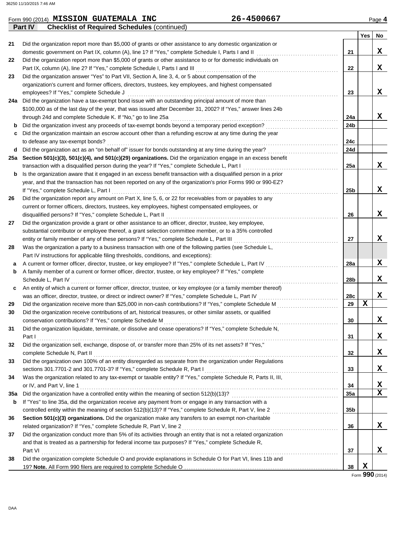#### **Yes No** Form 990 (2014) Page **4 MISSION GUATEMALA INC 26-4500667 Part IV** Checklist of Required Schedules (continued) **28 a** A current or former officer, director, trustee, or key employee? If "Yes," complete Schedule L, Part IV . . . . . . . . . . . . . . . . . . . . . . . . . . . . . . . . **b c** An entity of which a current or former officer, director, trustee, or key employee (or a family member thereof) **29 30 31 32 33 34 35a** Did the organization have a controlled entity within the meaning of section 512(b)(13)? . . . . . . . . . . . . . . . . . . . . . . . . . . . . . . . . . . . . . . . . . . . . . . . **36 37** Was the organization a party to a business transaction with one of the following parties (see Schedule L, A family member of a current or former officer, director, trustee, or key employee? If "Yes," complete Schedule L, Part IV . . . . . . . . . . . . . . . . . . . . . . . . . . . . . . . . . . . . . . . . . . . . . . . . . . . . . . . . . . . . . . . . . . . . . . . . . . . . . . . . . . . . . . . . . . . . . . . . . . . . . . . . . . . . . . . . . . . . . . was an officer, director, trustee, or direct or indirect owner? If "Yes," complete Schedule L, Part IV . . . . . . . . . . . . . . . . . . . . . . . . . . . . . . . . . . . Did the organization receive more than \$25,000 in non-cash contributions? If "Yes," complete Schedule M . . . . . . . . . . . . . . . . . . . . . . . . . . . Did the organization receive contributions of art, historical treasures, or other similar assets, or qualified conservation contributions? If "Yes," complete Schedule M . . . . . . . . . . . . . . . . . . . . . . . . . . . . . . . . . . . . . . . . . . . . . . . . . . . . . . . . . . . . . . . . . . . . . . . . . . . . . Did the organization liquidate, terminate, or dissolve and cease operations? If "Yes," complete Schedule N, Part I . . . . . . . . . . . . . . . . . . . . . . . . . . . . . . . . . . . . . . . . . . . . . . . . . . . . . . . . . . . . . . . . . . . . . . . . . . . . . . . . . . . . . . . . . . . . . . . . . . . . . . . . . . . . . . . . . . . . . . . . . . . . . . . . . . . . . Did the organization sell, exchange, dispose of, or transfer more than 25% of its net assets? If "Yes," complete Schedule N, Part II . . . . . . . . . . . . . . . . . . . . . . . . . . . . . . . . . . . . . . . . . . . . . . . . . . . . . . . . . . . . . . . . . . . . . . . . . . . . . . . . . . . . . . . . . . . . . . . . . . . . . . . . . . . . Did the organization own 100% of an entity disregarded as separate from the organization under Regulations sections 301.7701-2 and 301.7701-3? If "Yes," complete Schedule R, Part I . . . . . . . . . . . . . . . . . . . . . . . . . . . . . . . . . . . . . . . . . . . . . . . . . . . . . . . . . . . Was the organization related to any tax-exempt or taxable entity? If "Yes," complete Schedule R, Parts II, III, or IV, and Part V, line 1 . . . . . . . . . . . . . . . . . . . . . . . . . . . . . . . . . . . . . . . . . . . . . . . . . . . . . . . . . . . . . . . . . . . . . . . . . . . . . . . . . . . . . . . . . . . . . . . . . . . . . . . . . . . . . . . . . . If "Yes" to line 35a, did the organization receive any payment from or engage in any transaction with a **Section 501(c)(3) organizations.** Did the organization make any transfers to an exempt non-charitable related organization? If "Yes," complete Schedule R, Part V, line 2 . . . . . . . . . . . . . . . . . . . . . . . . . . . . . . . . . . . . . . . . . . . . . . . . . . . . . . . . . . . . . . . . . . . . . Did the organization conduct more than 5% of its activities through an entity that is not a related organization and that is treated as a partnership for federal income tax purposes? If "Yes," complete Schedule R, **37 36 35a 34 33 32 31 30 29 28a 28b 28c** Part VI . . . . . . . . . . . . . . . . . . . . . . . . . . . . . . . . . . . . . . . . . . . . . . . . . . . . . . . . . . . . . . . . . . . . . . . . . . . . . . . . . . . . . . . . . . . . . . . . . . . . . . . . . . . . . . . . . . . . . . . . . . . . . . . . . . . **21 22 23 24a 24b 24c 24d 25a 25b 26 27** substantial contributor or employee thereof, a grant selection committee member, or to a 35% controlled Did the organization provide a grant or other assistance to an officer, director, trustee, key employee, current or former officers, directors, trustees, key employees, highest compensated employees, or Did the organization report any amount on Part X, line 5, 6, or 22 for receivables from or payables to any year, and that the transaction has not been reported on any of the organization's prior Forms 990 or 990-EZ? **b** Is the organization aware that it engaged in an excess benefit transaction with a disqualified person in a prior transaction with a disqualified person during the year? If "Yes," complete Schedule L, Part I . . . . . . . . . . . . . . . . . . . . . . . . . . . . . . . . . . . . . . . . . . **Section 501(c)(3), 501(c)(4), and 501(c)(29) organizations.** Did the organization engage in an excess benefit **25a** Did the organization act as an "on behalf of" issuer for bonds outstanding at any time during the year? . . . . . . . . . . . . . . . . . . . . . . . . . . . . . . . **d** to defease any tax-exempt bonds? . . . . . . . . . . . . . . . . . . . . . . . . . . . . . . . . . . . . . . . . . . . . . . . . . . . . . . . . . . . . . . . . . . . . . . . . . . . . . . . . . . . . . . . . . . . . . . . . . . . . . . Did the organization maintain an escrow account other than a refunding escrow at any time during the year **c** Did the organization invest any proceeds of tax-exempt bonds beyond a temporary period exception? . . . . . . . . . . . . . . . . . . . . . . . . . . . . . . . . **b** through 24d and complete Schedule K. If "No," go to line 25a . . . . . . . . . . . . . . . . . . . . . . . . . . . . . . . . . . . . . . . . . . . . . . . . . . . . . . . . . . . . . . . . . . . . . . . . . . \$100,000 as of the last day of the year, that was issued after December 31, 2002? If "Yes," answer lines 24b Did the organization have a tax-exempt bond issue with an outstanding principal amount of more than **24a** organization's current and former officers, directors, trustees, key employees, and highest compensated Did the organization answer "Yes" to Part VII, Section A, line 3, 4, or 5 about compensation of the Did the organization report more than \$5,000 of grants or other assistance to or for domestic individuals on Did the organization report more than \$5,000 of grants or other assistance to any domestic organization or **27 26 23 22 21** domestic government on Part IX, column (A), line 1? If "Yes," complete Schedule I, Parts I and II . . . . . . . . . . . . . . . . . . . . . . . . . . . . . . . . . . . . Part IX, column (A), line 2? If "Yes," complete Schedule I, Parts I and III . . . . . . . . . . . . . . . . . . . . . . . . . . . . . . . . . . . . . . . . . . . . . . . . . . . . . . . . . . . . . . . employees? If "Yes," complete Schedule J . . . . . . . . . . . . . . . . . . . . . . . . . . . . . . . . . . . . . . . . . . . . . . . . . . . . . . . . . . . . . . . . . . . . . . . . . . . . . . . . . . . . . . . . . . . . . If "Yes," complete Schedule L, Part I . . . . . . . . . . . . . . . . . . . . . . . . . . . . . . . . . . . . . . . . . . . . . . . . . . . . . . . . . . . . . . . . . . . . . . . . . . . . . . . . . . . . . . . . . . . . . . . . . . . . entity or family member of any of these persons? If "Yes," complete Schedule L, Part III . . . . . . . . . . . . . . . . . . . . . . . . . . . . . . . . . . . . . . . . . . . . . . Part IV instructions for applicable filing thresholds, conditions, and exceptions): **38** Did the organization complete Schedule O and provide explanations in Schedule O for Part VI, lines 11b and **b** controlled entity within the meaning of section 512(b)(13)? If "Yes," complete Schedule R, Part V, line 2 . . . . . . . . . . . . . . . . . . . . . . . . . . . . . **35b** disqualified persons? If "Yes," complete Schedule L, Part II . . . . . . . . . . . . . . . . . . . . . . . . . . . . . . . . . . . . . . . . . . . . . . . . . . . . . . . . . . . . . . . . . . . . . . . . . . . . **X X X X X X X X X X X X X X X X X X X X**

19? **Note.** All Form 990 filers are required to complete Schedule O . . . . . . . . . . . . . . . . . . . . . . . . . . . . . . . . . . . . . . . . . . . . . . . . . . . . . . . . . . . . . . . . . . . . **38**

Form **990** (2014) **X**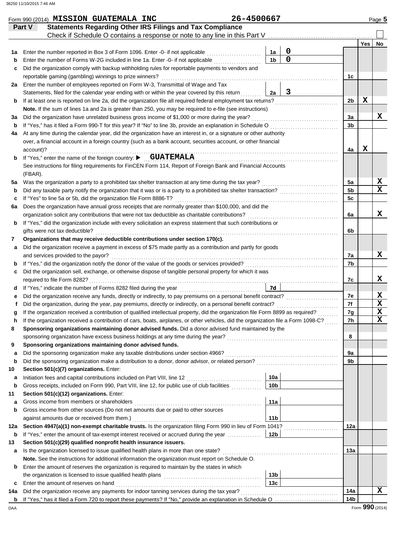|     | Form 990 (2014) MISSION GUATEMALA INC                                                                                              | 26-4500667 |                        |             |                |     | Page 5                  |
|-----|------------------------------------------------------------------------------------------------------------------------------------|------------|------------------------|-------------|----------------|-----|-------------------------|
|     | <b>Statements Regarding Other IRS Filings and Tax Compliance</b><br>Part V                                                         |            |                        |             |                |     |                         |
|     |                                                                                                                                    |            |                        |             |                |     |                         |
|     |                                                                                                                                    |            |                        |             |                | Yes | No                      |
| 1a  | Enter the number reported in Box 3 of Form 1096. Enter -0- if not applicable                                                       |            | 1a                     | $\mathbf 0$ |                |     |                         |
| b   | Enter the number of Forms W-2G included in line 1a. Enter -0- if not applicable                                                    |            | 1 <sub>b</sub>         | $\mathbf 0$ |                |     |                         |
| c   | Did the organization comply with backup withholding rules for reportable payments to vendors and                                   |            |                        |             |                |     |                         |
|     | reportable gaming (gambling) winnings to prize winners?                                                                            |            |                        |             | 1c             |     |                         |
| 2a  | Enter the number of employees reported on Form W-3, Transmittal of Wage and Tax                                                    |            |                        |             |                |     |                         |
|     | Statements, filed for the calendar year ending with or within the year covered by this return                                      |            | 2a                     | 3           |                |     |                         |
| b   | If at least one is reported on line 2a, did the organization file all required federal employment tax returns?                     |            |                        |             | 2b             | х   |                         |
|     | Note. If the sum of lines 1a and 2a is greater than 250, you may be required to e-file (see instructions)                          |            |                        |             |                |     |                         |
| За  | Did the organization have unrelated business gross income of \$1,000 or more during the year?                                      |            |                        |             | 3a             |     | x                       |
| b   | If "Yes," has it filed a Form 990-T for this year? If "No" to line 3b, provide an explanation in Schedule O                        |            |                        |             | 3 <sub>b</sub> |     |                         |
| 4a  | At any time during the calendar year, did the organization have an interest in, or a signature or other authority                  |            |                        |             |                |     |                         |
|     | over, a financial account in a foreign country (such as a bank account, securities account, or other financial                     |            |                        |             |                |     |                         |
|     | account)?                                                                                                                          |            |                        |             | 4a             | X   |                         |
| b   | If "Yes," enter the name of the foreign country: CUATEMALA                                                                         |            |                        |             |                |     |                         |
|     | See instructions for filing requirements for FinCEN Form 114, Report of Foreign Bank and Financial Accounts                        |            |                        |             |                |     |                         |
|     | (FBAR).                                                                                                                            |            |                        |             |                |     |                         |
| 5a  |                                                                                                                                    |            |                        |             | 5a             |     | X                       |
| b   |                                                                                                                                    |            |                        |             | 5 <sub>b</sub> |     | $\overline{\mathbf{x}}$ |
| c   | If "Yes" to line 5a or 5b, did the organization file Form 8886-T?                                                                  |            |                        |             | 5 <sub>c</sub> |     |                         |
| 6a  | Does the organization have annual gross receipts that are normally greater than \$100,000, and did the                             |            |                        |             |                |     |                         |
|     | organization solicit any contributions that were not tax deductible as charitable contributions?                                   |            |                        |             | 6а             |     | X                       |
| b   | If "Yes," did the organization include with every solicitation an express statement that such contributions or                     |            |                        |             |                |     |                         |
|     | gifts were not tax deductible?                                                                                                     |            |                        |             | 6b             |     |                         |
| 7   | Organizations that may receive deductible contributions under section 170(c).                                                      |            |                        |             |                |     |                         |
| а   | Did the organization receive a payment in excess of \$75 made partly as a contribution and partly for goods                        |            |                        |             |                |     |                         |
|     | and services provided to the payor?                                                                                                |            |                        |             | 7a             |     | x                       |
| b   |                                                                                                                                    |            |                        |             | 7b             |     |                         |
| c   | Did the organization sell, exchange, or otherwise dispose of tangible personal property for which it was                           |            |                        |             |                |     |                         |
|     | required to file Form 8282?                                                                                                        |            |                        |             | 7c             |     | x                       |
| d   |                                                                                                                                    |            | 7d                     |             |                |     |                         |
|     | Did the organization receive any funds, directly or indirectly, to pay premiums on a personal benefit contract?                    |            |                        |             | 7е             |     | X                       |
|     | Did the organization, during the year, pay premiums, directly or indirectly, on a personal benefit contract?                       |            |                        |             | 7f             |     | $\overline{\mathbf{x}}$ |
| g   | If the organization received a contribution of qualified intellectual property, did the organization file Form 8899 as required?   |            |                        |             | 7g             |     | $\overline{\mathbf{x}}$ |
| n   | If the organization received a contribution of cars, boats, airplanes, or other vehicles, did the organization file a Form 1098-C? |            |                        |             | 7h             |     | $\overline{\mathbf{x}}$ |
| 8   | Sponsoring organizations maintaining donor advised funds. Did a donor advised fund maintained by the                               |            |                        |             |                |     |                         |
|     |                                                                                                                                    |            |                        |             | 8              |     |                         |
| 9   | Sponsoring organizations maintaining donor advised funds.                                                                          |            |                        |             |                |     |                         |
| а   | Did the sponsoring organization make any taxable distributions under section 4966?                                                 |            |                        |             | 9а             |     |                         |
| b   |                                                                                                                                    |            |                        |             | 9 <sub>b</sub> |     |                         |
| 10  | Section 501(c)(7) organizations. Enter:                                                                                            |            |                        |             |                |     |                         |
| а   | Initiation fees and capital contributions included on Part VIII, line 12 [11][11][11][11][11][11][11][11][11][                     |            | 10a                    |             |                |     |                         |
| b   | Gross receipts, included on Form 990, Part VIII, line 12, for public use of club facilities                                        |            | 10 <sub>b</sub>        |             |                |     |                         |
| 11  | Section 501(c)(12) organizations. Enter:                                                                                           |            |                        |             |                |     |                         |
| а   |                                                                                                                                    |            | 11a                    |             |                |     |                         |
| b   | Gross income from other sources (Do not net amounts due or paid to other sources                                                   |            |                        |             |                |     |                         |
|     | against amounts due or received from them.)                                                                                        |            | 11 <sub>b</sub>        |             |                |     |                         |
| 12a | Section 4947(a)(1) non-exempt charitable trusts. Is the organization filing Form 990 in lieu of Form 1041?                         |            |                        |             | 12a            |     |                         |
| b   | If "Yes," enter the amount of tax-exempt interest received or accrued during the year                                              |            | 12b                    |             |                |     |                         |
| 13  | Section 501(c)(29) qualified nonprofit health insurance issuers.                                                                   |            |                        |             |                |     |                         |
| а   | Is the organization licensed to issue qualified health plans in more than one state?                                               |            |                        |             | 13а            |     |                         |
|     | Note. See the instructions for additional information the organization must report on Schedule O.                                  |            |                        |             |                |     |                         |
| b   | Enter the amount of reserves the organization is required to maintain by the states in which                                       |            |                        |             |                |     |                         |
|     |                                                                                                                                    |            | 13 <sub>b</sub><br>13c |             |                |     |                         |
| c   | Enter the amount of reserves on hand                                                                                               |            |                        |             | 14a            |     | X                       |
| 14a |                                                                                                                                    |            |                        |             | 14b            |     |                         |
|     |                                                                                                                                    |            |                        |             |                |     |                         |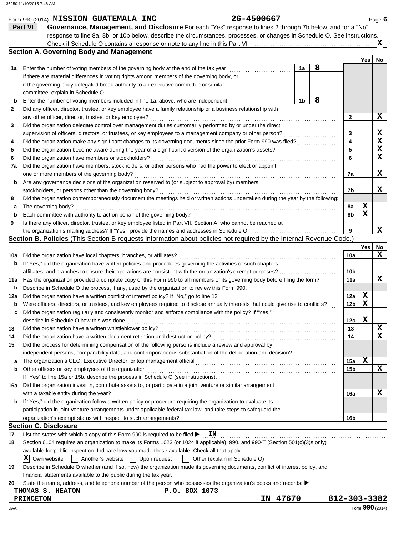|     | Form 990 (2014) MISSION GUATEMALA INC                                                                                               | 26-4500667  |    |   |                         |             | Page 6          |
|-----|-------------------------------------------------------------------------------------------------------------------------------------|-------------|----|---|-------------------------|-------------|-----------------|
|     | Governance, Management, and Disclosure For each "Yes" response to lines 2 through 7b below, and for a "No"<br><b>Part VI</b>        |             |    |   |                         |             |                 |
|     | response to line 8a, 8b, or 10b below, describe the circumstances, processes, or changes in Schedule O. See instructions.           |             |    |   |                         |             |                 |
|     |                                                                                                                                     |             |    |   |                         |             | ΙXΙ             |
|     | <b>Section A. Governing Body and Management</b>                                                                                     |             |    |   |                         |             |                 |
|     |                                                                                                                                     |             |    |   |                         | Yes         | No              |
| 1a  | Enter the number of voting members of the governing body at the end of the tax year                                                 |             | 1a | 8 |                         |             |                 |
|     | If there are material differences in voting rights among members of the governing body, or                                          |             |    |   |                         |             |                 |
|     | if the governing body delegated broad authority to an executive committee or similar                                                |             |    |   |                         |             |                 |
|     | committee, explain in Schedule O.                                                                                                   |             |    |   |                         |             |                 |
| b   | Enter the number of voting members included in line 1a, above, who are independent                                                  |             | 1b | 8 |                         |             |                 |
| 2   | Did any officer, director, trustee, or key employee have a family relationship or a business relationship with                      |             |    |   |                         |             |                 |
|     | any other officer, director, trustee, or key employee?                                                                              |             |    |   | $\mathbf{2}$            |             | х               |
| 3   | Did the organization delegate control over management duties customarily performed by or under the direct                           |             |    |   |                         |             |                 |
|     | supervision of officers, directors, or trustees, or key employees to a management company or other person?                          |             |    |   | 3                       |             | x               |
| 4   | Did the organization make any significant changes to its governing documents since the prior Form 990 was filed?                    |             |    |   | $\overline{\mathbf{4}}$ |             | X               |
| 5   | Did the organization become aware during the year of a significant diversion of the organization's assets?                          |             |    |   | 5                       |             | X               |
| 6   | Did the organization have members or stockholders?                                                                                  |             |    |   | 6                       |             | X               |
| 7a  | Did the organization have members, stockholders, or other persons who had the power to elect or appoint                             |             |    |   |                         |             |                 |
|     | one or more members of the governing body?                                                                                          |             |    |   | 7a                      |             | x               |
| b   | Are any governance decisions of the organization reserved to (or subject to approval by) members,                                   |             |    |   |                         |             |                 |
|     | stockholders, or persons other than the governing body?                                                                             |             |    |   | 7b                      |             | x               |
| 8   | Did the organization contemporaneously document the meetings held or written actions undertaken during the year by the following:   |             |    |   |                         |             |                 |
| а   | The governing body?                                                                                                                 |             |    |   | 8a                      | X           |                 |
| b   | Each committee with authority to act on behalf of the governing body?                                                               |             |    |   | 8b                      | $\mathbf x$ |                 |
| 9   | Is there any officer, director, trustee, or key employee listed in Part VII, Section A, who cannot be reached at                    |             |    |   |                         |             |                 |
|     |                                                                                                                                     |             |    |   | 9                       |             | x               |
|     | Section B. Policies (This Section B requests information about policies not required by the Internal Revenue Code.)                 |             |    |   |                         |             |                 |
|     |                                                                                                                                     |             |    |   |                         | Yes         | No              |
| 10a | Did the organization have local chapters, branches, or affiliates?                                                                  |             |    |   | 10a                     |             | x               |
| b   | If "Yes," did the organization have written policies and procedures governing the activities of such chapters,                      |             |    |   |                         |             |                 |
|     | affiliates, and branches to ensure their operations are consistent with the organization's exempt purposes?                         |             |    |   | 10b                     |             |                 |
| 11a | Has the organization provided a complete copy of this Form 990 to all members of its governing body before filing the form?         |             |    |   | 11a                     |             | x               |
| b   | Describe in Schedule O the process, if any, used by the organization to review this Form 990.                                       |             |    |   |                         |             |                 |
| 12a | Did the organization have a written conflict of interest policy? If "No," go to line 13                                             |             |    |   | 12a                     | X           |                 |
|     | Were officers, directors, or trustees, and key employees required to disclose annually interests that could give rise to conflicts? |             |    |   | 12 <sub>b</sub>         | X           |                 |
|     | Did the organization regularly and consistently monitor and enforce compliance with the policy? If "Yes,"                           |             |    |   |                         |             |                 |
|     | describe in Schedule O how this was done                                                                                            |             |    |   | 12c                     | $\mathbf x$ |                 |
| 13  | Did the organization have a written whistleblower policy?                                                                           |             |    |   | 13                      |             | х               |
| 14  | Did the organization have a written document retention and destruction policy?                                                      |             |    |   | 14                      |             | х               |
| 15  | Did the process for determining compensation of the following persons include a review and approval by                              |             |    |   |                         |             |                 |
|     | independent persons, comparability data, and contemporaneous substantiation of the deliberation and decision?                       |             |    |   |                         |             |                 |
| а   | The organization's CEO, Executive Director, or top management official                                                              |             |    |   | 15a                     | х           |                 |
| b   | Other officers or key employees of the organization                                                                                 |             |    |   | 15 <sub>b</sub>         |             | x               |
|     | If "Yes" to line 15a or 15b, describe the process in Schedule O (see instructions).                                                 |             |    |   |                         |             |                 |
| 16a | Did the organization invest in, contribute assets to, or participate in a joint venture or similar arrangement                      |             |    |   |                         |             |                 |
|     | with a taxable entity during the year?                                                                                              |             |    |   | 16a                     |             | x               |
| b   | If "Yes," did the organization follow a written policy or procedure requiring the organization to evaluate its                      |             |    |   |                         |             |                 |
|     | participation in joint venture arrangements under applicable federal tax law, and take steps to safeguard the                       |             |    |   |                         |             |                 |
|     |                                                                                                                                     |             |    |   | 16b                     |             |                 |
|     | <b>Section C. Disclosure</b>                                                                                                        |             |    |   |                         |             |                 |
| 17  | List the states with which a copy of this Form 990 is required to be filed ▶<br>ΙN                                                  |             |    |   |                         |             |                 |
| 18  | Section 6104 requires an organization to make its Forms 1023 (or 1024 if applicable), 990, and 990-T (Section 501(c)(3)s only)      |             |    |   |                         |             |                 |
|     | available for public inspection. Indicate how you made these available. Check all that apply.                                       |             |    |   |                         |             |                 |
|     | $ \mathbf{X} $<br>Own website<br>Another's website<br>Upon request<br>Other (explain in Schedule O)                                 |             |    |   |                         |             |                 |
| 19  | Describe in Schedule O whether (and if so, how) the organization made its governing documents, conflict of interest policy, and     |             |    |   |                         |             |                 |
|     | financial statements available to the public during the tax year.                                                                   |             |    |   |                         |             |                 |
| 20  | State the name, address, and telephone number of the person who possesses the organization's books and records: ▶                   |             |    |   |                         |             |                 |
|     | P.O. BOX 1073<br>THOMAS S. HEATON                                                                                                   |             |    |   |                         |             |                 |
|     | <b>PRINCETON</b>                                                                                                                    | 47670<br>IN |    |   | 812-303-3382            |             |                 |
| DAA |                                                                                                                                     |             |    |   |                         |             | Form 990 (2014) |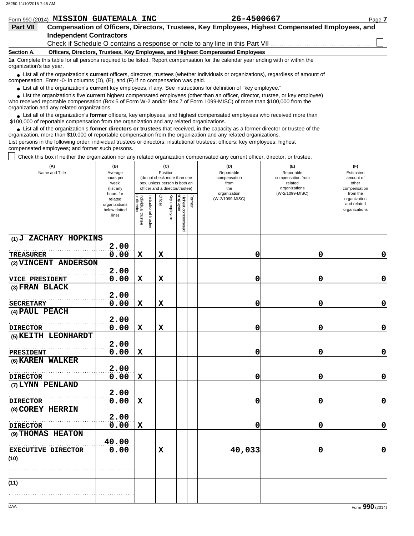|                                                                                                                                                               | Form 990 (2014) MISSION GUATEMALA INC                                           | 26-4500667                                                                                       | Page 7 |  |  |  |  |  |  |  |
|---------------------------------------------------------------------------------------------------------------------------------------------------------------|---------------------------------------------------------------------------------|--------------------------------------------------------------------------------------------------|--------|--|--|--|--|--|--|--|
| <b>Part VII</b>                                                                                                                                               |                                                                                 | Compensation of Officers, Directors, Trustees, Key Employees, Highest Compensated Employees, and |        |  |  |  |  |  |  |  |
|                                                                                                                                                               | <b>Independent Contractors</b>                                                  |                                                                                                  |        |  |  |  |  |  |  |  |
|                                                                                                                                                               |                                                                                 |                                                                                                  |        |  |  |  |  |  |  |  |
| <b>Section A.</b>                                                                                                                                             | Officers, Directors, Trustees, Key Employees, and Highest Compensated Employees |                                                                                                  |        |  |  |  |  |  |  |  |
| 1a Complete this table for all persons required to be listed. Report compensation for the calendar year ending with or within the<br>organization's tax year. |                                                                                 |                                                                                                  |        |  |  |  |  |  |  |  |

■ List all of the organization's **current** officers, directors, trustees (whether individuals or organizations), regardless of amount of compensation. Enter -0- in columns (D), (E), and (F) if no compensation was paid.

● List all of the organization's **current** key employees, if any. See instructions for definition of "key employee."

who received reportable compensation (Box 5 of Form W-2 and/or Box 7 of Form 1099-MISC) of more than \$100,000 from the organization and any related organizations. ■ List the organization's five **current** highest compensated employees (other than an officer, director, trustee, or key employee)<br> **•** Presented reportable compensation (Pox 5 of Ferm W 2 and/or Box 7 of Ferm 1000 MISC)

List all of the organization's **former** officers, key employees, and highest compensated employees who received more than • List all of the organization's **former** officers, key employees, and highest compensate \$100,000 of reportable compensation from the organization and any related organizations.

■ List all of the organization's **former directors or trustees** that received, in the capacity as a former director or trustee of the precision more than \$10,000 of reportable componention from the organization and any re organization, more than \$10,000 of reportable compensation from the organization and any related organizations.

List persons in the following order: individual trustees or directors; institutional trustees; officers; key employees; highest compensated employees; and former such persons.

Check this box if neither the organization nor any related organization compensated any current officer, director, or trustee.

| (W-2/1099-MISC)<br>organization<br>from the<br>hours for<br>Former<br>Individual trustee<br>or director<br>Officer<br>Key employee<br>Highest compensated<br>employee<br>nstitutional trustee<br>(W-2/1099-MISC)<br>organization<br>related<br>and related<br>organizations<br>below dotted<br>organizations<br>line)<br>(1) J ZACHARY HOPKINS<br>2.00<br>0.00<br>$\mathbf x$<br>$\mathbf x$<br>0<br>0<br><b>TREASURER</b> |             |
|----------------------------------------------------------------------------------------------------------------------------------------------------------------------------------------------------------------------------------------------------------------------------------------------------------------------------------------------------------------------------------------------------------------------------|-------------|
|                                                                                                                                                                                                                                                                                                                                                                                                                            |             |
|                                                                                                                                                                                                                                                                                                                                                                                                                            |             |
|                                                                                                                                                                                                                                                                                                                                                                                                                            |             |
|                                                                                                                                                                                                                                                                                                                                                                                                                            | 0           |
| (2) VINCENT ANDERSON<br>2.00                                                                                                                                                                                                                                                                                                                                                                                               |             |
| 0.00<br>$\mathbf x$<br>$\mathbf x$<br>0<br>0<br>VICE PRESIDENT                                                                                                                                                                                                                                                                                                                                                             | $\mathbf 0$ |
| (3) FRAN BLACK                                                                                                                                                                                                                                                                                                                                                                                                             |             |
| 2.00                                                                                                                                                                                                                                                                                                                                                                                                                       |             |
| 0.00<br>$\mathbf x$<br>$\mathbf x$<br>0<br>0<br><b>SECRETARY</b>                                                                                                                                                                                                                                                                                                                                                           | $\mathbf 0$ |
| (4) PAUL PEACH                                                                                                                                                                                                                                                                                                                                                                                                             |             |
| 2.00                                                                                                                                                                                                                                                                                                                                                                                                                       |             |
| 0.00<br>$\mathbf x$<br>0<br>$\mathbf x$<br>0<br><b>DIRECTOR</b>                                                                                                                                                                                                                                                                                                                                                            | $\pmb{0}$   |
| (5) KEITH LEONHARDT                                                                                                                                                                                                                                                                                                                                                                                                        |             |
| 2.00<br>0.00<br>0<br>$\mathbf x$<br>0                                                                                                                                                                                                                                                                                                                                                                                      | $\pmb{0}$   |
| PRESIDENT<br>(6) KAREN WALKER                                                                                                                                                                                                                                                                                                                                                                                              |             |
| 2.00                                                                                                                                                                                                                                                                                                                                                                                                                       |             |
| 0.00<br>$\mathbf x$<br>0<br>0<br><b>DIRECTOR</b>                                                                                                                                                                                                                                                                                                                                                                           | $\mathbf 0$ |
| (7) LYNN PENLAND                                                                                                                                                                                                                                                                                                                                                                                                           |             |
| 2.00                                                                                                                                                                                                                                                                                                                                                                                                                       |             |
| 0.00<br>$\mathbf x$<br>0<br>0<br><b>DIRECTOR</b>                                                                                                                                                                                                                                                                                                                                                                           | $\mathbf 0$ |
| (8) COREY HERRIN                                                                                                                                                                                                                                                                                                                                                                                                           |             |
| 2.00                                                                                                                                                                                                                                                                                                                                                                                                                       |             |
| 0.00<br>$\mathbf x$<br>0<br>0<br><b>DIRECTOR</b>                                                                                                                                                                                                                                                                                                                                                                           | $\mathbf 0$ |
| (9) THOMAS HEATON<br>40.00                                                                                                                                                                                                                                                                                                                                                                                                 |             |
| 0.00<br>40,033<br>$\mathbf x$<br>0<br><b>EXECUTIVE DIRECTOR</b>                                                                                                                                                                                                                                                                                                                                                            | $\mathbf 0$ |
| (10)                                                                                                                                                                                                                                                                                                                                                                                                                       |             |
|                                                                                                                                                                                                                                                                                                                                                                                                                            |             |
|                                                                                                                                                                                                                                                                                                                                                                                                                            |             |
| (11)                                                                                                                                                                                                                                                                                                                                                                                                                       |             |
|                                                                                                                                                                                                                                                                                                                                                                                                                            |             |
| DAA<br>Form 990 (2014)                                                                                                                                                                                                                                                                                                                                                                                                     |             |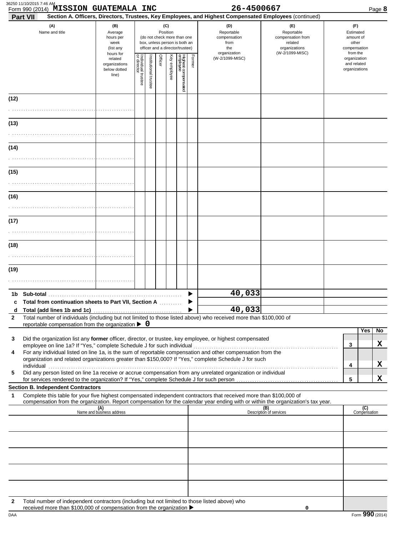|                       | Form 990 (2014) MISSION GUATEMALA INC<br>Part VII                                                                                                                                                                                                                                                                                                                                                                                                     |                                                               |                                   |                                                                                                                    |         |              |                                 |        | 26-4500667<br>Section A. Officers, Directors, Trustees, Key Employees, and Highest Compensated Employees (continued) |                                                                                       | Page 8                                                             |
|-----------------------|-------------------------------------------------------------------------------------------------------------------------------------------------------------------------------------------------------------------------------------------------------------------------------------------------------------------------------------------------------------------------------------------------------------------------------------------------------|---------------------------------------------------------------|-----------------------------------|--------------------------------------------------------------------------------------------------------------------|---------|--------------|---------------------------------|--------|----------------------------------------------------------------------------------------------------------------------|---------------------------------------------------------------------------------------|--------------------------------------------------------------------|
| (A)<br>Name and title |                                                                                                                                                                                                                                                                                                                                                                                                                                                       | (B)<br>Average<br>hours per<br>week<br>(list any<br>hours for |                                   | (C)<br>Position<br>(do not check more than one<br>box, unless person is both an<br>officer and a director/trustee) |         |              |                                 |        | (D)<br>Reportable<br>compensation<br>from<br>the<br>organization                                                     | (E)<br>Reportable<br>compensation from<br>related<br>organizations<br>(W-2/1099-MISC) | (F)<br>Estimated<br>amount of<br>other<br>compensation<br>from the |
|                       |                                                                                                                                                                                                                                                                                                                                                                                                                                                       | related<br>organizations<br>below dotted<br>line)             | Individual trustee<br>or director | nstitutional trustee                                                                                               | Officer | Key employee | Highest compensated<br>employee | Former | (W-2/1099-MISC)                                                                                                      |                                                                                       | organization<br>and related<br>organizations                       |
| (12)                  |                                                                                                                                                                                                                                                                                                                                                                                                                                                       |                                                               |                                   |                                                                                                                    |         |              |                                 |        |                                                                                                                      |                                                                                       |                                                                    |
| (13)                  |                                                                                                                                                                                                                                                                                                                                                                                                                                                       |                                                               |                                   |                                                                                                                    |         |              |                                 |        |                                                                                                                      |                                                                                       |                                                                    |
| (14)                  |                                                                                                                                                                                                                                                                                                                                                                                                                                                       |                                                               |                                   |                                                                                                                    |         |              |                                 |        |                                                                                                                      |                                                                                       |                                                                    |
| (15)                  |                                                                                                                                                                                                                                                                                                                                                                                                                                                       |                                                               |                                   |                                                                                                                    |         |              |                                 |        |                                                                                                                      |                                                                                       |                                                                    |
| (16)                  |                                                                                                                                                                                                                                                                                                                                                                                                                                                       |                                                               |                                   |                                                                                                                    |         |              |                                 |        |                                                                                                                      |                                                                                       |                                                                    |
| (17)                  |                                                                                                                                                                                                                                                                                                                                                                                                                                                       |                                                               |                                   |                                                                                                                    |         |              |                                 |        |                                                                                                                      |                                                                                       |                                                                    |
| (18)                  |                                                                                                                                                                                                                                                                                                                                                                                                                                                       |                                                               |                                   |                                                                                                                    |         |              |                                 |        |                                                                                                                      |                                                                                       |                                                                    |
| (19)                  |                                                                                                                                                                                                                                                                                                                                                                                                                                                       |                                                               |                                   |                                                                                                                    |         |              |                                 |        |                                                                                                                      |                                                                                       |                                                                    |
|                       |                                                                                                                                                                                                                                                                                                                                                                                                                                                       |                                                               |                                   |                                                                                                                    |         |              |                                 |        |                                                                                                                      |                                                                                       |                                                                    |
| c                     | Total from continuation sheets to Part VII, Section A                                                                                                                                                                                                                                                                                                                                                                                                 |                                                               |                                   |                                                                                                                    |         |              |                                 |        | 40,033                                                                                                               |                                                                                       |                                                                    |
| d.                    |                                                                                                                                                                                                                                                                                                                                                                                                                                                       |                                                               |                                   |                                                                                                                    |         |              |                                 |        | 40,033                                                                                                               |                                                                                       |                                                                    |
| $\mathbf{2}$          | Total number of individuals (including but not limited to those listed above) who received more than \$100,000 of<br>reportable compensation from the organization $\triangleright$ 0                                                                                                                                                                                                                                                                 |                                                               |                                   |                                                                                                                    |         |              |                                 |        |                                                                                                                      |                                                                                       |                                                                    |
| 3                     | Did the organization list any former officer, director, or trustee, key employee, or highest compensated                                                                                                                                                                                                                                                                                                                                              |                                                               |                                   |                                                                                                                    |         |              |                                 |        |                                                                                                                      |                                                                                       | Yes<br>No.<br>X<br>3                                               |
| 4                     | For any individual listed on line 1a, is the sum of reportable compensation and other compensation from the<br>organization and related organizations greater than \$150,000? If "Yes," complete Schedule J for such<br>individual communications and contact the contact of the contact of the contact of the contact of the contact of the contact of the contact of the contact of the contact of the contact of the contact of the contact of the |                                                               |                                   |                                                                                                                    |         |              |                                 |        |                                                                                                                      |                                                                                       | x<br>4                                                             |
| 5                     | Did any person listed on line 1a receive or accrue compensation from any unrelated organization or individual                                                                                                                                                                                                                                                                                                                                         |                                                               |                                   |                                                                                                                    |         |              |                                 |        |                                                                                                                      |                                                                                       | X<br>5                                                             |
|                       | <b>Section B. Independent Contractors</b>                                                                                                                                                                                                                                                                                                                                                                                                             |                                                               |                                   |                                                                                                                    |         |              |                                 |        |                                                                                                                      |                                                                                       |                                                                    |
| 1                     | Complete this table for your five highest compensated independent contractors that received more than \$100,000 of<br>compensation from the organization. Report compensation for the calendar year ending with or within the organization's tax year.                                                                                                                                                                                                |                                                               |                                   |                                                                                                                    |         |              |                                 |        |                                                                                                                      |                                                                                       |                                                                    |
|                       |                                                                                                                                                                                                                                                                                                                                                                                                                                                       | (A)<br>Name and business address                              |                                   |                                                                                                                    |         |              |                                 |        |                                                                                                                      | (B)<br>Description of services                                                        | (C)<br>Compensation                                                |
|                       |                                                                                                                                                                                                                                                                                                                                                                                                                                                       |                                                               |                                   |                                                                                                                    |         |              |                                 |        |                                                                                                                      |                                                                                       |                                                                    |
|                       |                                                                                                                                                                                                                                                                                                                                                                                                                                                       |                                                               |                                   |                                                                                                                    |         |              |                                 |        |                                                                                                                      |                                                                                       |                                                                    |
|                       |                                                                                                                                                                                                                                                                                                                                                                                                                                                       |                                                               |                                   |                                                                                                                    |         |              |                                 |        |                                                                                                                      |                                                                                       |                                                                    |
| $\mathbf{2}$          | Total number of independent contractors (including but not limited to those listed above) who                                                                                                                                                                                                                                                                                                                                                         |                                                               |                                   |                                                                                                                    |         |              |                                 |        |                                                                                                                      |                                                                                       |                                                                    |

**0**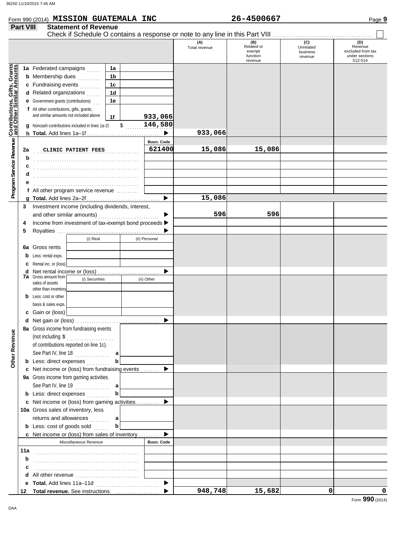|                                         | Form 990 (2014) MISSION GUATEMALA INC                                              |              |               |                       |                      | 26-4500667                                         |                                         | Page 9                                                           |
|-----------------------------------------|------------------------------------------------------------------------------------|--------------|---------------|-----------------------|----------------------|----------------------------------------------------|-----------------------------------------|------------------------------------------------------------------|
| <b>Part VIII</b>                        | <b>Statement of Revenue</b>                                                        |              |               |                       |                      |                                                    |                                         |                                                                  |
|                                         |                                                                                    |              |               |                       | (A)<br>Total revenue | (B)<br>Related or<br>exempt<br>function<br>revenue | (C)<br>Unrelated<br>business<br>revenue | (D)<br>Revenue<br>excluded from tax<br>under sections<br>512-514 |
| Gifts, Grants                           | 1a Federated campaigns                                                             | 1a           |               |                       |                      |                                                    |                                         |                                                                  |
|                                         | <b>b</b> Membership dues                                                           | 1b<br>.      |               |                       |                      |                                                    |                                         |                                                                  |
|                                         | c Fundraising events                                                               | 1c           |               |                       |                      |                                                    |                                         |                                                                  |
|                                         | d Related organizations                                                            | 1d           |               |                       |                      |                                                    |                                         |                                                                  |
|                                         | <b>e</b> Government grants (contributions)                                         | 1e           |               |                       |                      |                                                    |                                         |                                                                  |
| <b>Contributions,<br/>and Other Sim</b> | f All other contributions, gifts, grants,                                          |              |               |                       |                      |                                                    |                                         |                                                                  |
|                                         | and similar amounts not included above                                             | 1f           |               | 933,066               |                      |                                                    |                                         |                                                                  |
|                                         | g Noncash contributions included in lines 1a-1f:                                   |              | $\frac{1}{2}$ | 146,580               |                      |                                                    |                                         |                                                                  |
|                                         |                                                                                    |              |               |                       | 933,066              |                                                    |                                         |                                                                  |
|                                         |                                                                                    |              |               | <b>Busn. Code</b>     |                      |                                                    |                                         |                                                                  |
| 2a                                      | CLINIC PATIENT FEES                                                                |              |               | 621400                | 15,086               | 15,086                                             |                                         |                                                                  |
| b                                       |                                                                                    |              |               |                       |                      |                                                    |                                         |                                                                  |
| c                                       |                                                                                    |              |               |                       |                      |                                                    |                                         |                                                                  |
| d                                       |                                                                                    |              |               |                       |                      |                                                    |                                         |                                                                  |
|                                         |                                                                                    |              |               |                       |                      |                                                    |                                         |                                                                  |
|                                         | f All other program service revenue                                                |              |               |                       |                      |                                                    |                                         |                                                                  |
|                                         |                                                                                    |              |               |                       | 15,086               |                                                    |                                         |                                                                  |
| 3                                       | Investment income (including dividends, interest,                                  |              |               |                       | 596                  | 596                                                |                                         |                                                                  |
|                                         | and other similar amounts)<br>Income from investment of tax-exempt bond proceeds > |              |               |                       |                      |                                                    |                                         |                                                                  |
| 4<br>5                                  |                                                                                    |              |               |                       |                      |                                                    |                                         |                                                                  |
|                                         |                                                                                    | (i) Real     |               | (ii) Personal         |                      |                                                    |                                         |                                                                  |
|                                         | <b>6a</b> Gross rents                                                              |              |               |                       |                      |                                                    |                                         |                                                                  |
| b                                       | Less: rental exps.                                                                 |              |               |                       |                      |                                                    |                                         |                                                                  |
|                                         | Rental inc. or (loss)                                                              |              |               |                       |                      |                                                    |                                         |                                                                  |
|                                         |                                                                                    |              |               |                       |                      |                                                    |                                         |                                                                  |
|                                         | <b>7a</b> Gross amount from<br>(i) Securities<br>(ii) Other                        |              |               |                       |                      |                                                    |                                         |                                                                  |
|                                         | sales of assets<br>other than inventory                                            |              |               |                       |                      |                                                    |                                         |                                                                  |
|                                         | <b>b</b> Less: cost or other                                                       |              |               |                       |                      |                                                    |                                         |                                                                  |
|                                         | basis & sales exps.                                                                |              |               |                       |                      |                                                    |                                         |                                                                  |
|                                         | c Gain or (loss)                                                                   |              |               |                       |                      |                                                    |                                         |                                                                  |
|                                         |                                                                                    |              |               |                       |                      |                                                    |                                         |                                                                  |
|                                         | 8a Gross income from fundraising events                                            |              |               |                       |                      |                                                    |                                         |                                                                  |
|                                         | (not including $\$\dots$                                                           |              |               |                       |                      |                                                    |                                         |                                                                  |
|                                         | of contributions reported on line 1c).                                             |              |               |                       |                      |                                                    |                                         |                                                                  |
|                                         | See Part IV, line 18 $\dots$                                                       |              |               |                       |                      |                                                    |                                         |                                                                  |
| Other Revenue                           | <b>b</b> Less: direct expenses                                                     | $\mathbf{b}$ |               |                       |                      |                                                    |                                         |                                                                  |
|                                         | c Net income or (loss) from fundraising events                                     |              |               |                       |                      |                                                    |                                         |                                                                  |
|                                         | 9a Gross income from gaming activities.                                            |              |               |                       |                      |                                                    |                                         |                                                                  |
|                                         | See Part IV, line 19 $\ldots$                                                      |              |               |                       |                      |                                                    |                                         |                                                                  |
|                                         | <b>b</b> Less: direct expenses <i>minimals</i>                                     | $\mathbf{b}$ |               |                       |                      |                                                    |                                         |                                                                  |
|                                         | c Net income or (loss) from gaming activities                                      |              |               |                       |                      |                                                    |                                         |                                                                  |
|                                         | 10a Gross sales of inventory, less                                                 |              |               |                       |                      |                                                    |                                         |                                                                  |
|                                         | returns and allowances  a                                                          |              |               |                       |                      |                                                    |                                         |                                                                  |
|                                         | <b>b</b> Less: $cost$ of goods sold $\ldots$                                       | $\mathbf{b}$ |               |                       |                      |                                                    |                                         |                                                                  |
|                                         | c Net income or (loss) from sales of inventory                                     |              |               |                       |                      |                                                    |                                         |                                                                  |
|                                         | Miscellaneous Revenue                                                              |              |               | <b>Busn. Code</b>     |                      |                                                    |                                         |                                                                  |
| 11a                                     |                                                                                    |              |               |                       |                      |                                                    |                                         |                                                                  |
| b                                       |                                                                                    |              |               |                       |                      |                                                    |                                         |                                                                  |
| с                                       |                                                                                    |              |               |                       |                      |                                                    |                                         |                                                                  |
| d                                       |                                                                                    |              |               |                       |                      |                                                    |                                         |                                                                  |
|                                         |                                                                                    |              |               | $\blacktriangleright$ | 948,748              |                                                    | $\Omega$                                |                                                                  |
| 12                                      |                                                                                    |              |               |                       |                      | 15,682                                             |                                         | 0                                                                |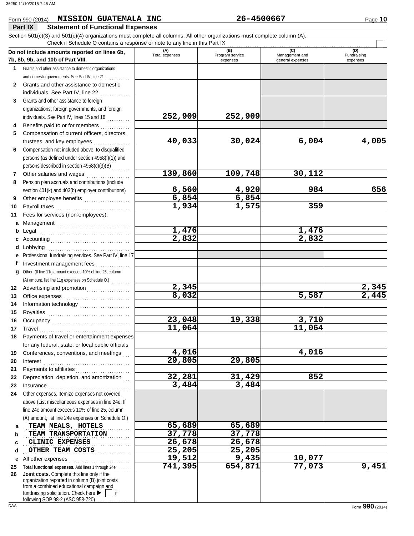#### **Part IX Statement of Functional Expenses** Form 990 (2014) Page **10 MISSION GUATEMALA INC 26-4500667**

|              | Section 501(c)(3) and 501(c)(4) organizations must complete all columns. All other organizations must complete column (A). |                       |                                    |                                           |                                |
|--------------|----------------------------------------------------------------------------------------------------------------------------|-----------------------|------------------------------------|-------------------------------------------|--------------------------------|
|              | Check if Schedule O contains a response or note to any line in this Part IX                                                |                       |                                    |                                           |                                |
|              | Do not include amounts reported on lines 6b,<br>7b, 8b, 9b, and 10b of Part VIII.                                          | (A)<br>Total expenses | (B)<br>Program service<br>expenses | (C)<br>Management and<br>general expenses | (D)<br>Fundraising<br>expenses |
|              | 1 Grants and other assistance to domestic organizations                                                                    |                       |                                    |                                           |                                |
|              | and domestic governments. See Part IV, line 21                                                                             |                       |                                    |                                           |                                |
| $\mathbf{2}$ | Grants and other assistance to domestic                                                                                    |                       |                                    |                                           |                                |
|              | individuals. See Part IV, line 22                                                                                          |                       |                                    |                                           |                                |
| 3            | Grants and other assistance to foreign                                                                                     |                       |                                    |                                           |                                |
|              | organizations, foreign governments, and foreign                                                                            |                       |                                    |                                           |                                |
|              | individuals. See Part IV, lines 15 and 16                                                                                  | 252,909               | 252,909                            |                                           |                                |
| 4            | Benefits paid to or for members                                                                                            |                       |                                    |                                           |                                |
| 5            | Compensation of current officers, directors,                                                                               |                       |                                    |                                           |                                |
|              | trustees, and key employees                                                                                                | 40,033                | 30,024                             | 6,004                                     | 4,005                          |
| 6            | Compensation not included above, to disqualified                                                                           |                       |                                    |                                           |                                |
|              | persons (as defined under section 4958(f)(1)) and                                                                          |                       |                                    |                                           |                                |
|              | persons described in section 4958(c)(3)(B)                                                                                 |                       |                                    |                                           |                                |
| 7            | Other salaries and wages<br>.                                                                                              | 139,860               | 109,748                            | 30,112                                    |                                |
| 8            | Pension plan accruals and contributions (include                                                                           |                       |                                    |                                           |                                |
|              | section 401(k) and 403(b) employer contributions)                                                                          | 6,560                 | 4,920                              | 984                                       | 656                            |
| 9            | Other employee benefits                                                                                                    | 6,854                 | 6,854                              |                                           |                                |
| 10           |                                                                                                                            | 1,934                 | 1,575                              | 359                                       |                                |
| 11           | Fees for services (non-employees):                                                                                         |                       |                                    |                                           |                                |
| a            | Management                                                                                                                 |                       |                                    |                                           |                                |
| b            |                                                                                                                            | 1,476                 |                                    | 1,476                                     |                                |
| c            |                                                                                                                            | $\overline{2,832}$    |                                    | 2,832                                     |                                |
| d            | Lobbying                                                                                                                   |                       |                                    |                                           |                                |
| е            | Professional fundraising services. See Part IV, line 17                                                                    |                       |                                    |                                           |                                |
| f            | Investment management fees                                                                                                 |                       |                                    |                                           |                                |
| a            | Other. (If line 11g amount exceeds 10% of line 25, column                                                                  |                       |                                    |                                           |                                |
|              | (A) amount, list line 11g expenses on Schedule O.)                                                                         |                       |                                    |                                           |                                |
| 12           |                                                                                                                            | 2,345                 |                                    |                                           | $\frac{2,345}{2,445}$          |
| 13           |                                                                                                                            | 8,032                 |                                    | 5,587                                     |                                |
| 14           |                                                                                                                            |                       |                                    |                                           |                                |
| 15           |                                                                                                                            |                       |                                    |                                           |                                |
| 16           | Occupancy                                                                                                                  | 23,048                | 19,338                             | 3,710                                     |                                |
| 17           | Travel                                                                                                                     | 11,064                |                                    | 11,064                                    |                                |
|              | 18 Payments of travel or entertainment expenses                                                                            |                       |                                    |                                           |                                |
|              | for any federal, state, or local public officials                                                                          |                       |                                    |                                           |                                |
| 19           | Conferences, conventions, and meetings                                                                                     | 4,016<br>29,805       | 29,805                             | 4,016                                     |                                |
| 20           | Interest                                                                                                                   |                       |                                    |                                           |                                |
| 21           | Payments to affiliates                                                                                                     | 32,281                | 31,429                             | 852                                       |                                |
| 22<br>23     | Depreciation, depletion, and amortization                                                                                  | 3,484                 | 3,484                              |                                           |                                |
| 24           | Other expenses. Itemize expenses not covered                                                                               |                       |                                    |                                           |                                |
|              | above (List miscellaneous expenses in line 24e. If                                                                         |                       |                                    |                                           |                                |
|              | line 24e amount exceeds 10% of line 25, column                                                                             |                       |                                    |                                           |                                |
|              | (A) amount, list line 24e expenses on Schedule O.)                                                                         |                       |                                    |                                           |                                |
| a            | TEAM MEALS, HOTELS                                                                                                         | 65,689                | 65,689                             |                                           |                                |
| b            | TEAM TRANSPORTATION                                                                                                        | 37,778                | 37,778                             |                                           |                                |
| c            | CLINIC EXPENSES                                                                                                            | 26,678                | 26,678                             |                                           |                                |
| d            | OTHER TEAM COSTS                                                                                                           | 25,205                | 25,205                             |                                           |                                |
| е            | All other expenses                                                                                                         | 19,512                | 9,435                              | 10,077                                    |                                |
| 25           | Total functional expenses. Add lines 1 through 24e                                                                         | 741,395               | 654,871                            | 77,073                                    | 9,451                          |
| 26           | Joint costs. Complete this line only if the                                                                                |                       |                                    |                                           |                                |
|              | organization reported in column (B) joint costs<br>from a combined educational campaign and                                |                       |                                    |                                           |                                |
|              | fundraising solicitation. Check here ▶<br>if                                                                               |                       |                                    |                                           |                                |
|              | following SOP 98-2 (ASC 958-720)                                                                                           |                       |                                    |                                           |                                |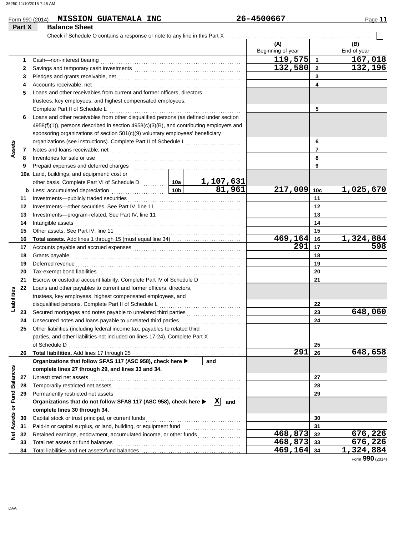#### Form 990 (2014) Page **11 MISSION GUATEMALA INC 26-4500667**

|                             | Part X | <b>Balance Sheet</b>                                                                          |  |                       |                           |                 |                      |
|-----------------------------|--------|-----------------------------------------------------------------------------------------------|--|-----------------------|---------------------------|-----------------|----------------------|
|                             |        | Check if Schedule O contains a response or note to any line in this Part X.                   |  |                       |                           |                 |                      |
|                             |        |                                                                                               |  |                       | (A)<br>Beginning of year  |                 | (B)<br>End of year   |
|                             | 1      | Cash-non-interest bearing                                                                     |  |                       | 119,575                   | $\overline{1}$  | 167,018              |
|                             | 2      |                                                                                               |  |                       | 132,580                   | $\overline{2}$  | 132,196              |
|                             | 3      |                                                                                               |  |                       |                           | 3               |                      |
|                             | 4      | Accounts receivable, net                                                                      |  |                       |                           | 4               |                      |
|                             | 5      | Loans and other receivables from current and former officers, directors,                      |  |                       |                           |                 |                      |
|                             |        | trustees, key employees, and highest compensated employees.                                   |  |                       |                           |                 |                      |
|                             |        | Complete Part II of Schedule L                                                                |  |                       |                           | 5               |                      |
|                             | 6      | Loans and other receivables from other disqualified persons (as defined under section         |  |                       |                           |                 |                      |
|                             |        | $4958(f)(1)$ ), persons described in section $4958(c)(3)(B)$ , and contributing employers and |  |                       |                           |                 |                      |
|                             |        | sponsoring organizations of section 501(c)(9) voluntary employees' beneficiary                |  |                       |                           |                 |                      |
|                             |        |                                                                                               |  | 6                     |                           |                 |                      |
| Assets                      | 7      |                                                                                               |  |                       | $\overline{7}$            |                 |                      |
|                             | 8      | Inventories for sale or use                                                                   |  |                       |                           | 8               |                      |
|                             | 9      |                                                                                               |  |                       |                           | 9               |                      |
|                             |        | 10a Land, buildings, and equipment: cost or                                                   |  |                       |                           |                 |                      |
|                             |        |                                                                                               |  | <u>1,107,631</u>      |                           |                 |                      |
|                             | b      |                                                                                               |  | 81,961                | 217,009                   | 10 <sub>c</sub> | 1,025,670            |
|                             | 11     |                                                                                               |  |                       | 11                        |                 |                      |
|                             | 12     |                                                                                               |  |                       |                           | 12              |                      |
|                             | 13     |                                                                                               |  |                       | 13                        |                 |                      |
|                             | 14     | Intangible assets                                                                             |  | 14                    |                           |                 |                      |
|                             | 15     |                                                                                               |  | 15                    |                           |                 |                      |
|                             | 16     |                                                                                               |  |                       | 469,164                   | 16              | 1,324,884            |
|                             | 17     |                                                                                               |  | 291                   | 17                        | 598             |                      |
|                             | 18     |                                                                                               |  | 18                    |                           |                 |                      |
|                             | 19     | Deferred revenue                                                                              |  |                       |                           | 19              |                      |
|                             | 20     |                                                                                               |  |                       | 20                        |                 |                      |
|                             | 21     |                                                                                               |  |                       |                           | 21              |                      |
|                             | 22     | Loans and other payables to current and former officers, directors,                           |  |                       |                           |                 |                      |
| Liabilities                 |        | trustees, key employees, highest compensated employees, and                                   |  |                       |                           |                 |                      |
|                             |        | disqualified persons. Complete Part II of Schedule L                                          |  |                       |                           | 22              |                      |
|                             | 23     | Secured mortgages and notes payable to unrelated third parties                                |  |                       |                           | 23              | 648,060              |
|                             | 24     | Unsecured notes and loans payable to unrelated third parties                                  |  |                       |                           | 24              |                      |
|                             |        | Other liabilities (including federal income tax, payables to related third                    |  |                       |                           |                 |                      |
|                             |        | parties, and other liabilities not included on lines 17-24). Complete Part X                  |  |                       |                           |                 |                      |
|                             |        | of Schedule D                                                                                 |  |                       |                           | 25              |                      |
|                             | 26     |                                                                                               |  |                       | 291                       | 26              | 648,658              |
|                             |        | Organizations that follow SFAS 117 (ASC 958), check here ▶                                    |  | and                   |                           |                 |                      |
|                             |        | complete lines 27 through 29, and lines 33 and 34.                                            |  |                       |                           |                 |                      |
|                             | 27     | Unrestricted net assets                                                                       |  |                       |                           | 27              |                      |
|                             | 28     | Temporarily restricted net assets                                                             |  |                       |                           | 28              |                      |
|                             | 29     |                                                                                               |  |                       |                           | 29              |                      |
|                             |        | Organizations that do not follow SFAS 117 (ASC 958), check here ▶                             |  | $ \mathbf{X} $<br>and |                           |                 |                      |
| Net Assets or Fund Balances |        | complete lines 30 through 34.                                                                 |  |                       |                           |                 |                      |
|                             | 30     | Capital stock or trust principal, or current funds                                            |  |                       |                           | 30              |                      |
|                             | 31     |                                                                                               |  |                       |                           | 31              |                      |
|                             | 32     |                                                                                               |  |                       | 468,873                   | 32              | 676,226              |
|                             | 33     | Total net assets or fund balances                                                             |  |                       | 468,873 33<br>469, 164 34 |                 | 676,226<br>1,324,884 |
|                             | 34     |                                                                                               |  |                       |                           |                 |                      |

Form **990** (2014)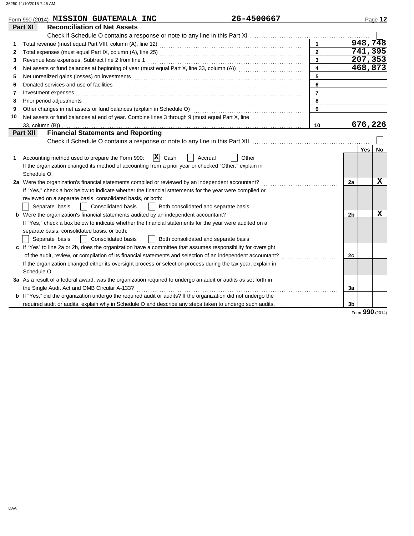|    | Form 990 (2014) MISSION GUATEMALA INC                                                                                                                                                                                          | 26-4500667                           |                         |                |     | Page 12                     |
|----|--------------------------------------------------------------------------------------------------------------------------------------------------------------------------------------------------------------------------------|--------------------------------------|-------------------------|----------------|-----|-----------------------------|
|    | Part XI<br><b>Reconciliation of Net Assets</b>                                                                                                                                                                                 |                                      |                         |                |     |                             |
|    |                                                                                                                                                                                                                                |                                      |                         |                |     |                             |
|    |                                                                                                                                                                                                                                |                                      | $\mathbf{1}$            |                |     | 948,748                     |
| 2  |                                                                                                                                                                                                                                |                                      | $\overline{2}$          |                |     | 741,395                     |
| 3  | Revenue less expenses. Subtract line 2 from line 1                                                                                                                                                                             |                                      | $\overline{\mathbf{3}}$ |                |     | $\overline{207}$ , 353      |
| 4  |                                                                                                                                                                                                                                |                                      | $\overline{\mathbf{4}}$ |                |     | 468,873                     |
| 5  |                                                                                                                                                                                                                                |                                      | 5                       |                |     |                             |
| 6  |                                                                                                                                                                                                                                |                                      | 6                       |                |     |                             |
| 7  |                                                                                                                                                                                                                                |                                      | $\overline{7}$          |                |     |                             |
| 8  | Prior period adjustments [11] production contracts and all the contracts and all the contracts and an american contracts and all the contracts and all the contracts and all the contracts and all the contracts and all the c |                                      | 8                       |                |     |                             |
| 9  |                                                                                                                                                                                                                                |                                      | 9                       |                |     |                             |
| 10 | Net assets or fund balances at end of year. Combine lines 3 through 9 (must equal Part X, line                                                                                                                                 |                                      |                         |                |     |                             |
|    | 33, column (B))                                                                                                                                                                                                                |                                      | 10                      |                |     | 676,226                     |
|    | <b>Financial Statements and Reporting</b><br><b>Part XII</b>                                                                                                                                                                   |                                      |                         |                |     |                             |
|    |                                                                                                                                                                                                                                |                                      |                         |                |     |                             |
|    |                                                                                                                                                                                                                                |                                      |                         |                | Yes | <b>No</b>                   |
| 1  | $ \mathbf{X} $ Cash<br>Accounting method used to prepare the Form 990:                                                                                                                                                         | Accrual<br>Other                     |                         |                |     |                             |
|    | If the organization changed its method of accounting from a prior year or checked "Other," explain in                                                                                                                          |                                      |                         |                |     |                             |
|    | Schedule O.                                                                                                                                                                                                                    |                                      |                         |                |     |                             |
|    | 2a Were the organization's financial statements compiled or reviewed by an independent accountant?                                                                                                                             |                                      |                         | 2a             |     | X                           |
|    | If "Yes," check a box below to indicate whether the financial statements for the year were compiled or                                                                                                                         |                                      |                         |                |     |                             |
|    | reviewed on a separate basis, consolidated basis, or both:                                                                                                                                                                     |                                      |                         |                |     |                             |
|    | <b>Consolidated basis</b><br>Separate basis                                                                                                                                                                                    | Both consolidated and separate basis |                         |                |     |                             |
|    | b Were the organization's financial statements audited by an independent accountant?                                                                                                                                           |                                      |                         | 2 <sub>b</sub> |     | x                           |
|    | If "Yes," check a box below to indicate whether the financial statements for the year were audited on a                                                                                                                        |                                      |                         |                |     |                             |
|    | separate basis, consolidated basis, or both:                                                                                                                                                                                   |                                      |                         |                |     |                             |
|    | <b>Consolidated basis</b><br>Separate basis                                                                                                                                                                                    | Both consolidated and separate basis |                         |                |     |                             |
|    | c If "Yes" to line 2a or 2b, does the organization have a committee that assumes responsibility for oversight                                                                                                                  |                                      |                         |                |     |                             |
|    | of the audit, review, or compilation of its financial statements and selection of an independent accountant?                                                                                                                   |                                      |                         | 2c             |     |                             |
|    | If the organization changed either its oversight process or selection process during the tax year, explain in                                                                                                                  |                                      |                         |                |     |                             |
|    | Schedule O.                                                                                                                                                                                                                    |                                      |                         |                |     |                             |
|    | 3a As a result of a federal award, was the organization required to undergo an audit or audits as set forth in                                                                                                                 |                                      |                         |                |     |                             |
|    | the Single Audit Act and OMB Circular A-133?                                                                                                                                                                                   |                                      |                         | 3a             |     |                             |
|    | <b>b</b> If "Yes," did the organization undergo the required audit or audits? If the organization did not undergo the                                                                                                          |                                      |                         |                |     |                             |
|    | required audit or audits, explain why in Schedule O and describe any steps taken to undergo such audits.                                                                                                                       |                                      |                         | 3 <sub>b</sub> |     |                             |
|    |                                                                                                                                                                                                                                |                                      |                         |                |     | $F_{\text{OCD}}$ 990 (2014) |

Form **990** (2014)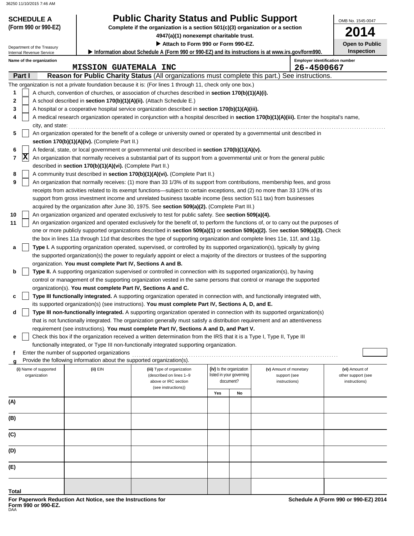Internal Revenue Service Department of the Treasury

## **SCHEDULE A Public Charity Status and Public Support**

**(Form 990 or 990-EZ) Complete if the organization is a section 501(c)(3) organization or a section**

**4947(a)(1) nonexempt charitable trust.**

 **Attach to Form 990 or Form 990-EZ. Information about Schedule A (Form 990 or 990-EZ) and its instructions is at www.irs.gov/form990.**

**2014 Open to Public**

OMB No. 1545-0047

**Inspection**

**Employer identification number** 

**MISSION GUATEMALA INC 26-4500667**

| Name of the organization |                                                                                                        | <b>Employer identifica</b> |
|--------------------------|--------------------------------------------------------------------------------------------------------|----------------------------|
|                          | MISSION GUATEMALA INC                                                                                  | 26-45006                   |
| Part I                   | <b>Reason for Public Charity Status (All organizations must complete this part.) See instructions.</b> |                            |

|     |             |                                                                                                   |                                                                        | The organization is not a private foundation because it is: (For lines 1 through 11, check only one box.)                                  |     |                                       |                               |                                     |  |
|-----|-------------|---------------------------------------------------------------------------------------------------|------------------------------------------------------------------------|--------------------------------------------------------------------------------------------------------------------------------------------|-----|---------------------------------------|-------------------------------|-------------------------------------|--|
| 1   |             |                                                                                                   |                                                                        | A church, convention of churches, or association of churches described in section 170(b)(1)(A)(i).                                         |     |                                       |                               |                                     |  |
| 2   |             | A school described in section 170(b)(1)(A)(ii). (Attach Schedule E.)                              |                                                                        |                                                                                                                                            |     |                                       |                               |                                     |  |
| 3   |             | A hospital or a cooperative hospital service organization described in section 170(b)(1)(A)(iii). |                                                                        |                                                                                                                                            |     |                                       |                               |                                     |  |
| 4   |             |                                                                                                   |                                                                        | A medical research organization operated in conjunction with a hospital described in section 170(b)(1)(A)(iii). Enter the hospital's name, |     |                                       |                               |                                     |  |
|     |             | city, and state:                                                                                  |                                                                        |                                                                                                                                            |     |                                       |                               |                                     |  |
| 5   |             |                                                                                                   |                                                                        | An organization operated for the benefit of a college or university owned or operated by a governmental unit described in                  |     |                                       |                               |                                     |  |
|     |             |                                                                                                   | section 170(b)(1)(A)(iv). (Complete Part II.)                          |                                                                                                                                            |     |                                       |                               |                                     |  |
| 6   |             |                                                                                                   |                                                                        | A federal, state, or local government or governmental unit described in section 170(b)(1)(A)(v).                                           |     |                                       |                               |                                     |  |
| 7   | $ {\bf X} $ |                                                                                                   |                                                                        | An organization that normally receives a substantial part of its support from a governmental unit or from the general public               |     |                                       |                               |                                     |  |
|     |             |                                                                                                   | described in section 170(b)(1)(A)(vi). (Complete Part II.)             |                                                                                                                                            |     |                                       |                               |                                     |  |
| 8   |             |                                                                                                   |                                                                        | A community trust described in section 170(b)(1)(A)(vi). (Complete Part II.)                                                               |     |                                       |                               |                                     |  |
| 9   |             |                                                                                                   |                                                                        | An organization that normally receives: (1) more than 33 1/3% of its support from contributions, membership fees, and gross                |     |                                       |                               |                                     |  |
|     |             |                                                                                                   |                                                                        | receipts from activities related to its exempt functions—subject to certain exceptions, and (2) no more than 33 1/3% of its                |     |                                       |                               |                                     |  |
|     |             |                                                                                                   |                                                                        | support from gross investment income and unrelated business taxable income (less section 511 tax) from businesses                          |     |                                       |                               |                                     |  |
|     |             |                                                                                                   |                                                                        | acquired by the organization after June 30, 1975. See section 509(a)(2). (Complete Part III.)                                              |     |                                       |                               |                                     |  |
| 10  |             |                                                                                                   |                                                                        | An organization organized and operated exclusively to test for public safety. See section 509(a)(4).                                       |     |                                       |                               |                                     |  |
| 11  |             |                                                                                                   |                                                                        | An organization organized and operated exclusively for the benefit of, to perform the functions of, or to carry out the purposes of        |     |                                       |                               |                                     |  |
|     |             |                                                                                                   |                                                                        | one or more publicly supported organizations described in section 509(a)(1) or section 509(a)(2). See section 509(a)(3). Check             |     |                                       |                               |                                     |  |
|     |             |                                                                                                   |                                                                        | the box in lines 11a through 11d that describes the type of supporting organization and complete lines 11e, 11f, and 11g.                  |     |                                       |                               |                                     |  |
| а   |             |                                                                                                   |                                                                        | Type I. A supporting organization operated, supervised, or controlled by its supported organization(s), typically by giving                |     |                                       |                               |                                     |  |
|     |             |                                                                                                   |                                                                        | the supported organization(s) the power to regularly appoint or elect a majority of the directors or trustees of the supporting            |     |                                       |                               |                                     |  |
|     |             |                                                                                                   | organization. You must complete Part IV, Sections A and B.             |                                                                                                                                            |     |                                       |                               |                                     |  |
| b   |             |                                                                                                   |                                                                        | Type II. A supporting organization supervised or controlled in connection with its supported organization(s), by having                    |     |                                       |                               |                                     |  |
|     |             |                                                                                                   |                                                                        | control or management of the supporting organization vested in the same persons that control or manage the supported                       |     |                                       |                               |                                     |  |
|     |             |                                                                                                   | organization(s). You must complete Part IV, Sections A and C.          |                                                                                                                                            |     |                                       |                               |                                     |  |
| с   |             |                                                                                                   |                                                                        | Type III functionally integrated. A supporting organization operated in connection with, and functionally integrated with,                 |     |                                       |                               |                                     |  |
|     |             |                                                                                                   |                                                                        | its supported organization(s) (see instructions). You must complete Part IV, Sections A, D, and E.                                         |     |                                       |                               |                                     |  |
| d   |             |                                                                                                   |                                                                        | Type III non-functionally integrated. A supporting organization operated in connection with its supported organization(s)                  |     |                                       |                               |                                     |  |
|     |             |                                                                                                   |                                                                        | that is not functionally integrated. The organization generally must satisfy a distribution requirement and an attentiveness               |     |                                       |                               |                                     |  |
|     |             |                                                                                                   |                                                                        | requirement (see instructions). You must complete Part IV, Sections A and D, and Part V.                                                   |     |                                       |                               |                                     |  |
| е   |             |                                                                                                   |                                                                        | Check this box if the organization received a written determination from the IRS that it is a Type I, Type II, Type III                    |     |                                       |                               |                                     |  |
|     |             |                                                                                                   |                                                                        | functionally integrated, or Type III non-functionally integrated supporting organization.                                                  |     |                                       |                               |                                     |  |
| f   |             |                                                                                                   | Enter the number of supported organizations                            |                                                                                                                                            |     |                                       |                               |                                     |  |
|     |             |                                                                                                   | Provide the following information about the supported organization(s). |                                                                                                                                            |     |                                       |                               |                                     |  |
|     |             | (i) Name of supported                                                                             | (ii) EIN                                                               | (iii) Type of organization                                                                                                                 |     | (iv) Is the organization              | (v) Amount of monetary        | (vi) Amount of                      |  |
|     |             | organization                                                                                      |                                                                        | (described on lines 1-9<br>above or IRC section                                                                                            |     | listed in your governing<br>document? | support (see<br>instructions) | other support (see<br>instructions) |  |
|     |             |                                                                                                   |                                                                        | (see instructions))                                                                                                                        |     |                                       |                               |                                     |  |
|     |             |                                                                                                   |                                                                        |                                                                                                                                            | Yes | No                                    |                               |                                     |  |
| (A) |             |                                                                                                   |                                                                        |                                                                                                                                            |     |                                       |                               |                                     |  |
|     |             |                                                                                                   |                                                                        |                                                                                                                                            |     |                                       |                               |                                     |  |
| (B) |             |                                                                                                   |                                                                        |                                                                                                                                            |     |                                       |                               |                                     |  |
|     |             |                                                                                                   |                                                                        |                                                                                                                                            |     |                                       |                               |                                     |  |
| (C) |             |                                                                                                   |                                                                        |                                                                                                                                            |     |                                       |                               |                                     |  |
|     |             |                                                                                                   |                                                                        |                                                                                                                                            |     |                                       |                               |                                     |  |

| (i) Name of supported<br>organization | (ii) EIN | (iii) Type of organization<br>(described on lines 1-9<br>above or IRC section<br>(see instructions)) | (iv) Is the organization<br>listed in your governing<br>document? |    | (v) Amount of monetary<br>support (see<br>instructions) | (vi) Amount of<br>other support (see<br>instructions) |
|---------------------------------------|----------|------------------------------------------------------------------------------------------------------|-------------------------------------------------------------------|----|---------------------------------------------------------|-------------------------------------------------------|
|                                       |          |                                                                                                      | Yes                                                               | No |                                                         |                                                       |
| (A)                                   |          |                                                                                                      |                                                                   |    |                                                         |                                                       |
| (B)                                   |          |                                                                                                      |                                                                   |    |                                                         |                                                       |
| (C)                                   |          |                                                                                                      |                                                                   |    |                                                         |                                                       |
| (D)                                   |          |                                                                                                      |                                                                   |    |                                                         |                                                       |
| (E)                                   |          |                                                                                                      |                                                                   |    |                                                         |                                                       |
| <b>Total</b>                          |          |                                                                                                      |                                                                   |    |                                                         |                                                       |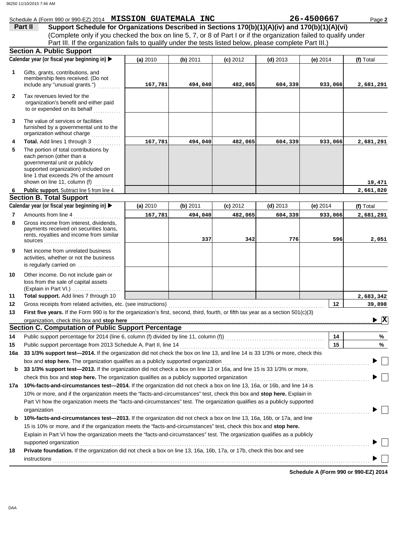|              | Schedule A (Form 990 or 990-EZ) 2014 MISSION GUATEMALA INC                                                                                                                                                                           |          |          |          |            | 26-4500667 | Page 2                             |
|--------------|--------------------------------------------------------------------------------------------------------------------------------------------------------------------------------------------------------------------------------------|----------|----------|----------|------------|------------|------------------------------------|
|              | Support Schedule for Organizations Described in Sections 170(b)(1)(A)(iv) and 170(b)(1)(A)(vi)<br>Part II                                                                                                                            |          |          |          |            |            |                                    |
|              | (Complete only if you checked the box on line 5, 7, or 8 of Part I or if the organization failed to qualify under                                                                                                                    |          |          |          |            |            |                                    |
|              | Part III. If the organization fails to qualify under the tests listed below, please complete Part III.)                                                                                                                              |          |          |          |            |            |                                    |
|              | <b>Section A. Public Support</b>                                                                                                                                                                                                     |          |          |          |            |            |                                    |
|              | Calendar year (or fiscal year beginning in)                                                                                                                                                                                          | (a) 2010 | (b) 2011 | (c) 2012 | $(d)$ 2013 | (e) $2014$ | (f) Total                          |
| $\mathbf{1}$ | Gifts, grants, contributions, and                                                                                                                                                                                                    |          |          |          |            |            |                                    |
|              | membership fees received. (Do not                                                                                                                                                                                                    |          |          |          |            |            |                                    |
|              | include any "unusual grants.")                                                                                                                                                                                                       | 167,781  | 494,040  | 482,065  | 604,339    | 933,066    | 2,681,291                          |
| $\mathbf{2}$ | Tax revenues levied for the                                                                                                                                                                                                          |          |          |          |            |            |                                    |
|              | organization's benefit and either paid                                                                                                                                                                                               |          |          |          |            |            |                                    |
|              | to or expended on its behalf                                                                                                                                                                                                         |          |          |          |            |            |                                    |
| 3            | The value of services or facilities                                                                                                                                                                                                  |          |          |          |            |            |                                    |
|              | furnished by a governmental unit to the                                                                                                                                                                                              |          |          |          |            |            |                                    |
|              | organization without charge                                                                                                                                                                                                          |          |          |          |            |            |                                    |
| 4            | Total. Add lines 1 through 3                                                                                                                                                                                                         | 167,781  | 494,040  | 482,065  | 604,339    | 933,066    | 2,681,291                          |
| 5            | The portion of total contributions by                                                                                                                                                                                                |          |          |          |            |            |                                    |
|              | each person (other than a<br>governmental unit or publicly                                                                                                                                                                           |          |          |          |            |            |                                    |
|              | supported organization) included on                                                                                                                                                                                                  |          |          |          |            |            |                                    |
|              | line 1 that exceeds 2% of the amount                                                                                                                                                                                                 |          |          |          |            |            |                                    |
|              | shown on line 11, column (f)                                                                                                                                                                                                         |          |          |          |            |            | 19,471                             |
| 6.           | Public support. Subtract line 5 from line 4.                                                                                                                                                                                         |          |          |          |            |            | 2,661,820                          |
|              | <b>Section B. Total Support</b>                                                                                                                                                                                                      |          |          |          |            |            |                                    |
|              | Calendar year (or fiscal year beginning in)                                                                                                                                                                                          | (a) 2010 | (b) 2011 | (c) 2012 | $(d)$ 2013 | (e) $2014$ | (f) Total                          |
| 7            | Amounts from line 4                                                                                                                                                                                                                  | 167,781  | 494,040  | 482,065  | 604,339    | 933,066    | 2,681,291                          |
| 8            | Gross income from interest, dividends,<br>payments received on securities loans,                                                                                                                                                     |          |          |          |            |            |                                    |
|              | rents, royalties and income from similar                                                                                                                                                                                             |          |          |          |            |            |                                    |
|              |                                                                                                                                                                                                                                      |          | 337      | 342      | 776        | 596        | 2,051                              |
| 9            | Net income from unrelated business                                                                                                                                                                                                   |          |          |          |            |            |                                    |
|              | activities, whether or not the business                                                                                                                                                                                              |          |          |          |            |            |                                    |
|              | is regularly carried on                                                                                                                                                                                                              |          |          |          |            |            |                                    |
| 10           | Other income. Do not include gain or                                                                                                                                                                                                 |          |          |          |            |            |                                    |
|              | loss from the sale of capital assets                                                                                                                                                                                                 |          |          |          |            |            |                                    |
|              | (Explain in Part VI.)                                                                                                                                                                                                                |          |          |          |            |            |                                    |
| 11           | Total support. Add lines 7 through 10                                                                                                                                                                                                |          |          |          |            |            | 2,683,342                          |
| 12           | Gross receipts from related activities, etc. (see instructions)                                                                                                                                                                      |          |          |          |            | 12         | 39,898                             |
| 13           | First five years. If the Form 990 is for the organization's first, second, third, fourth, or fifth tax year as a section 501(c)(3)                                                                                                   |          |          |          |            |            |                                    |
|              | organization, check this box and stop here                                                                                                                                                                                           |          |          |          |            |            | $\blacktriangleright$ $\mathbf{X}$ |
|              | <b>Section C. Computation of Public Support Percentage</b>                                                                                                                                                                           |          |          |          |            |            |                                    |
| 14           | Public support percentage for 2014 (line 6, column (f) divided by line 11, column (f)) [[[[[[[[[[[[[[[[[[[[[[                                                                                                                        |          |          |          |            | 14         | %                                  |
| 15           | Public support percentage from 2013 Schedule A, Part II, line 14                                                                                                                                                                     |          |          |          |            | 15         | %                                  |
| 16a          | 33 1/3% support test-2014. If the organization did not check the box on line 13, and line 14 is 33 1/3% or more, check this                                                                                                          |          |          |          |            |            |                                    |
|              | box and stop here. The organization qualifies as a publicly supported organization                                                                                                                                                   |          |          |          |            |            |                                    |
| b            | 33 1/3% support test-2013. If the organization did not check a box on line 13 or 16a, and line 15 is 33 1/3% or more,                                                                                                                |          |          |          |            |            |                                    |
|              | check this box and stop here. The organization qualifies as a publicly supported organization <b>conserved in the state of the state of the state of the state of the state of the state of the state of the state of the state </b> |          |          |          |            |            |                                    |
| 17а          | 10%-facts-and-circumstances test-2014. If the organization did not check a box on line 13, 16a, or 16b, and line 14 is                                                                                                               |          |          |          |            |            |                                    |
|              | 10% or more, and if the organization meets the "facts-and-circumstances" test, check this box and stop here. Explain in                                                                                                              |          |          |          |            |            |                                    |
|              | Part VI how the organization meets the "facts-and-circumstances" test. The organization qualifies as a publicly supported                                                                                                            |          |          |          |            |            |                                    |
|              | organization                                                                                                                                                                                                                         |          |          |          |            |            |                                    |
| b            | 10%-facts-and-circumstances test-2013. If the organization did not check a box on line 13, 16a, 16b, or 17a, and line                                                                                                                |          |          |          |            |            |                                    |
|              | 15 is 10% or more, and if the organization meets the "facts-and-circumstances" test, check this box and stop here.                                                                                                                   |          |          |          |            |            |                                    |
|              | Explain in Part VI how the organization meets the "facts-and-circumstances" test. The organization qualifies as a publicly                                                                                                           |          |          |          |            |            |                                    |
|              | supported organization                                                                                                                                                                                                               |          |          |          |            |            |                                    |
| 18           | Private foundation. If the organization did not check a box on line 13, 16a, 16b, 17a, or 17b, check this box and see                                                                                                                |          |          |          |            |            |                                    |
|              | <b>instructions</b>                                                                                                                                                                                                                  |          |          |          |            |            |                                    |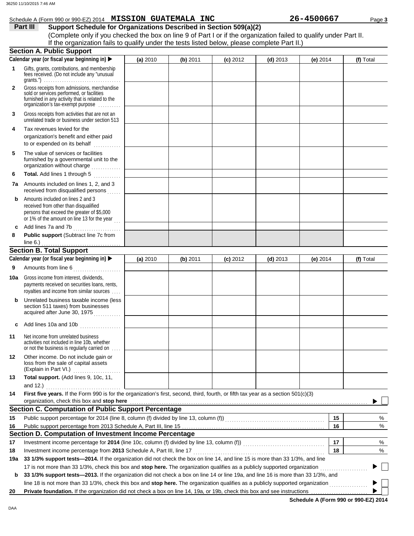|              | Schedule A (Form 990 or 990-EZ) 2014 MISSION GUATEMALA INC                                                                                                                                                                                                      |          |          |            |            | 26-4500667 | Page 3    |  |  |
|--------------|-----------------------------------------------------------------------------------------------------------------------------------------------------------------------------------------------------------------------------------------------------------------|----------|----------|------------|------------|------------|-----------|--|--|
|              | Part III<br>Support Schedule for Organizations Described in Section 509(a)(2)                                                                                                                                                                                   |          |          |            |            |            |           |  |  |
|              | (Complete only if you checked the box on line 9 of Part I or if the organization failed to qualify under Part II.                                                                                                                                               |          |          |            |            |            |           |  |  |
|              | If the organization fails to qualify under the tests listed below, please complete Part II.)                                                                                                                                                                    |          |          |            |            |            |           |  |  |
|              | <b>Section A. Public Support</b>                                                                                                                                                                                                                                |          |          |            |            |            |           |  |  |
|              | Calendar year (or fiscal year beginning in) ▶                                                                                                                                                                                                                   | (a) 2010 | (b) 2011 | $(c)$ 2012 | $(d)$ 2013 | (e) 2014   | (f) Total |  |  |
| $\mathbf 1$  | Gifts, grants, contributions, and membership<br>fees received. (Do not include any "unusual                                                                                                                                                                     |          |          |            |            |            |           |  |  |
| $\mathbf{2}$ | Gross receipts from admissions, merchandise<br>sold or services performed, or facilities<br>furnished in any activity that is related to the<br>organization's tax-exempt purpose                                                                               |          |          |            |            |            |           |  |  |
| 3            | Gross receipts from activities that are not an<br>unrelated trade or business under section 513                                                                                                                                                                 |          |          |            |            |            |           |  |  |
| 4            | Tax revenues levied for the<br>organization's benefit and either paid<br>to or expended on its behalf<br>.                                                                                                                                                      |          |          |            |            |            |           |  |  |
| 5            | The value of services or facilities<br>furnished by a governmental unit to the<br>organization without charge                                                                                                                                                   |          |          |            |            |            |           |  |  |
| 6            | Total. Add lines 1 through 5                                                                                                                                                                                                                                    |          |          |            |            |            |           |  |  |
| 7a           | Amounts included on lines 1, 2, and 3<br>received from disqualified persons                                                                                                                                                                                     |          |          |            |            |            |           |  |  |
| b            | Amounts included on lines 2 and 3<br>received from other than disqualified<br>persons that exceed the greater of \$5,000<br>or 1% of the amount on line 13 for the year                                                                                         |          |          |            |            |            |           |  |  |
| c            | Add lines 7a and 7b<br>Public support (Subtract line 7c from                                                                                                                                                                                                    |          |          |            |            |            |           |  |  |
| 8            |                                                                                                                                                                                                                                                                 |          |          |            |            |            |           |  |  |
|              | <b>Section B. Total Support</b>                                                                                                                                                                                                                                 |          |          |            |            |            |           |  |  |
|              | Calendar year (or fiscal year beginning in)                                                                                                                                                                                                                     | (a) 2010 | (b) 2011 | $(c)$ 2012 | $(d)$ 2013 | (e) 2014   | (f) Total |  |  |
| 9            | Amounts from line 6                                                                                                                                                                                                                                             |          |          |            |            |            |           |  |  |
|              | Gross income from interest, dividends,                                                                                                                                                                                                                          |          |          |            |            |            |           |  |  |
| 10a          | payments received on securities loans, rents,<br>royalties and income from similar sources                                                                                                                                                                      |          |          |            |            |            |           |  |  |
| b            | Unrelated business taxable income (less<br>section 511 taxes) from businesses<br>acquired after June 30, 1975<br>.                                                                                                                                              |          |          |            |            |            |           |  |  |
| c            | Add lines 10a and 10b $\ldots$ $\ldots$ $\ldots$                                                                                                                                                                                                                |          |          |            |            |            |           |  |  |
| 11           | Net income from unrelated business<br>activities not included in line 10b, whether<br>or not the business is regularly carried on                                                                                                                               |          |          |            |            |            |           |  |  |
| 12           | Other income. Do not include gain or<br>loss from the sale of capital assets                                                                                                                                                                                    |          |          |            |            |            |           |  |  |
| 13           | Total support. (Add lines 9, 10c, 11,<br>and 12.) $\ldots$                                                                                                                                                                                                      |          |          |            |            |            |           |  |  |
| 14           | First five years. If the Form 990 is for the organization's first, second, third, fourth, or fifth tax year as a section 501(c)(3)                                                                                                                              |          |          |            |            |            |           |  |  |
|              | organization, check this box and stop here <b>construction and construction</b> and construction of the construction of<br><b>Section C. Computation of Public Support Percentage</b>                                                                           |          |          |            |            |            |           |  |  |
| 15           |                                                                                                                                                                                                                                                                 |          |          |            |            | 15         | %         |  |  |
|              |                                                                                                                                                                                                                                                                 |          |          |            |            | 16         | %         |  |  |
| 16           | Section D. Computation of Investment Income Percentage                                                                                                                                                                                                          |          |          |            |            |            |           |  |  |
| 17           |                                                                                                                                                                                                                                                                 |          |          |            |            | 17         | %         |  |  |
| 18           |                                                                                                                                                                                                                                                                 |          |          |            |            | 18         | %         |  |  |
| 19a          | 33 1/3% support tests—2014. If the organization did not check the box on line 14, and line 15 is more than 33 1/3%, and line                                                                                                                                    |          |          |            |            |            |           |  |  |
|              |                                                                                                                                                                                                                                                                 |          |          |            |            |            |           |  |  |
| b            | 17 is not more than 33 1/3%, check this box and stop here. The organization qualifies as a publicly supported organization<br>33 1/3% support tests-2013. If the organization did not check a box on line 14 or line 19a, and line 16 is more than 33 1/3%, and |          |          |            |            |            |           |  |  |
|              | line 18 is not more than 33 1/3%, check this box and stop here. The organization qualifies as a publicly supported organization <i>[[[[[[[[[[[[[[[[[]]]</i>                                                                                                     |          |          |            |            |            |           |  |  |
| 20           | Private foundation. If the organization did not check a box on line 14, 19a, or 19b, check this box and see instructions                                                                                                                                        |          |          |            |            |            |           |  |  |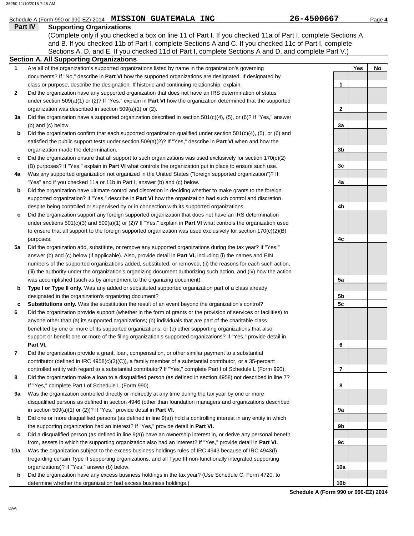### Schedule A (Form 990 or 990-EZ) 2014 **MISSION GUATEMALA INC** 26-4500667 Page 4

#### **Part IV Supporting Organizations**

Sections A, D, and E. If you checked 11d of Part I, complete Sections A and D, and complete Part V.) (Complete only if you checked a box on line 11 of Part I. If you checked 11a of Part I, complete Sections A and B. If you checked 11b of Part I, complete Sections A and C. If you checked 11c of Part I, complete

|  |  | Section A. All Supporting Organizations                          |  |
|--|--|------------------------------------------------------------------|--|
|  |  | اللوحا وحووم الرواويو ومرزوح والمرواليوجا ومووج الوطائع المراوية |  |

- Are all of the organization's supported organizations listed by name in the organization's governing documents? If "No," describe in **Part VI** how the supported organizations are designated. If designated by class or purpose, describe the designation. If historic and continuing relationship, explain. **1**
- Did the organization have any supported organization that does not have an IRS determination of status under section 509(a)(1) or (2)? If "Yes," explain in **Part VI** how the organization determined that the supported organization was described in section 509(a)(1) or (2). **2**
- **3a** Did the organization have a supported organization described in section 501(c)(4), (5), or (6)? If "Yes," answer (b) and (c) below.
- **b** Did the organization confirm that each supported organization qualified under section 501(c)(4), (5), or (6) and satisfied the public support tests under section 509(a)(2)? If "Yes," describe in **Part VI** when and how the organization made the determination.
- **c** Did the organization ensure that all support to such organizations was used exclusively for section 170(c)(2) (B) purposes? If "Yes," explain in **Part VI** what controls the organization put in place to ensure such use.
- **4a** Was any supported organization not organized in the United States ("foreign supported organization")? If "Yes" and if you checked 11a or 11b in Part I, answer (b) and (c) below.
- **b** Did the organization have ultimate control and discretion in deciding whether to make grants to the foreign supported organization? If "Yes," describe in **Part VI** how the organization had such control and discretion despite being controlled or supervised by or in connection with its supported organizations.
- **c** Did the organization support any foreign supported organization that does not have an IRS determination under sections 501(c)(3) and 509(a)(1) or (2)? If "Yes," explain in **Part VI** what controls the organization used to ensure that all support to the foreign supported organization was used exclusively for section 170(c)(2)(B) purposes.
- **5a** Did the organization add, substitute, or remove any supported organizations during the tax year? If "Yes," answer (b) and (c) below (if applicable). Also, provide detail in **Part VI,** including (i) the names and EIN numbers of the supported organizations added, substituted, or removed, (ii) the reasons for each such action, (iii) the authority under the organization's organizing document authorizing such action, and (iv) how the action was accomplished (such as by amendment to the organizing document).
- **b Type I or Type II only.** Was any added or substituted supported organization part of a class already designated in the organization's organizing document?
- **c Substitutions only.** Was the substitution the result of an event beyond the organization's control?
- **6** Did the organization provide support (whether in the form of grants or the provision of services or facilities) to anyone other than (a) its supported organizations; (b) individuals that are part of the charitable class benefited by one or more of its supported organizations; or (c) other supporting organizations that also support or benefit one or more of the filing organization's supported organizations? If "Yes," provide detail in **Part VI.**
- **7** Did the organization provide a grant, loan, compensation, or other similar payment to a substantial contributor (defined in IRC 4958(c)(3)(C)), a family member of a substantial contributor, or a 35-percent controlled entity with regard to a substantial contributor? If "Yes," complete Part I of Schedule L (Form 990).
- **8** Did the organization make a loan to a disqualified person (as defined in section 4958) not described in line 7? If "Yes," complete Part I of Schedule L (Form 990).
- **9a** Was the organization controlled directly or indirectly at any time during the tax year by one or more disqualified persons as defined in section 4946 (other than foundation managers and organizations described in section 509(a)(1) or (2))? If "Yes," provide detail in **Part VI.**
- **b** Did one or more disqualified persons (as defined in line 9(a)) hold a controlling interest in any entity in which the supporting organization had an interest? If "Yes," provide detail in **Part VI.**
- **c** Did a disqualified person (as defined in line 9(a)) have an ownership interest in, or derive any personal benefit from, assets in which the supporting organization also had an interest? If "Yes," provide detail in **Part VI.**
- **10a** Was the organization subject to the excess business holdings rules of IRC 4943 because of IRC 4943(f) (regarding certain Type II supporting organizations, and all Type III non-functionally integrated supporting organizations)? If "Yes," answer (b) below.
	- **b** Did the organization have any excess business holdings in the tax year? (Use Schedule C, Form 4720, to determine whether the organization had excess business holdings.)

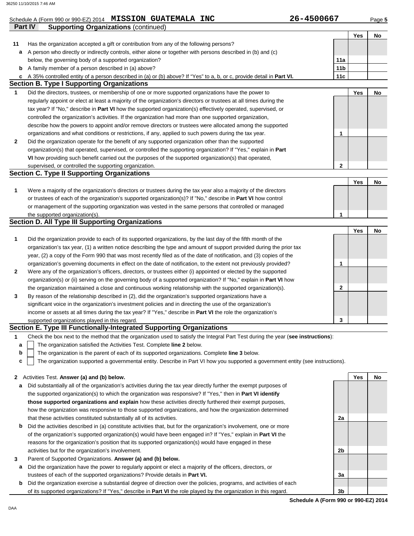|              | Schedule A (Form 990 or 990-EZ) 2014 MISSION GUATEMALA INC                                                                        | 26-4500667      |     | Page 5 |
|--------------|-----------------------------------------------------------------------------------------------------------------------------------|-----------------|-----|--------|
|              | Part IV<br><b>Supporting Organizations (continued)</b>                                                                            |                 |     |        |
|              |                                                                                                                                   |                 | Yes | No     |
| 11           | Has the organization accepted a gift or contribution from any of the following persons?                                           |                 |     |        |
| a            | A person who directly or indirectly controls, either alone or together with persons described in (b) and (c)                      |                 |     |        |
|              | below, the governing body of a supported organization?                                                                            | 11a             |     |        |
| b            | A family member of a person described in (a) above?                                                                               | 11 <sub>b</sub> |     |        |
| c            | A 35% controlled entity of a person described in (a) or (b) above? If "Yes" to a, b, or c, provide detail in Part VI.             | 11c             |     |        |
|              | <b>Section B. Type I Supporting Organizations</b>                                                                                 |                 |     |        |
| $\mathbf{1}$ | Did the directors, trustees, or membership of one or more supported organizations have the power to                               |                 | Yes | No     |
|              | regularly appoint or elect at least a majority of the organization's directors or trustees at all times during the                |                 |     |        |
|              | tax year? If "No," describe in Part VI how the supported organization(s) effectively operated, supervised, or                     |                 |     |        |
|              | controlled the organization's activities. If the organization had more than one supported organization,                           |                 |     |        |
|              | describe how the powers to appoint and/or remove directors or trustees were allocated among the supported                         |                 |     |        |
|              | organizations and what conditions or restrictions, if any, applied to such powers during the tax year.                            | 1               |     |        |
| 2            | Did the organization operate for the benefit of any supported organization other than the supported                               |                 |     |        |
|              | organization(s) that operated, supervised, or controlled the supporting organization? If "Yes," explain in Part                   |                 |     |        |
|              | VI how providing such benefit carried out the purposes of the supported organization(s) that operated,                            | $\mathbf{2}$    |     |        |
|              | supervised, or controlled the supporting organization.<br><b>Section C. Type II Supporting Organizations</b>                      |                 |     |        |
|              |                                                                                                                                   |                 | Yes | No     |
| 1            | Were a majority of the organization's directors or trustees during the tax year also a majority of the directors                  |                 |     |        |
|              | or trustees of each of the organization's supported organization(s)? If "No," describe in Part VI how control                     |                 |     |        |
|              | or management of the supporting organization was vested in the same persons that controlled or managed                            |                 |     |        |
|              | the supported organization(s).                                                                                                    | 1               |     |        |
|              | Section D. All Type III Supporting Organizations                                                                                  |                 |     |        |
|              |                                                                                                                                   |                 | Yes | No     |
| 1            | Did the organization provide to each of its supported organizations, by the last day of the fifth month of the                    |                 |     |        |
|              | organization's tax year, (1) a written notice describing the type and amount of support provided during the prior tax             |                 |     |        |
|              | year, (2) a copy of the Form 990 that was most recently filed as of the date of notification, and (3) copies of the               |                 |     |        |
|              | organization's governing documents in effect on the date of notification, to the extent not previously provided?                  | 1               |     |        |
| 2            | Were any of the organization's officers, directors, or trustees either (i) appointed or elected by the supported                  |                 |     |        |
|              | organization(s) or (ii) serving on the governing body of a supported organization? If "No," explain in Part VI how                |                 |     |        |
|              | the organization maintained a close and continuous working relationship with the supported organization(s).                       | 2               |     |        |
| 3            | By reason of the relationship described in (2), did the organization's supported organizations have a                             |                 |     |        |
|              | significant voice in the organization's investment policies and in directing the use of the organization's                        |                 |     |        |
|              | income or assets at all times during the tax year? If "Yes," describe in Part VI the role the organization's                      |                 |     |        |
|              | supported organizations played in this regard.                                                                                    | 3               |     |        |
|              | Section E. Type III Functionally-Integrated Supporting Organizations                                                              |                 |     |        |
| 1            | Check the box next to the method that the organization used to satisfy the Integral Part Test during the year (see instructions): |                 |     |        |
| a            | The organization satisfied the Activities Test. Complete line 2 below.                                                            |                 |     |        |
| b            | The organization is the parent of each of its supported organizations. Complete line 3 below.                                     |                 |     |        |
| c            | The organization supported a governmental entity. Describe in Part VI how you supported a government entity (see instructions).   |                 |     |        |
|              |                                                                                                                                   |                 |     |        |
| 2            | Activities Test. Answer (a) and (b) below.                                                                                        |                 | Yes | No     |
| а            | Did substantially all of the organization's activities during the tax year directly further the exempt purposes of                |                 |     |        |
|              | the supported organization(s) to which the organization was responsive? If "Yes," then in Part VI identify                        |                 |     |        |
|              | those supported organizations and explain how these activities directly furthered their exempt purposes,                          |                 |     |        |
|              | how the organization was responsive to those supported organizations, and how the organization determined                         |                 |     |        |
|              | that these activities constituted substantially all of its activities.                                                            | 2a              |     |        |
| b            | Did the activities described in (a) constitute activities that, but for the organization's involvement, one or more               |                 |     |        |
|              | of the organization's supported organization(s) would have been engaged in? If "Yes," explain in Part VI the                      |                 |     |        |
|              | reasons for the organization's position that its supported organization(s) would have engaged in these                            |                 |     |        |
|              | activities but for the organization's involvement.                                                                                | 2b              |     |        |
| 3            | Parent of Supported Organizations. Answer (a) and (b) below.                                                                      |                 |     |        |

- **a** Did the organization have the power to regularly appoint or elect a majority of the officers, directors, or trustees of each of the supported organizations? Provide details in **Part VI.**
- **b** Did the organization exercise a substantial degree of direction over the policies, programs, and activities of each of its supported organizations? If "Yes," describe in **Part VI** the role played by the organization in this regard.

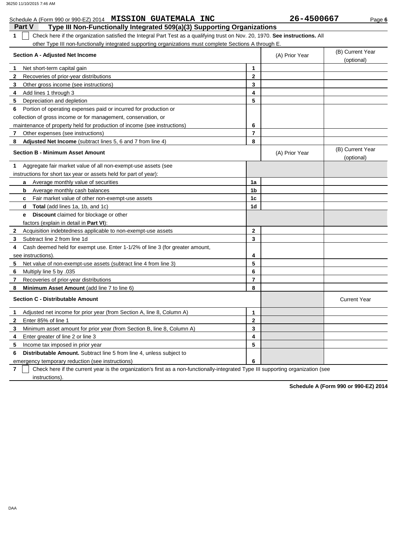#### **Part V Type III Non-Functionally Integrated 509(a)(3) Supporting Organizations** Schedule A (Form 990 or 990-EZ) 2014 **MISSION GUATEMALA INC** 26-4500667 Page 6 **1** Check here if the organization satisfied the Integral Part Test as a qualifying trust on Nov. 20, 1970. **See instructions.** All other Type III non-functionally integrated supporting organizations must complete Sections A through E. **1 2 3 4 5 6** Portion of operating expenses paid or incurred for production or **7 8 1 Section A - Adjusted Net Income** Net short-term capital gain Recoveries of prior-year distributions Other gross income (see instructions) Add lines 1 through 3 Depreciation and depletion collection of gross income or for management, conservation, or maintenance of property held for production of income (see instructions) Other expenses (see instructions) **Adjusted Net Income** (subtract lines 5, 6 and 7 from line 4) **Section B - Minimum Asset Amount** Aggregate fair market value of all non-exempt-use assets (see instructions for short tax year or assets held for part of year): **a b c d e** Average monthly value of securities Average monthly cash balances Fair market value of other non-exempt-use assets **Total** (add lines 1a, 1b, and 1c) **Discount** claimed for blockage or other factors (explain in detail in **Part VI**): **8 7 6 5 4 3 2** Acquisition indebtedness applicable to non-exempt-use assets Subtract line 2 from line 1d Cash deemed held for exempt use. Enter 1-1/2% of line 3 (for greater amount, see instructions). Net value of non-exempt-use assets (subtract line 4 from line 3) Multiply line 5 by .035 Recoveries of prior-year distributions **Minimum Asset Amount (add line 7 to line 6) Section C - Distributable Amount 6 5 4 3 2** Enter 85% of line 1 **1** Adjusted net income for prior year (from Section A, line 8, Column A) Minimum asset amount for prior year (from Section B, line 8, Column A) Enter greater of line 2 or line 3 Income tax imposed in prior year **Distributable Amount.** Subtract line 5 from line 4, unless subject to **8 7 6 5 4 3 2 1** (A) Prior Year (B) Current Year (optional) (optional) (B) Current Year (A) Prior Year **1a 1b 1c 1d 2 3 4 5 6 7 8 3 2 1 5 4** Current Year

**7** emergency temporary reduction (see instructions) instructions). Check here if the current year is the organization's first as a non-functionally-integrated Type III supporting organization (see **6**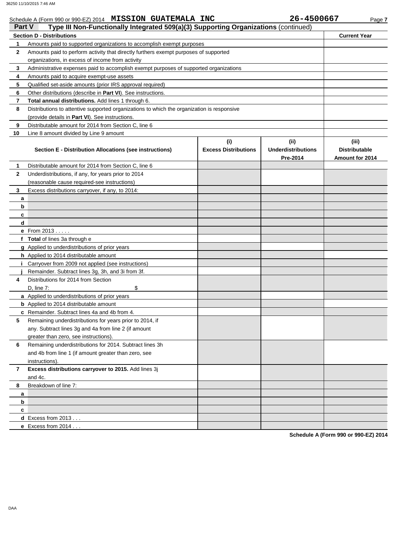### Schedule A (Form 990 or 990-EZ) 2014 **MISSION GUATEMALA INC** 26-4500667 Page 7

| Part V<br>Type III Non-Functionally Integrated 509(a)(3) Supporting Organizations (continued) |                                                                                            |                                    |                                               |                                                  |  |  |  |
|-----------------------------------------------------------------------------------------------|--------------------------------------------------------------------------------------------|------------------------------------|-----------------------------------------------|--------------------------------------------------|--|--|--|
|                                                                                               | <b>Section D - Distributions</b>                                                           |                                    |                                               | <b>Current Year</b>                              |  |  |  |
| 1                                                                                             | Amounts paid to supported organizations to accomplish exempt purposes                      |                                    |                                               |                                                  |  |  |  |
| $\mathbf{2}$                                                                                  | Amounts paid to perform activity that directly furthers exempt purposes of supported       |                                    |                                               |                                                  |  |  |  |
|                                                                                               | organizations, in excess of income from activity                                           |                                    |                                               |                                                  |  |  |  |
| 3                                                                                             | Administrative expenses paid to accomplish exempt purposes of supported organizations      |                                    |                                               |                                                  |  |  |  |
| 4                                                                                             | Amounts paid to acquire exempt-use assets                                                  |                                    |                                               |                                                  |  |  |  |
| 5                                                                                             | Qualified set-aside amounts (prior IRS approval required)                                  |                                    |                                               |                                                  |  |  |  |
| 6                                                                                             | Other distributions (describe in Part VI). See instructions.                               |                                    |                                               |                                                  |  |  |  |
| 7                                                                                             | <b>Total annual distributions.</b> Add lines 1 through 6.                                  |                                    |                                               |                                                  |  |  |  |
| 8                                                                                             | Distributions to attentive supported organizations to which the organization is responsive |                                    |                                               |                                                  |  |  |  |
|                                                                                               | (provide details in Part VI). See instructions.                                            |                                    |                                               |                                                  |  |  |  |
| 9                                                                                             | Distributable amount for 2014 from Section C, line 6                                       |                                    |                                               |                                                  |  |  |  |
| 10                                                                                            | Line 8 amount divided by Line 9 amount                                                     |                                    |                                               |                                                  |  |  |  |
|                                                                                               | Section E - Distribution Allocations (see instructions)                                    | (i)<br><b>Excess Distributions</b> | (ii)<br><b>Underdistributions</b><br>Pre-2014 | (iii)<br><b>Distributable</b><br>Amount for 2014 |  |  |  |
| 1                                                                                             | Distributable amount for 2014 from Section C, line 6                                       |                                    |                                               |                                                  |  |  |  |
| $\mathbf{2}$                                                                                  | Underdistributions, if any, for years prior to 2014                                        |                                    |                                               |                                                  |  |  |  |
|                                                                                               | (reasonable cause required-see instructions)                                               |                                    |                                               |                                                  |  |  |  |
| 3                                                                                             | Excess distributions carryover, if any, to 2014:                                           |                                    |                                               |                                                  |  |  |  |
| a                                                                                             |                                                                                            |                                    |                                               |                                                  |  |  |  |
| b                                                                                             |                                                                                            |                                    |                                               |                                                  |  |  |  |
| c                                                                                             |                                                                                            |                                    |                                               |                                                  |  |  |  |
| d                                                                                             |                                                                                            |                                    |                                               |                                                  |  |  |  |
|                                                                                               | <b>e</b> From $2013$                                                                       |                                    |                                               |                                                  |  |  |  |
|                                                                                               | f Total of lines 3a through e                                                              |                                    |                                               |                                                  |  |  |  |
|                                                                                               | g Applied to underdistributions of prior years                                             |                                    |                                               |                                                  |  |  |  |
|                                                                                               | h Applied to 2014 distributable amount                                                     |                                    |                                               |                                                  |  |  |  |
|                                                                                               | <i>i</i> Carryover from 2009 not applied (see instructions)                                |                                    |                                               |                                                  |  |  |  |
|                                                                                               | Remainder. Subtract lines 3g, 3h, and 3i from 3f.                                          |                                    |                                               |                                                  |  |  |  |
| 4                                                                                             | Distributions for 2014 from Section                                                        |                                    |                                               |                                                  |  |  |  |
|                                                                                               | \$<br>D, line 7:<br>a Applied to underdistributions of prior years                         |                                    |                                               |                                                  |  |  |  |
|                                                                                               | <b>b</b> Applied to 2014 distributable amount                                              |                                    |                                               |                                                  |  |  |  |
|                                                                                               | c Remainder. Subtract lines 4a and 4b from 4.                                              |                                    |                                               |                                                  |  |  |  |
| 5                                                                                             | Remaining underdistributions for years prior to 2014, if                                   |                                    |                                               |                                                  |  |  |  |
|                                                                                               | any. Subtract lines 3g and 4a from line 2 (if amount                                       |                                    |                                               |                                                  |  |  |  |
|                                                                                               | greater than zero, see instructions).                                                      |                                    |                                               |                                                  |  |  |  |
| 6                                                                                             | Remaining underdistributions for 2014. Subtract lines 3h                                   |                                    |                                               |                                                  |  |  |  |
|                                                                                               | and 4b from line 1 (if amount greater than zero, see                                       |                                    |                                               |                                                  |  |  |  |
|                                                                                               | instructions).                                                                             |                                    |                                               |                                                  |  |  |  |
| 7                                                                                             | Excess distributions carryover to 2015. Add lines 3j                                       |                                    |                                               |                                                  |  |  |  |
|                                                                                               | and 4c.                                                                                    |                                    |                                               |                                                  |  |  |  |
| 8                                                                                             | Breakdown of line 7:                                                                       |                                    |                                               |                                                  |  |  |  |
| a                                                                                             |                                                                                            |                                    |                                               |                                                  |  |  |  |
| b                                                                                             |                                                                                            |                                    |                                               |                                                  |  |  |  |
| c                                                                                             |                                                                                            |                                    |                                               |                                                  |  |  |  |
|                                                                                               | $d$ Excess from 2013                                                                       |                                    |                                               |                                                  |  |  |  |
|                                                                                               | e Excess from $2014$                                                                       |                                    |                                               |                                                  |  |  |  |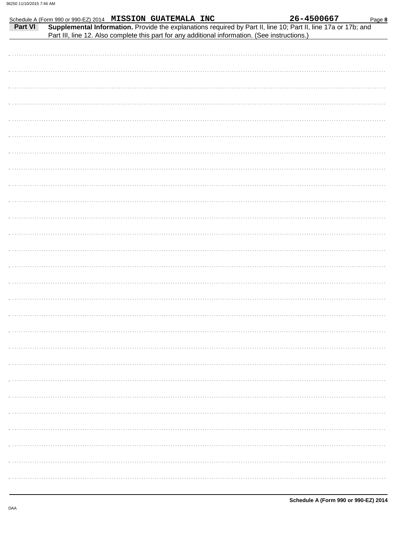|         |  | Schedule A (Form 990 or 990-EZ) 2014 MISSION GUATEMALA INC                                     |  | 26-4500667                                                                                                     | Page 8 |
|---------|--|------------------------------------------------------------------------------------------------|--|----------------------------------------------------------------------------------------------------------------|--------|
| Part VI |  |                                                                                                |  | Supplemental Information. Provide the explanations required by Part II, line 10; Part II, line 17a or 17b; and |        |
|         |  | Part III, line 12. Also complete this part for any additional information. (See instructions.) |  |                                                                                                                |        |
|         |  |                                                                                                |  |                                                                                                                |        |
|         |  |                                                                                                |  |                                                                                                                |        |
|         |  |                                                                                                |  |                                                                                                                |        |
|         |  |                                                                                                |  |                                                                                                                |        |
|         |  |                                                                                                |  |                                                                                                                |        |
|         |  |                                                                                                |  |                                                                                                                |        |
|         |  |                                                                                                |  |                                                                                                                |        |
|         |  |                                                                                                |  |                                                                                                                |        |
|         |  |                                                                                                |  |                                                                                                                |        |
|         |  |                                                                                                |  |                                                                                                                |        |
|         |  |                                                                                                |  |                                                                                                                |        |
|         |  |                                                                                                |  |                                                                                                                |        |
|         |  |                                                                                                |  |                                                                                                                |        |
|         |  |                                                                                                |  |                                                                                                                |        |
|         |  |                                                                                                |  |                                                                                                                |        |
|         |  |                                                                                                |  |                                                                                                                |        |
|         |  |                                                                                                |  |                                                                                                                |        |
|         |  |                                                                                                |  |                                                                                                                |        |
|         |  |                                                                                                |  |                                                                                                                |        |
|         |  |                                                                                                |  |                                                                                                                |        |
|         |  |                                                                                                |  |                                                                                                                |        |
|         |  |                                                                                                |  |                                                                                                                |        |
|         |  |                                                                                                |  |                                                                                                                |        |
|         |  |                                                                                                |  |                                                                                                                |        |
|         |  |                                                                                                |  |                                                                                                                |        |
|         |  |                                                                                                |  |                                                                                                                |        |
|         |  |                                                                                                |  |                                                                                                                |        |
|         |  |                                                                                                |  |                                                                                                                |        |
|         |  |                                                                                                |  |                                                                                                                |        |
|         |  |                                                                                                |  |                                                                                                                |        |
|         |  |                                                                                                |  |                                                                                                                |        |
|         |  |                                                                                                |  |                                                                                                                |        |
|         |  |                                                                                                |  |                                                                                                                |        |
|         |  |                                                                                                |  |                                                                                                                |        |
|         |  |                                                                                                |  |                                                                                                                |        |
|         |  |                                                                                                |  |                                                                                                                |        |
|         |  |                                                                                                |  |                                                                                                                |        |
|         |  |                                                                                                |  |                                                                                                                |        |
|         |  |                                                                                                |  |                                                                                                                |        |
|         |  |                                                                                                |  |                                                                                                                |        |
|         |  |                                                                                                |  |                                                                                                                |        |
|         |  |                                                                                                |  |                                                                                                                |        |
|         |  |                                                                                                |  |                                                                                                                |        |
|         |  |                                                                                                |  |                                                                                                                |        |
|         |  |                                                                                                |  |                                                                                                                |        |
|         |  |                                                                                                |  |                                                                                                                |        |
|         |  |                                                                                                |  |                                                                                                                |        |
|         |  |                                                                                                |  |                                                                                                                |        |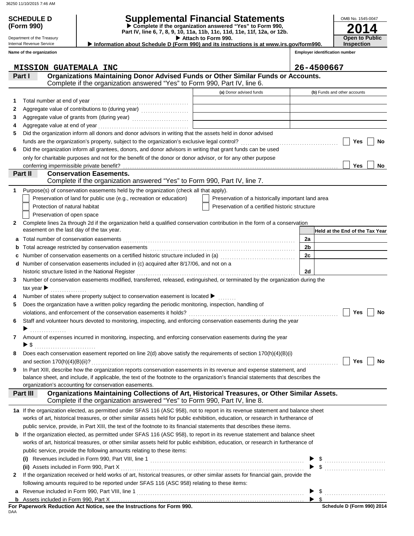**(Form 990)**

## **SCHEDULE D Supplemental Financial Statements**

**Part IV, line 6, 7, 8, 9, 10, 11a, 11b, 11c, 11d, 11e, 11f, 12a, or 12b. Complete if the organization answered "Yes" to Form 990,**

 **Information about Schedule D (Form 990) and its instructions is at www.irs.gov/form990.**

Internal Revenue Service **Name of the organization**

Department of the Treasury

 **Attach to Form 990.** 

**Open to Public Inspection**

**2014**

OMB No. 1545-0047

**Employer identification number**

|             | <b>MISSION GUATEMALA INC</b>                                                                                                      |                                                    |                | 26-4500667                      |
|-------------|-----------------------------------------------------------------------------------------------------------------------------------|----------------------------------------------------|----------------|---------------------------------|
|             | Organizations Maintaining Donor Advised Funds or Other Similar Funds or Accounts.<br>Part I                                       |                                                    |                |                                 |
|             | Complete if the organization answered "Yes" to Form 990, Part IV, line 6.                                                         |                                                    |                |                                 |
|             |                                                                                                                                   | (a) Donor advised funds                            |                | (b) Funds and other accounts    |
| 1           |                                                                                                                                   |                                                    |                |                                 |
| 2           | Aggregate value of contributions to (during year)                                                                                 |                                                    |                |                                 |
| З           |                                                                                                                                   |                                                    |                |                                 |
| 4           |                                                                                                                                   |                                                    |                |                                 |
| 5           | Did the organization inform all donors and donor advisors in writing that the assets held in donor advised                        |                                                    |                |                                 |
|             |                                                                                                                                   |                                                    |                | Yes<br>No                       |
| 6           | Did the organization inform all grantees, donors, and donor advisors in writing that grant funds can be used                      |                                                    |                |                                 |
|             | only for charitable purposes and not for the benefit of the donor or donor advisor, or for any other purpose                      |                                                    |                |                                 |
|             | conferring impermissible private benefit?                                                                                         |                                                    |                | Yes<br>No                       |
|             | <b>Conservation Easements.</b><br>Part II                                                                                         |                                                    |                |                                 |
|             | Complete if the organization answered "Yes" to Form 990, Part IV, line 7.                                                         |                                                    |                |                                 |
| 1           | Purpose(s) of conservation easements held by the organization (check all that apply).                                             |                                                    |                |                                 |
|             | Preservation of land for public use (e.g., recreation or education)                                                               | Preservation of a historically important land area |                |                                 |
|             | Protection of natural habitat                                                                                                     | Preservation of a certified historic structure     |                |                                 |
|             | Preservation of open space                                                                                                        |                                                    |                |                                 |
| 2           | Complete lines 2a through 2d if the organization held a qualified conservation contribution in the form of a conservation         |                                                    |                |                                 |
|             | easement on the last day of the tax year.                                                                                         |                                                    |                | Held at the End of the Tax Year |
| а           |                                                                                                                                   |                                                    | 2a             |                                 |
| $\mathbf b$ |                                                                                                                                   |                                                    | 2 <sub>b</sub> |                                 |
| с           |                                                                                                                                   |                                                    | 2c             |                                 |
| d           | Number of conservation easements included in (c) acquired after 8/17/06, and not on a                                             |                                                    |                |                                 |
|             | historic structure listed in the National Register                                                                                |                                                    | 2d             |                                 |
| 3           | Number of conservation easements modified, transferred, released, extinguished, or terminated by the organization during the      |                                                    |                |                                 |
|             | tax year $\blacktriangleright$<br>.                                                                                               |                                                    |                |                                 |
|             | Number of states where property subject to conservation easement is located ▶                                                     |                                                    |                |                                 |
| 5.          | Does the organization have a written policy regarding the periodic monitoring, inspection, handling of                            |                                                    |                |                                 |
|             |                                                                                                                                   |                                                    |                | Yes<br>No                       |
| 6           | Staff and volunteer hours devoted to monitoring, inspecting, and enforcing conservation easements during the year                 |                                                    |                |                                 |
|             | .                                                                                                                                 |                                                    |                |                                 |
|             | Amount of expenses incurred in monitoring, inspecting, and enforcing conservation easements during the year                       |                                                    |                |                                 |
|             | $\blacktriangleright$ \$                                                                                                          |                                                    |                |                                 |
|             | Does each conservation easement reported on line 2(d) above satisfy the requirements of section 170(h)(4)(B)(i)                   |                                                    |                | Yes<br>No                       |
|             | In Part XIII, describe how the organization reports conservation easements in its revenue and expense statement, and              |                                                    |                |                                 |
|             | balance sheet, and include, if applicable, the text of the footnote to the organization's financial statements that describes the |                                                    |                |                                 |
|             | organization's accounting for conservation easements.                                                                             |                                                    |                |                                 |
|             | Organizations Maintaining Collections of Art, Historical Treasures, or Other Similar Assets.<br>Part III                          |                                                    |                |                                 |
|             | Complete if the organization answered "Yes" to Form 990, Part IV, line 8.                                                         |                                                    |                |                                 |
|             | 1a If the organization elected, as permitted under SFAS 116 (ASC 958), not to report in its revenue statement and balance sheet   |                                                    |                |                                 |
|             | works of art, historical treasures, or other similar assets held for public exhibition, education, or research in furtherance of  |                                                    |                |                                 |
|             | public service, provide, in Part XIII, the text of the footnote to its financial statements that describes these items.           |                                                    |                |                                 |
| b           | If the organization elected, as permitted under SFAS 116 (ASC 958), to report in its revenue statement and balance sheet          |                                                    |                |                                 |
|             | works of art, historical treasures, or other similar assets held for public exhibition, education, or research in furtherance of  |                                                    |                |                                 |
|             | public service, provide the following amounts relating to these items:                                                            |                                                    |                |                                 |
|             |                                                                                                                                   |                                                    |                |                                 |
|             |                                                                                                                                   |                                                    |                | $\frac{1}{2}$                   |
| 2           | If the organization received or held works of art, historical treasures, or other similar assets for financial gain, provide the  |                                                    |                |                                 |
|             | following amounts required to be reported under SFAS 116 (ASC 958) relating to these items:                                       |                                                    |                |                                 |
| a           |                                                                                                                                   |                                                    |                | \$                              |
| b           |                                                                                                                                   |                                                    |                | $\blacktriangleright$ \$        |
|             | For Paperwork Reduction Act Notice, see the Instructions for Form 990.                                                            |                                                    |                | Schedule D (Form 990) 2014      |

DAA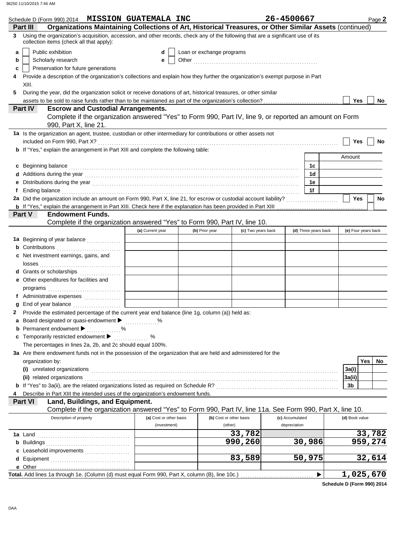| Schedule D (Form 990) 2014 MISSION GUATEMALA INC                                                                                                                                                                                                             |                         |                           |                         | 26-4500667           |                | Page 2              |
|--------------------------------------------------------------------------------------------------------------------------------------------------------------------------------------------------------------------------------------------------------------|-------------------------|---------------------------|-------------------------|----------------------|----------------|---------------------|
| Organizations Maintaining Collections of Art, Historical Treasures, or Other Similar Assets (continued)<br>Part III<br>Using the organization's acquisition, accession, and other records, check any of the following that are a significant use of its<br>3 |                         |                           |                         |                      |                |                     |
| collection items (check all that apply):                                                                                                                                                                                                                     |                         |                           |                         |                      |                |                     |
| Public exhibition<br>а                                                                                                                                                                                                                                       | d                       | Loan or exchange programs |                         |                      |                |                     |
| Scholarly research<br>b                                                                                                                                                                                                                                      | е                       |                           |                         |                      |                |                     |
| Preservation for future generations<br>c                                                                                                                                                                                                                     |                         |                           |                         |                      |                |                     |
| Provide a description of the organization's collections and explain how they further the organization's exempt purpose in Part                                                                                                                               |                         |                           |                         |                      |                |                     |
| XIII.                                                                                                                                                                                                                                                        |                         |                           |                         |                      |                |                     |
| During the year, did the organization solicit or receive donations of art, historical treasures, or other similar<br>5                                                                                                                                       |                         |                           |                         |                      |                |                     |
| assets to be sold to raise funds rather than to be maintained as part of the organization's collection?<br><b>Part IV</b><br><b>Escrow and Custodial Arrangements.</b>                                                                                       |                         |                           |                         |                      | Yes            | No                  |
| Complete if the organization answered "Yes" to Form 990, Part IV, line 9, or reported an amount on Form<br>990, Part X, line 21.                                                                                                                             |                         |                           |                         |                      |                |                     |
| 1a Is the organization an agent, trustee, custodian or other intermediary for contributions or other assets not                                                                                                                                              |                         |                           |                         |                      |                |                     |
|                                                                                                                                                                                                                                                              |                         |                           |                         |                      | Yes            | No                  |
| <b>b</b> If "Yes," explain the arrangement in Part XIII and complete the following table:                                                                                                                                                                    |                         |                           |                         |                      |                |                     |
|                                                                                                                                                                                                                                                              |                         |                           |                         |                      | Amount         |                     |
| Beginning balance expression and contact the contract of the contract of the contract of the contract of the contract of the contract of the contract of the contract of the contract of the contract of the contract of the c<br>c                          |                         |                           |                         | 1c                   |                |                     |
|                                                                                                                                                                                                                                                              |                         |                           |                         | 1d                   |                |                     |
| е                                                                                                                                                                                                                                                            |                         |                           |                         | 1е                   |                |                     |
| Ending balance <b>constructs</b> and constructs and constructs and constructs are the constructed and constructs are the construction of the construction of the construction of the construction of the construction of the constr<br>f                     |                         |                           |                         | 1f                   |                |                     |
|                                                                                                                                                                                                                                                              |                         |                           |                         |                      | <b>Yes</b>     | No                  |
|                                                                                                                                                                                                                                                              |                         |                           |                         |                      |                |                     |
| <b>Endowment Funds.</b><br>Part V<br>Complete if the organization answered "Yes" to Form 990, Part IV, line 10.                                                                                                                                              |                         |                           |                         |                      |                |                     |
|                                                                                                                                                                                                                                                              | (a) Current year        | (b) Prior year            | (c) Two years back      | (d) Three years back |                | (e) Four years back |
|                                                                                                                                                                                                                                                              |                         |                           |                         |                      |                |                     |
| 1a Beginning of year balance                                                                                                                                                                                                                                 |                         |                           |                         |                      |                |                     |
| <b>b</b> Contributions <b>contributions</b><br><b>c</b> Net investment earnings, gains, and                                                                                                                                                                  |                         |                           |                         |                      |                |                     |
|                                                                                                                                                                                                                                                              |                         |                           |                         |                      |                |                     |
| d Grants or scholarships                                                                                                                                                                                                                                     |                         |                           |                         |                      |                |                     |
| e Other expenditures for facilities and                                                                                                                                                                                                                      |                         |                           |                         |                      |                |                     |
|                                                                                                                                                                                                                                                              |                         |                           |                         |                      |                |                     |
| f Administrative expenses                                                                                                                                                                                                                                    |                         |                           |                         |                      |                |                     |
|                                                                                                                                                                                                                                                              |                         |                           |                         |                      |                |                     |
| Provide the estimated percentage of the current year end balance (line 1g, column (a)) held as:                                                                                                                                                              |                         |                           |                         |                      |                |                     |
| a Board designated or quasi-endowment > %                                                                                                                                                                                                                    |                         |                           |                         |                      |                |                     |
| <b>b</b> Permanent endowment <b>D</b> 2000 1000 1000                                                                                                                                                                                                         |                         |                           |                         |                      |                |                     |
| c Temporarily restricted endowment $\blacktriangleright$                                                                                                                                                                                                     | %<br>.                  |                           |                         |                      |                |                     |
| The percentages in lines 2a, 2b, and 2c should equal 100%.                                                                                                                                                                                                   |                         |                           |                         |                      |                |                     |
| 3a Are there endowment funds not in the possession of the organization that are held and administered for the                                                                                                                                                |                         |                           |                         |                      |                |                     |
| organization by:                                                                                                                                                                                                                                             |                         |                           |                         |                      |                | <b>Yes</b><br>No    |
|                                                                                                                                                                                                                                                              |                         |                           |                         |                      | 3a(i)          |                     |
| (ii) related organizations expansion of the contract of the contract of the contract of the contract or contract or the contract of the contract of the contract of the contract of the contract of the contract of the contra                               |                         |                           |                         |                      | 3a(ii)         |                     |
|                                                                                                                                                                                                                                                              |                         |                           |                         |                      | 3b             |                     |
| Describe in Part XIII the intended uses of the organization's endowment funds.<br>4<br>Land, Buildings, and Equipment.<br><b>Part VI</b>                                                                                                                     |                         |                           |                         |                      |                |                     |
| Complete if the organization answered "Yes" to Form 990, Part IV, line 11a. See Form 990, Part X, line 10.                                                                                                                                                   |                         |                           |                         |                      |                |                     |
| Description of property                                                                                                                                                                                                                                      | (a) Cost or other basis |                           | (b) Cost or other basis | (c) Accumulated      | (d) Book value |                     |
|                                                                                                                                                                                                                                                              | (investment)            |                           | (other)                 | depreciation         |                |                     |
|                                                                                                                                                                                                                                                              |                         |                           | 33,782                  |                      |                | 33,782              |
|                                                                                                                                                                                                                                                              |                         |                           | 990,260                 | 30,986               |                | 959,274             |
| c Leasehold improvements                                                                                                                                                                                                                                     |                         |                           |                         |                      |                |                     |
|                                                                                                                                                                                                                                                              |                         |                           | 83,589                  | 50,975               |                | 32,614              |
|                                                                                                                                                                                                                                                              |                         |                           |                         |                      |                |                     |
|                                                                                                                                                                                                                                                              |                         |                           |                         |                      |                | <u>1,025,670</u>    |

**Schedule D (Form 990) 2014**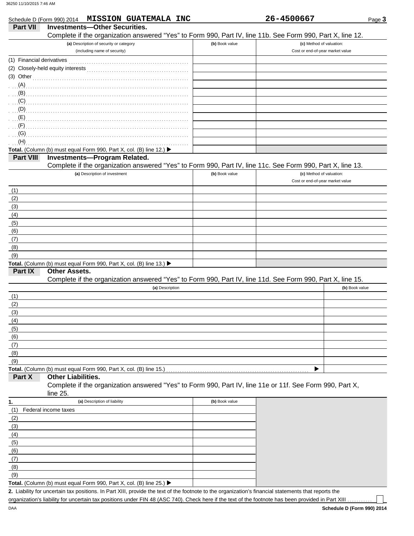| <b>Part VII</b>                                             | Schedule D (Form 990) 2014 MISSION GUATEMALA INC<br><b>Investments-Other Securities.</b>                                                    |                | 26-4500667                       | Page 3         |
|-------------------------------------------------------------|---------------------------------------------------------------------------------------------------------------------------------------------|----------------|----------------------------------|----------------|
|                                                             | Complete if the organization answered "Yes" to Form 990, Part IV, line 11b. See Form 990, Part X, line 12.                                  |                |                                  |                |
|                                                             | (a) Description of security or category                                                                                                     | (b) Book value | (c) Method of valuation:         |                |
|                                                             | (including name of security)                                                                                                                |                | Cost or end-of-year market value |                |
| (1) Financial derivatives                                   |                                                                                                                                             |                |                                  |                |
|                                                             |                                                                                                                                             |                |                                  |                |
| (3) Other                                                   |                                                                                                                                             |                |                                  |                |
| (A)                                                         |                                                                                                                                             |                |                                  |                |
|                                                             | $\mathbf{B}$ (B)                                                                                                                            |                |                                  |                |
|                                                             |                                                                                                                                             |                |                                  |                |
| $\mathbf{D}$ (D) $\mathbf{D}$                               |                                                                                                                                             |                |                                  |                |
| (E)                                                         |                                                                                                                                             |                |                                  |                |
| (F)                                                         |                                                                                                                                             |                |                                  |                |
| (G)                                                         |                                                                                                                                             |                |                                  |                |
| (H)                                                         |                                                                                                                                             |                |                                  |                |
|                                                             | Total. (Column (b) must equal Form 990, Part X, col. (B) line 12.) ▶                                                                        |                |                                  |                |
| Part VIII                                                   | Investments-Program Related.                                                                                                                |                |                                  |                |
|                                                             | Complete if the organization answered "Yes" to Form 990, Part IV, line 11c. See Form 990, Part X, line 13.<br>(a) Description of investment | (b) Book value | (c) Method of valuation:         |                |
|                                                             |                                                                                                                                             |                | Cost or end-of-year market value |                |
| (1)                                                         |                                                                                                                                             |                |                                  |                |
| (2)                                                         |                                                                                                                                             |                |                                  |                |
| (3)                                                         |                                                                                                                                             |                |                                  |                |
| (4)                                                         |                                                                                                                                             |                |                                  |                |
| (5)                                                         |                                                                                                                                             |                |                                  |                |
| (6)                                                         |                                                                                                                                             |                |                                  |                |
| (7)                                                         |                                                                                                                                             |                |                                  |                |
| (8)                                                         |                                                                                                                                             |                |                                  |                |
| (9)                                                         |                                                                                                                                             |                |                                  |                |
|                                                             | Total. (Column (b) must equal Form 990, Part X, col. (B) line 13.) ▶                                                                        |                |                                  |                |
| Part IX                                                     | <b>Other Assets.</b>                                                                                                                        |                |                                  |                |
|                                                             | Complete if the organization answered "Yes" to Form 990, Part IV, line 11d. See Form 990, Part X, line 15.                                  |                |                                  |                |
|                                                             | (a) Description                                                                                                                             |                |                                  | (b) Book value |
| (1)                                                         |                                                                                                                                             |                |                                  |                |
| (2)                                                         |                                                                                                                                             |                |                                  |                |
| (3)                                                         |                                                                                                                                             |                |                                  |                |
| (4)                                                         |                                                                                                                                             |                |                                  |                |
| (5)                                                         |                                                                                                                                             |                |                                  |                |
| (6)                                                         |                                                                                                                                             |                |                                  |                |
| (7)                                                         |                                                                                                                                             |                |                                  |                |
| (8)                                                         |                                                                                                                                             |                |                                  |                |
| (9)                                                         |                                                                                                                                             |                |                                  |                |
|                                                             | Total. (Column (b) must equal Form 990, Part X, col. (B) line 15.)                                                                          |                | ▶                                |                |
| Part X                                                      | <b>Other Liabilities.</b>                                                                                                                   |                |                                  |                |
|                                                             | Complete if the organization answered "Yes" to Form 990, Part IV, line 11e or 11f. See Form 990, Part X,<br>line $25$ .                     |                |                                  |                |
|                                                             | (a) Description of liability                                                                                                                | (b) Book value |                                  |                |
|                                                             |                                                                                                                                             |                |                                  |                |
|                                                             |                                                                                                                                             |                |                                  |                |
| Federal income taxes                                        |                                                                                                                                             |                |                                  |                |
|                                                             |                                                                                                                                             |                |                                  |                |
|                                                             |                                                                                                                                             |                |                                  |                |
|                                                             |                                                                                                                                             |                |                                  |                |
|                                                             |                                                                                                                                             |                |                                  |                |
| 1.<br>(1)                                                   |                                                                                                                                             |                |                                  |                |
|                                                             |                                                                                                                                             |                |                                  |                |
| $\frac{(2)}{(3)}$<br>(4)<br>(6)<br>(6)<br>(7)<br>(8)<br>(9) |                                                                                                                                             |                |                                  |                |

Liability for uncertain tax positions. In Part XIII, provide the text of the footnote to the organization's financial statements that reports the **2.** organization's liability for uncertain tax positions under FIN 48 (ASC 740). Check here if the text of the footnote has been provided in Part XIII.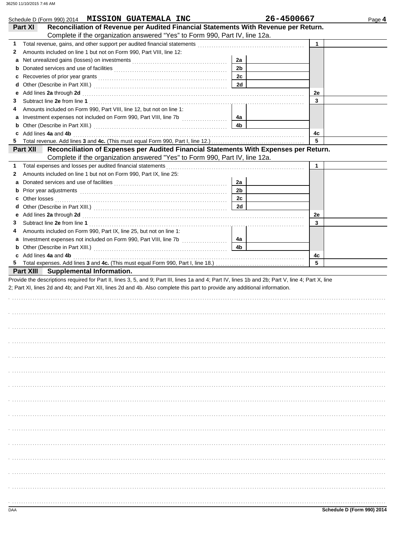|                   | Schedule D (Form 990) 2014 MISSION GUATEMALA INC                                                                                                                                                                               |                | 26-4500667   | Page 4 |
|-------------------|--------------------------------------------------------------------------------------------------------------------------------------------------------------------------------------------------------------------------------|----------------|--------------|--------|
| Part XI           | Reconciliation of Revenue per Audited Financial Statements With Revenue per Return.<br>Complete if the organization answered "Yes" to Form 990, Part IV, line 12a.                                                             |                |              |        |
| 1                 |                                                                                                                                                                                                                                |                | $\mathbf{1}$ |        |
| 2                 | Amounts included on line 1 but not on Form 990, Part VIII, line 12:                                                                                                                                                            |                |              |        |
| a                 |                                                                                                                                                                                                                                | 2a             |              |        |
| b                 |                                                                                                                                                                                                                                | 2 <sub>b</sub> |              |        |
| c                 |                                                                                                                                                                                                                                | 2c             |              |        |
| d                 |                                                                                                                                                                                                                                | 2d             |              |        |
| е                 | Add lines 2a through 2d [11] Additional Property and Property and Property and Property and Property and Property and Property and Property and Property and Property and Property and Property and Property and Property and  |                | 2e           |        |
| 3                 |                                                                                                                                                                                                                                |                | 3            |        |
| 4                 | Amounts included on Form 990, Part VIII, line 12, but not on line 1:                                                                                                                                                           |                |              |        |
| а                 | Investment expenses not included on Form 990, Part VIII, line 7b [                                                                                                                                                             | 4a             |              |        |
| b                 |                                                                                                                                                                                                                                | 4b             |              |        |
|                   | c Add lines 4a and 4b                                                                                                                                                                                                          |                | 4c<br>5      |        |
| 5.                |                                                                                                                                                                                                                                |                |              |        |
| <b>Part XII</b>   | Reconciliation of Expenses per Audited Financial Statements With Expenses per Return.<br>Complete if the organization answered "Yes" to Form 990, Part IV, line 12a.                                                           |                |              |        |
| 1.                |                                                                                                                                                                                                                                |                | $\mathbf{1}$ |        |
| 2                 | Amounts included on line 1 but not on Form 990, Part IX, line 25:                                                                                                                                                              |                |              |        |
| а                 |                                                                                                                                                                                                                                | 2a             |              |        |
| b                 |                                                                                                                                                                                                                                | 2 <sub>b</sub> |              |        |
| Other losses<br>c |                                                                                                                                                                                                                                | 2c             |              |        |
| d                 |                                                                                                                                                                                                                                | 2d             |              |        |
| е                 | Add lines 2a through 2d [11] March 20 [11] March 20 [12] March 20 [12] March 20 [12] March 20 [12] March 20 [12] March 20 [12] March 20 [12] March 20 [12] March 20 [12] March 20 [12] March 20 [12] March 20 [12] March 20 [1 |                | 2e           |        |
| 3                 |                                                                                                                                                                                                                                |                | 3            |        |
| 4                 | Amounts included on Form 990, Part IX, line 25, but not on line 1:                                                                                                                                                             |                |              |        |
| a                 | Investment expenses not included on Form 990, Part VIII, line 7b [                                                                                                                                                             | 4a             |              |        |
| b                 |                                                                                                                                                                                                                                | 4 <sub>b</sub> |              |        |
|                   | c Add lines 4a and 4b                                                                                                                                                                                                          |                | 4с           |        |
| 5.                |                                                                                                                                                                                                                                |                | 5            |        |
|                   | Part XIII Supplemental Information.                                                                                                                                                                                            |                |              |        |
|                   | Provide the descriptions required for Part II, lines 3, 5, and 9; Part III, lines 1a and 4; Part IV, lines 1b and 2b; Part V, line 4; Part X, line                                                                             |                |              |        |
|                   | 2; Part XI, lines 2d and 4b; and Part XII, lines 2d and 4b. Also complete this part to provide any additional information.                                                                                                     |                |              |        |
|                   |                                                                                                                                                                                                                                |                |              |        |
|                   |                                                                                                                                                                                                                                |                |              |        |
|                   |                                                                                                                                                                                                                                |                |              |        |
|                   |                                                                                                                                                                                                                                |                |              |        |
|                   |                                                                                                                                                                                                                                |                |              |        |
|                   |                                                                                                                                                                                                                                |                |              |        |
|                   |                                                                                                                                                                                                                                |                |              |        |
|                   |                                                                                                                                                                                                                                |                |              |        |
|                   |                                                                                                                                                                                                                                |                |              |        |
|                   |                                                                                                                                                                                                                                |                |              |        |
|                   |                                                                                                                                                                                                                                |                |              |        |
|                   |                                                                                                                                                                                                                                |                |              |        |
|                   |                                                                                                                                                                                                                                |                |              |        |
|                   |                                                                                                                                                                                                                                |                |              |        |
|                   |                                                                                                                                                                                                                                |                |              |        |
|                   |                                                                                                                                                                                                                                |                |              |        |
|                   |                                                                                                                                                                                                                                |                |              |        |
|                   |                                                                                                                                                                                                                                |                |              |        |
|                   |                                                                                                                                                                                                                                |                |              |        |
|                   |                                                                                                                                                                                                                                |                |              |        |
|                   |                                                                                                                                                                                                                                |                |              |        |
|                   |                                                                                                                                                                                                                                |                |              |        |
|                   |                                                                                                                                                                                                                                |                |              |        |
|                   |                                                                                                                                                                                                                                |                |              |        |
|                   |                                                                                                                                                                                                                                |                |              |        |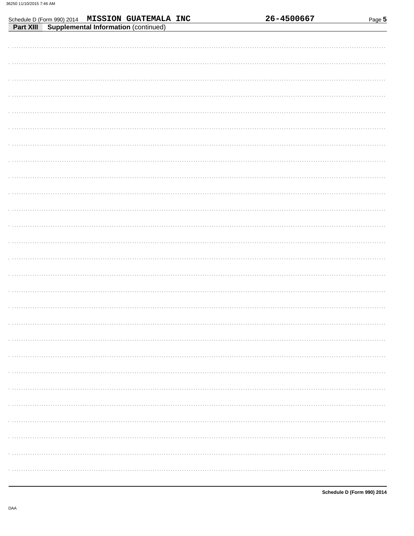| Schedule D (Form 990) 2014 MISSION GUATEMALA INC  | 26-4500667 | Page 5 |
|---------------------------------------------------|------------|--------|
| Supplemental Information (continued)<br>Part XIII |            |        |
|                                                   |            |        |
|                                                   |            |        |
|                                                   |            |        |
|                                                   |            |        |
|                                                   |            |        |
|                                                   |            |        |
|                                                   |            |        |
|                                                   |            |        |
|                                                   |            |        |
|                                                   |            |        |
|                                                   |            |        |
|                                                   |            |        |
|                                                   |            |        |
|                                                   |            |        |
|                                                   |            |        |
|                                                   |            |        |
|                                                   |            |        |
|                                                   |            |        |
|                                                   |            |        |
|                                                   |            |        |
|                                                   |            |        |
|                                                   |            |        |
|                                                   |            |        |
|                                                   |            |        |
|                                                   |            |        |
|                                                   |            |        |
|                                                   |            |        |

. . . . .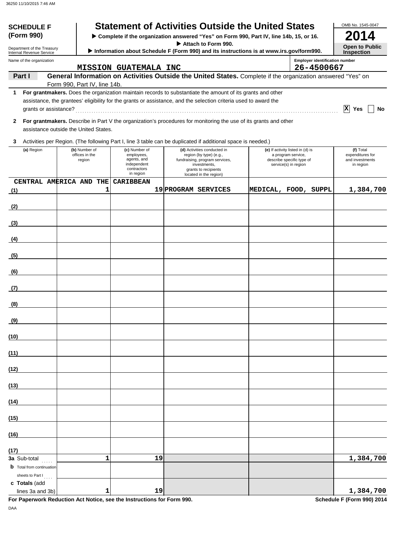| <b>SCHEDULE F</b><br>(Form 990)                        |                                       | <b>Statement of Activities Outside the United States</b><br>> Complete if the organization answered "Yes" on Form 990, Part IV, line 14b, 15, or 16.                                                                           |    |                                                                                                                             |  |                                                                         |                                                     | OMB No. 1545-0047                                |
|--------------------------------------------------------|---------------------------------------|--------------------------------------------------------------------------------------------------------------------------------------------------------------------------------------------------------------------------------|----|-----------------------------------------------------------------------------------------------------------------------------|--|-------------------------------------------------------------------------|-----------------------------------------------------|--------------------------------------------------|
|                                                        |                                       |                                                                                                                                                                                                                                |    | Attach to Form 990.                                                                                                         |  |                                                                         |                                                     | <b>Open to Public</b>                            |
| Department of the Treasury<br>Internal Revenue Service |                                       | Information about Schedule F (Form 990) and its instructions is at www.irs.gov/form990.                                                                                                                                        |    |                                                                                                                             |  |                                                                         |                                                     | <b>Inspection</b>                                |
| Name of the organization                               |                                       | <b>MISSION GUATEMALA INC</b>                                                                                                                                                                                                   |    |                                                                                                                             |  |                                                                         | <b>Employer identification number</b><br>26-4500667 |                                                  |
| Part I                                                 |                                       | General Information on Activities Outside the United States. Complete if the organization answered "Yes" on                                                                                                                    |    |                                                                                                                             |  |                                                                         |                                                     |                                                  |
|                                                        | Form 990, Part IV, line 14b.          |                                                                                                                                                                                                                                |    |                                                                                                                             |  |                                                                         |                                                     |                                                  |
| 1<br>grants or assistance?                             |                                       | For grantmakers. Does the organization maintain records to substantiate the amount of its grants and other<br>assistance, the grantees' eligibility for the grants or assistance, and the selection criteria used to award the |    |                                                                                                                             |  |                                                                         |                                                     | $ X $ Yes<br>No                                  |
| $\mathbf{2}$                                           | assistance outside the United States. | For grantmakers. Describe in Part V the organization's procedures for monitoring the use of its grants and other                                                                                                               |    |                                                                                                                             |  |                                                                         |                                                     |                                                  |
| 3                                                      |                                       | Activities per Region. (The following Part I, line 3 table can be duplicated if additional space is needed.)                                                                                                                   |    |                                                                                                                             |  |                                                                         |                                                     |                                                  |
| (a) Region                                             | (b) Number of                         | (c) Number of                                                                                                                                                                                                                  |    | (d) Activities conducted in                                                                                                 |  | (e) If activity listed in (d) is                                        |                                                     | (f) Total                                        |
|                                                        | offices in the<br>region              | employees,<br>agents, and<br>independent<br>contractors<br>in region                                                                                                                                                           |    | region (by type) (e.g.,<br>fundraising, program services,<br>investments,<br>grants to recipients<br>located in the region) |  | a program service,<br>describe specific type of<br>service(s) in region |                                                     | expenditures for<br>and investments<br>in region |
| CENTRAL AMERICA AND THE                                |                                       | <b>CARIBBEAN</b>                                                                                                                                                                                                               |    |                                                                                                                             |  |                                                                         |                                                     |                                                  |
| (1)                                                    | 1                                     |                                                                                                                                                                                                                                |    | 19 PROGRAM SERVICES                                                                                                         |  |                                                                         | MEDICAL, FOOD, SUPPL                                | 1,384,700                                        |
| (2)                                                    |                                       |                                                                                                                                                                                                                                |    |                                                                                                                             |  |                                                                         |                                                     |                                                  |
| (3)                                                    |                                       |                                                                                                                                                                                                                                |    |                                                                                                                             |  |                                                                         |                                                     |                                                  |
| (4)                                                    |                                       |                                                                                                                                                                                                                                |    |                                                                                                                             |  |                                                                         |                                                     |                                                  |
| (5)                                                    |                                       |                                                                                                                                                                                                                                |    |                                                                                                                             |  |                                                                         |                                                     |                                                  |
| (6)                                                    |                                       |                                                                                                                                                                                                                                |    |                                                                                                                             |  |                                                                         |                                                     |                                                  |
| (7)                                                    |                                       |                                                                                                                                                                                                                                |    |                                                                                                                             |  |                                                                         |                                                     |                                                  |
| (8)                                                    |                                       |                                                                                                                                                                                                                                |    |                                                                                                                             |  |                                                                         |                                                     |                                                  |
|                                                        |                                       |                                                                                                                                                                                                                                |    |                                                                                                                             |  |                                                                         |                                                     |                                                  |
| (9)                                                    |                                       |                                                                                                                                                                                                                                |    |                                                                                                                             |  |                                                                         |                                                     |                                                  |
| (10)                                                   |                                       |                                                                                                                                                                                                                                |    |                                                                                                                             |  |                                                                         |                                                     |                                                  |
| (11)                                                   |                                       |                                                                                                                                                                                                                                |    |                                                                                                                             |  |                                                                         |                                                     |                                                  |
| (12)                                                   |                                       |                                                                                                                                                                                                                                |    |                                                                                                                             |  |                                                                         |                                                     |                                                  |
| (13)                                                   |                                       |                                                                                                                                                                                                                                |    |                                                                                                                             |  |                                                                         |                                                     |                                                  |
| (14)                                                   |                                       |                                                                                                                                                                                                                                |    |                                                                                                                             |  |                                                                         |                                                     |                                                  |
| (15)                                                   |                                       |                                                                                                                                                                                                                                |    |                                                                                                                             |  |                                                                         |                                                     |                                                  |
| (16)                                                   |                                       |                                                                                                                                                                                                                                |    |                                                                                                                             |  |                                                                         |                                                     |                                                  |
| (17)                                                   |                                       |                                                                                                                                                                                                                                |    |                                                                                                                             |  |                                                                         |                                                     |                                                  |
| 3a Sub-total<br><b>b</b> Total from continuation       | $\mathbf{1}$                          |                                                                                                                                                                                                                                | 19 |                                                                                                                             |  |                                                                         |                                                     | 1,384,700                                        |
| sheets to Part I                                       |                                       |                                                                                                                                                                                                                                |    |                                                                                                                             |  |                                                                         |                                                     |                                                  |
| c Totals (add<br>lines 3a and 3b)                      | 1                                     |                                                                                                                                                                                                                                | 19 |                                                                                                                             |  |                                                                         |                                                     | 1,384,700                                        |
|                                                        |                                       |                                                                                                                                                                                                                                |    |                                                                                                                             |  |                                                                         |                                                     |                                                  |

**For Paperwork Reduction Act Notice, see the Instructions for Form 990.** Schedule F (Form 990) 2014 DAA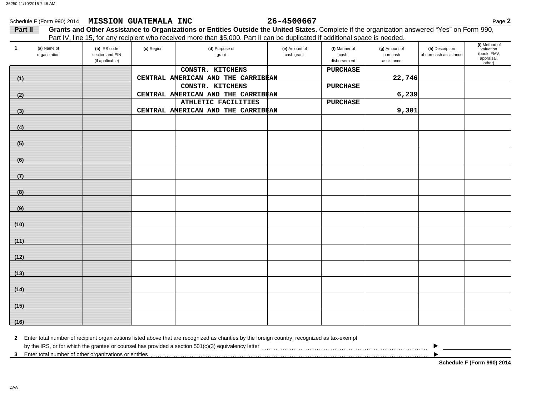|         |                             | Schedule F (Form 990) 2014 MISSION GUATEMALA INC   |            |                                                                                                                                                         | 26-4500667                  |                                       |                                         |                                           | Page 2                                                            |
|---------|-----------------------------|----------------------------------------------------|------------|---------------------------------------------------------------------------------------------------------------------------------------------------------|-----------------------------|---------------------------------------|-----------------------------------------|-------------------------------------------|-------------------------------------------------------------------|
| Part II |                             |                                                    |            | Grants and Other Assistance to Organizations or Entities Outside the United States. Complete if the organization answered "Yes" on Form 990,            |                             |                                       |                                         |                                           |                                                                   |
| 1       | (a) Name of<br>organization | (b) IRS code<br>section and EIN<br>(if applicable) | (c) Region | Part IV, line 15, for any recipient who received more than \$5,000. Part II can be duplicated if additional space is needed.<br>(d) Purpose of<br>grant | (e) Amount of<br>cash grant | (f) Manner of<br>cash<br>disbursement | (g) Amount of<br>non-cash<br>assistance | (h) Description<br>of non-cash assistance | (i) Method of<br>valuation<br>(book, FMV,<br>appraisal,<br>other) |
|         |                             |                                                    |            | CONSTR. KITCHENS                                                                                                                                        |                             | <b>PURCHASE</b>                       |                                         |                                           |                                                                   |
| (1)     |                             |                                                    |            | CENTRAL AMERICAN AND THE CARRIBEAN                                                                                                                      |                             |                                       | 22,746                                  |                                           |                                                                   |
|         |                             |                                                    |            | CONSTR. KITCHENS                                                                                                                                        |                             | <b>PURCHASE</b>                       |                                         |                                           |                                                                   |
| (2)     |                             |                                                    |            | CENTRAL AMERICAN AND THE CARRIBEAN<br>ATHLETIC FACILITIES                                                                                               |                             | <b>PURCHASE</b>                       | 6,239                                   |                                           |                                                                   |
| (3)     |                             |                                                    |            | CENTRAL AMERICAN AND THE CARRIBEAN                                                                                                                      |                             |                                       | 9,301                                   |                                           |                                                                   |
|         |                             |                                                    |            |                                                                                                                                                         |                             |                                       |                                         |                                           |                                                                   |
| (4)     |                             |                                                    |            |                                                                                                                                                         |                             |                                       |                                         |                                           |                                                                   |
| (5)     |                             |                                                    |            |                                                                                                                                                         |                             |                                       |                                         |                                           |                                                                   |
| (6)     |                             |                                                    |            |                                                                                                                                                         |                             |                                       |                                         |                                           |                                                                   |
| (7)     |                             |                                                    |            |                                                                                                                                                         |                             |                                       |                                         |                                           |                                                                   |
| (8)     |                             |                                                    |            |                                                                                                                                                         |                             |                                       |                                         |                                           |                                                                   |
| (9)     |                             |                                                    |            |                                                                                                                                                         |                             |                                       |                                         |                                           |                                                                   |
| (10)    |                             |                                                    |            |                                                                                                                                                         |                             |                                       |                                         |                                           |                                                                   |
| (11)    |                             |                                                    |            |                                                                                                                                                         |                             |                                       |                                         |                                           |                                                                   |
| (12)    |                             |                                                    |            |                                                                                                                                                         |                             |                                       |                                         |                                           |                                                                   |
| (13)    |                             |                                                    |            |                                                                                                                                                         |                             |                                       |                                         |                                           |                                                                   |
| (14)    |                             |                                                    |            |                                                                                                                                                         |                             |                                       |                                         |                                           |                                                                   |
| (15)    |                             |                                                    |            |                                                                                                                                                         |                             |                                       |                                         |                                           |                                                                   |
| (16)    |                             |                                                    |            |                                                                                                                                                         |                             |                                       |                                         |                                           |                                                                   |

| 2 Enter total number of recipient organizations listed above that are recognized as charities by the foreign country, recognized as tax-exempt |  |
|------------------------------------------------------------------------------------------------------------------------------------------------|--|
| by the IRS, or for which the grantee or counsel has provided a section 501(c)(3) equivalency letter                                            |  |
| 3 Enter total number of other organizations or entities                                                                                        |  |

**Schedule F (Form 990) 2014**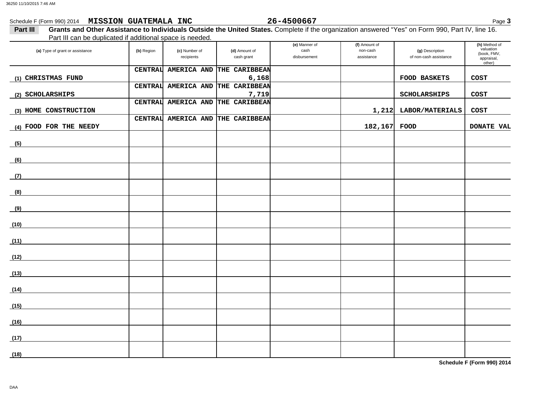| 86250 11/10/2015 7:46 AM                              |                                                                                                                                                  |                    |               |                       |                           |                        |                            |
|-------------------------------------------------------|--------------------------------------------------------------------------------------------------------------------------------------------------|--------------------|---------------|-----------------------|---------------------------|------------------------|----------------------------|
| Schedule F (Form 990) 2014 MISSION GUATEMALA INC      |                                                                                                                                                  |                    |               | 26-4500667            |                           |                        | Page 3                     |
| Part III                                              | Grants and Other Assistance to Individuals Outside the United States. Complete if the organization answered "Yes" on Form 990, Part IV, line 16. |                    |               |                       |                           |                        |                            |
|                                                       | Part III can be duplicated if additional space is needed.                                                                                        |                    |               |                       |                           |                        |                            |
| (a) Type of grant or assistance                       | (b) Region                                                                                                                                       | (c) Number of      | (d) Amount of | (e) Manner of<br>cash | (f) Amount of<br>non-cash | (g) Description        | (h) Method of<br>valuation |
|                                                       |                                                                                                                                                  | recipients         | cash grant    | disbursement          | assistance                | of non-cash assistance | (book, FMV,<br>appraisal,  |
|                                                       |                                                                                                                                                  |                    |               |                       |                           |                        | other)                     |
|                                                       | <b>CENTRAL</b>                                                                                                                                   | <b>AMERICA AND</b> | THE CARIBBEAN |                       |                           |                        |                            |
| (1) CHRISTMAS FUND                                    |                                                                                                                                                  |                    | 6,168         |                       |                           | <b>FOOD BASKETS</b>    | <b>COST</b>                |
|                                                       | <b>CENTRAL</b>                                                                                                                                   | AMERICA AND        | THE CARIBBEAN |                       |                           |                        |                            |
| (2) SCHOLARSHIPS                                      |                                                                                                                                                  |                    | 7,719         |                       |                           | <b>SCHOLARSHIPS</b>    | <b>COST</b>                |
|                                                       | <b>CENTRAL</b>                                                                                                                                   | AMERICA AND        | THE CARIBBEAN |                       |                           |                        |                            |
| (3) HOME CONSTRUCTION                                 |                                                                                                                                                  |                    |               |                       | 1,212                     | LABOR/MATERIALS        | <b>COST</b>                |
|                                                       | <b>CENTRAL</b>                                                                                                                                   | <b>AMERICA AND</b> | THE CARIBBEAN |                       |                           |                        |                            |
| (4) FOOD FOR THE NEEDY                                |                                                                                                                                                  |                    |               |                       | 182,167 FOOD              |                        | DONATE VAL                 |
|                                                       |                                                                                                                                                  |                    |               |                       |                           |                        |                            |
| (5)                                                   |                                                                                                                                                  |                    |               |                       |                           |                        |                            |
|                                                       |                                                                                                                                                  |                    |               |                       |                           |                        |                            |
| (6)                                                   |                                                                                                                                                  |                    |               |                       |                           |                        |                            |
|                                                       |                                                                                                                                                  |                    |               |                       |                           |                        |                            |
| (7)                                                   |                                                                                                                                                  |                    |               |                       |                           |                        |                            |
|                                                       |                                                                                                                                                  |                    |               |                       |                           |                        |                            |
|                                                       |                                                                                                                                                  |                    |               |                       |                           |                        |                            |
| (8)                                                   |                                                                                                                                                  |                    |               |                       |                           |                        |                            |
|                                                       |                                                                                                                                                  |                    |               |                       |                           |                        |                            |
| (9)<br><u> 1989 - Andrea State Barbara, poeta esp</u> |                                                                                                                                                  |                    |               |                       |                           |                        |                            |
|                                                       |                                                                                                                                                  |                    |               |                       |                           |                        |                            |
| (10)                                                  |                                                                                                                                                  |                    |               |                       |                           |                        |                            |
|                                                       |                                                                                                                                                  |                    |               |                       |                           |                        |                            |
| (11)                                                  |                                                                                                                                                  |                    |               |                       |                           |                        |                            |
|                                                       |                                                                                                                                                  |                    |               |                       |                           |                        |                            |
| (12)                                                  |                                                                                                                                                  |                    |               |                       |                           |                        |                            |
|                                                       |                                                                                                                                                  |                    |               |                       |                           |                        |                            |
| (13)                                                  |                                                                                                                                                  |                    |               |                       |                           |                        |                            |
|                                                       |                                                                                                                                                  |                    |               |                       |                           |                        |                            |
| (14)                                                  |                                                                                                                                                  |                    |               |                       |                           |                        |                            |
|                                                       |                                                                                                                                                  |                    |               |                       |                           |                        |                            |
| (15)                                                  |                                                                                                                                                  |                    |               |                       |                           |                        |                            |
|                                                       |                                                                                                                                                  |                    |               |                       |                           |                        |                            |
| (16)                                                  |                                                                                                                                                  |                    |               |                       |                           |                        |                            |
|                                                       |                                                                                                                                                  |                    |               |                       |                           |                        |                            |
| (17)                                                  |                                                                                                                                                  |                    |               |                       |                           |                        |                            |
|                                                       |                                                                                                                                                  |                    |               |                       |                           |                        |                            |

**Schedule F (Form 990) 2014**

**(18)**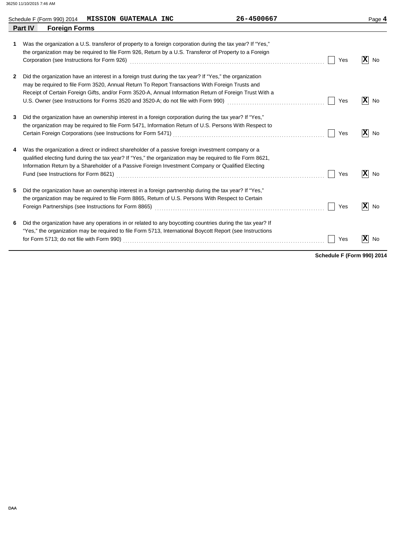|              | Schedule F (Form 990) 2014 MISSION GUATEMALA INC |                                                                                                                                                                                                                                                                                                                        | 26-4500667                                                                                                                                                                                                                    |     | Page 4               |
|--------------|--------------------------------------------------|------------------------------------------------------------------------------------------------------------------------------------------------------------------------------------------------------------------------------------------------------------------------------------------------------------------------|-------------------------------------------------------------------------------------------------------------------------------------------------------------------------------------------------------------------------------|-----|----------------------|
|              | Part IV<br><b>Foreign Forms</b>                  |                                                                                                                                                                                                                                                                                                                        |                                                                                                                                                                                                                               |     |                      |
| 1            | Corporation (see Instructions for Form 926)      | Was the organization a U.S. transferor of property to a foreign corporation during the tax year? If "Yes,"<br>the organization may be required to file Form 926, Return by a U.S. Transferor of Property to a Foreign                                                                                                  |                                                                                                                                                                                                                               | Yes | $ \mathbf{x} $<br>No |
| $\mathbf{2}$ |                                                  | Did the organization have an interest in a foreign trust during the tax year? If "Yes," the organization<br>may be required to file Form 3520, Annual Return To Report Transactions With Foreign Trusts and<br>Receipt of Certain Foreign Gifts, and/or Form 3520-A, Annual Information Return of Foreign Trust With a | U.S. Owner (see Instructions for Forms 3520 and 3520-A; do not file with Form 990) [[[[[[[[[[[[[[[[[[[[[[[[[[                                                                                                                 | Yes | $ \mathbf{X} $<br>No |
| 3            |                                                  | Did the organization have an ownership interest in a foreign corporation during the tax year? If "Yes,"<br>the organization may be required to file Form 5471, Information Return of U.S. Persons With Respect to                                                                                                      | Certain Foreign Corporations (see Instructions for Form 5471) [[20] North Managem Cortain Corporations (see Instructions for Form 5471) [[20] North Managem Corporations (see Instructions for Form 7471) [[20] North Managem | Yes | $ \mathbf{X} $<br>No |
| 4            |                                                  | Was the organization a direct or indirect shareholder of a passive foreign investment company or a<br>qualified electing fund during the tax year? If "Yes," the organization may be required to file Form 8621,<br>Information Return by a Shareholder of a Passive Foreign Investment Company or Qualified Electing  |                                                                                                                                                                                                                               | Yes | $ \mathbf{x} $<br>No |
| 5.           |                                                  | Did the organization have an ownership interest in a foreign partnership during the tax year? If "Yes,"<br>the organization may be required to file Form 8865, Return of U.S. Persons With Respect to Certain                                                                                                          |                                                                                                                                                                                                                               | Yes | $ \mathbf{x} $<br>No |
| 6            | for Form 5713; do not file with Form 990)        | Did the organization have any operations in or related to any boycotting countries during the tax year? If<br>"Yes," the organization may be required to file Form 5713, International Boycott Report (see Instructions                                                                                                |                                                                                                                                                                                                                               | Yes | $ \mathbf{x} $<br>No |

**Schedule F (Form 990) 2014**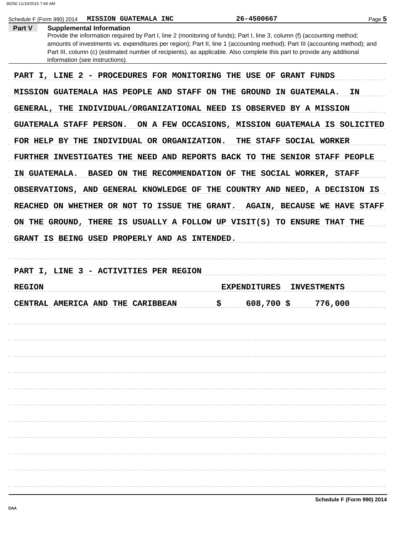|                 | Schedule F (Form 990) 2014<br><b>MISSION GUATEMALA INC</b>                                                                                                                                                                                                                                                                                                                                                                                               | 26-4500667                                              | Page 5                              |
|-----------------|----------------------------------------------------------------------------------------------------------------------------------------------------------------------------------------------------------------------------------------------------------------------------------------------------------------------------------------------------------------------------------------------------------------------------------------------------------|---------------------------------------------------------|-------------------------------------|
| Part V          | <b>Supplemental Information</b><br>Provide the information required by Part I, line 2 (monitoring of funds); Part I, line 3, column (f) (accounting method;<br>amounts of investments vs. expenditures per region); Part II, line 1 (accounting method); Part III (accounting method); and<br>Part III, column (c) (estimated number of recipients), as applicable. Also complete this part to provide any additional<br>information (see instructions). |                                                         |                                     |
|                 | PART I, LINE 2 - PROCEDURES FOR MONITORING THE USE OF GRANT FUNDS                                                                                                                                                                                                                                                                                                                                                                                        |                                                         |                                     |
|                 | MISSION GUATEMALA HAS PEOPLE AND STAFF ON THE GROUND IN GUATEMALA.                                                                                                                                                                                                                                                                                                                                                                                       |                                                         | ΙN                                  |
| <b>GENERAL,</b> | THE INDIVIDUAL/ORGANIZATIONAL NEED IS OBSERVED BY A MISSION                                                                                                                                                                                                                                                                                                                                                                                              |                                                         |                                     |
|                 | GUATEMALA STAFF PERSON.                                                                                                                                                                                                                                                                                                                                                                                                                                  | ON A FEW OCCASIONS, MISSION GUATEMALA IS SOLICITED      |                                     |
|                 | FOR HELP BY THE INDIVIDUAL OR ORGANIZATION.                                                                                                                                                                                                                                                                                                                                                                                                              | THE STAFF SOCIAL WORKER                                 |                                     |
|                 | FURTHER INVESTIGATES THE NEED AND REPORTS BACK TO THE SENIOR STAFF PEOPLE                                                                                                                                                                                                                                                                                                                                                                                |                                                         |                                     |
|                 | IN GUATEMALA.                                                                                                                                                                                                                                                                                                                                                                                                                                            | BASED ON THE RECOMMENDATION OF THE SOCIAL WORKER, STAFF |                                     |
|                 | OBSERVATIONS, AND GENERAL KNOWLEDGE OF THE COUNTRY AND NEED, A DECISION IS                                                                                                                                                                                                                                                                                                                                                                               |                                                         |                                     |
|                 | REACHED ON WHETHER OR NOT TO ISSUE THE GRANT.                                                                                                                                                                                                                                                                                                                                                                                                            |                                                         | <b>AGAIN, BECAUSE WE HAVE STAFF</b> |
|                 | ON THE GROUND, THERE IS USUALLY A FOLLOW UP VISIT(S) TO ENSURE THAT THE                                                                                                                                                                                                                                                                                                                                                                                  |                                                         |                                     |
|                 | GRANT IS BEING USED PROPERLY AND AS INTENDED.                                                                                                                                                                                                                                                                                                                                                                                                            |                                                         |                                     |
|                 | PART I, LINE 3 - ACTIVITIES PER REGION                                                                                                                                                                                                                                                                                                                                                                                                                   |                                                         |                                     |
| <b>REGION</b>   |                                                                                                                                                                                                                                                                                                                                                                                                                                                          | <b>EXPENDITURES</b>                                     | <b>INVESTMENTS</b>                  |
|                 |                                                                                                                                                                                                                                                                                                                                                                                                                                                          |                                                         |                                     |
|                 | CENTRAL AMERICA AND THE CARIBBEAN                                                                                                                                                                                                                                                                                                                                                                                                                        | \$.<br>$608,700$ \$                                     | 776,000                             |
|                 |                                                                                                                                                                                                                                                                                                                                                                                                                                                          |                                                         |                                     |
|                 |                                                                                                                                                                                                                                                                                                                                                                                                                                                          |                                                         |                                     |
|                 |                                                                                                                                                                                                                                                                                                                                                                                                                                                          |                                                         |                                     |
|                 |                                                                                                                                                                                                                                                                                                                                                                                                                                                          |                                                         |                                     |
|                 |                                                                                                                                                                                                                                                                                                                                                                                                                                                          |                                                         |                                     |
|                 |                                                                                                                                                                                                                                                                                                                                                                                                                                                          |                                                         |                                     |
|                 |                                                                                                                                                                                                                                                                                                                                                                                                                                                          |                                                         |                                     |
|                 |                                                                                                                                                                                                                                                                                                                                                                                                                                                          |                                                         |                                     |
|                 |                                                                                                                                                                                                                                                                                                                                                                                                                                                          |                                                         |                                     |
|                 |                                                                                                                                                                                                                                                                                                                                                                                                                                                          |                                                         |                                     |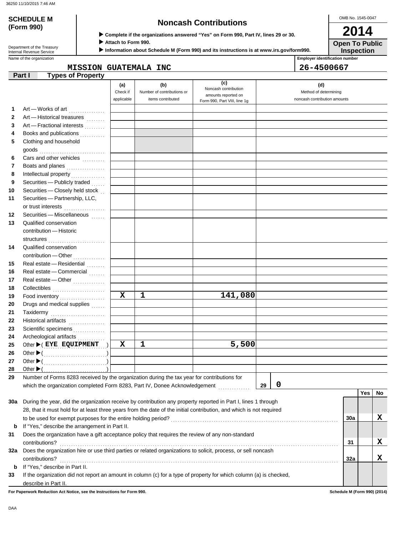| <b>SCHEDULE M</b>                                      | <b>Noncash Contributions</b>                                                                                   | OMB No.                               |
|--------------------------------------------------------|----------------------------------------------------------------------------------------------------------------|---------------------------------------|
| (Form 990)                                             | ▶ Complete if the organizations answered "Yes" on Form 990, Part IV, lines 29 or 30.                           | 20                                    |
| Department of the Treasury<br>Internal Revenue Service | Attach to Form 990.<br>Information about Schedule M (Form 990) and its instructions is at www.irs.gov/form990. | Open T<br><b>Inspe</b>                |
| Name of the organization                               |                                                                                                                | <b>Employer identification number</b> |
|                                                        | GUATEMALA INC<br>MISSION                                                                                       | 26-4500667                            |
| Part I<br><b>Types of Property</b>                     |                                                                                                                |                                       |

OMB No. 1545-0047

**Inspection Open To Public 2014**

| amounts reported on<br>applicable<br>items contributed<br>noncash contribution amounts<br>Form 990, Part VIII, line 1g<br>1<br>Art - Works of art<br>2<br>Art - Historical treasures<br>3<br>Art - Fractional interests<br>Books and publications<br>4<br>.<br>Clothing and household<br>5<br>Cars and other vehicles<br>6<br>.<br>7<br>Boats and planes<br>8<br>Intellectual property<br>Securities - Publicly traded<br>9<br>Securities - Closely held stock<br>Securities - Partnership, LLC,<br>or trust interests<br>.<br>Securities - Miscellaneous<br>Qualified conservation<br>contribution - Historic<br>Qualified conservation<br>contribution — Other<br>Real estate - Residential<br>Real estate - Commercial<br>Real estate - Other<br>$\mathbf x$<br>1<br>141,080<br>Food inventory<br>Drugs and medical supplies<br>Taxidermy<br>Historical artifacts<br>Scientific specimens<br>Archeological artifacts<br>1<br>5,500<br>X<br>Other $\blacktriangleright$ ( EYE EQUIPMENT<br>Other $\blacktriangleright$<br>Number of Forms 8283 received by the organization during the tax year for contributions for<br>$\boldsymbol{0}$<br>which the organization completed Form 8283, Part IV, Donee Acknowledgement<br>29<br>Yes<br>During the year, did the organization receive by contribution any property reported in Part I, lines 1 through<br>28, that it must hold for at least three years from the date of the initial contribution, and which is not required<br>x<br><b>30a</b><br>If "Yes," describe the arrangement in Part II.<br>b<br>Does the organization have a gift acceptance policy that requires the review of any non-standard |  | (a)      | (b)                        | (c)<br>Noncash contribution | (d)                   |  |    |
|---------------------------------------------------------------------------------------------------------------------------------------------------------------------------------------------------------------------------------------------------------------------------------------------------------------------------------------------------------------------------------------------------------------------------------------------------------------------------------------------------------------------------------------------------------------------------------------------------------------------------------------------------------------------------------------------------------------------------------------------------------------------------------------------------------------------------------------------------------------------------------------------------------------------------------------------------------------------------------------------------------------------------------------------------------------------------------------------------------------------------------------------------------------------------------------------------------------------------------------------------------------------------------------------------------------------------------------------------------------------------------------------------------------------------------------------------------------------------------------------------------------------------------------------------------------------------------------------------------------------------------------------------------------|--|----------|----------------------------|-----------------------------|-----------------------|--|----|
|                                                                                                                                                                                                                                                                                                                                                                                                                                                                                                                                                                                                                                                                                                                                                                                                                                                                                                                                                                                                                                                                                                                                                                                                                                                                                                                                                                                                                                                                                                                                                                                                                                                               |  | Check if | Number of contributions or |                             | Method of determining |  |    |
|                                                                                                                                                                                                                                                                                                                                                                                                                                                                                                                                                                                                                                                                                                                                                                                                                                                                                                                                                                                                                                                                                                                                                                                                                                                                                                                                                                                                                                                                                                                                                                                                                                                               |  |          |                            |                             |                       |  |    |
| 10<br>11<br>12<br>13<br>14<br>15<br>16<br>17<br>18<br>19<br>20<br>21<br>22<br>23<br>24<br>25<br>26<br>27<br>28<br>29<br>30a<br>31                                                                                                                                                                                                                                                                                                                                                                                                                                                                                                                                                                                                                                                                                                                                                                                                                                                                                                                                                                                                                                                                                                                                                                                                                                                                                                                                                                                                                                                                                                                             |  |          |                            |                             |                       |  |    |
|                                                                                                                                                                                                                                                                                                                                                                                                                                                                                                                                                                                                                                                                                                                                                                                                                                                                                                                                                                                                                                                                                                                                                                                                                                                                                                                                                                                                                                                                                                                                                                                                                                                               |  |          |                            |                             |                       |  |    |
|                                                                                                                                                                                                                                                                                                                                                                                                                                                                                                                                                                                                                                                                                                                                                                                                                                                                                                                                                                                                                                                                                                                                                                                                                                                                                                                                                                                                                                                                                                                                                                                                                                                               |  |          |                            |                             |                       |  |    |
|                                                                                                                                                                                                                                                                                                                                                                                                                                                                                                                                                                                                                                                                                                                                                                                                                                                                                                                                                                                                                                                                                                                                                                                                                                                                                                                                                                                                                                                                                                                                                                                                                                                               |  |          |                            |                             |                       |  |    |
|                                                                                                                                                                                                                                                                                                                                                                                                                                                                                                                                                                                                                                                                                                                                                                                                                                                                                                                                                                                                                                                                                                                                                                                                                                                                                                                                                                                                                                                                                                                                                                                                                                                               |  |          |                            |                             |                       |  |    |
|                                                                                                                                                                                                                                                                                                                                                                                                                                                                                                                                                                                                                                                                                                                                                                                                                                                                                                                                                                                                                                                                                                                                                                                                                                                                                                                                                                                                                                                                                                                                                                                                                                                               |  |          |                            |                             |                       |  |    |
|                                                                                                                                                                                                                                                                                                                                                                                                                                                                                                                                                                                                                                                                                                                                                                                                                                                                                                                                                                                                                                                                                                                                                                                                                                                                                                                                                                                                                                                                                                                                                                                                                                                               |  |          |                            |                             |                       |  |    |
|                                                                                                                                                                                                                                                                                                                                                                                                                                                                                                                                                                                                                                                                                                                                                                                                                                                                                                                                                                                                                                                                                                                                                                                                                                                                                                                                                                                                                                                                                                                                                                                                                                                               |  |          |                            |                             |                       |  |    |
|                                                                                                                                                                                                                                                                                                                                                                                                                                                                                                                                                                                                                                                                                                                                                                                                                                                                                                                                                                                                                                                                                                                                                                                                                                                                                                                                                                                                                                                                                                                                                                                                                                                               |  |          |                            |                             |                       |  |    |
|                                                                                                                                                                                                                                                                                                                                                                                                                                                                                                                                                                                                                                                                                                                                                                                                                                                                                                                                                                                                                                                                                                                                                                                                                                                                                                                                                                                                                                                                                                                                                                                                                                                               |  |          |                            |                             |                       |  |    |
|                                                                                                                                                                                                                                                                                                                                                                                                                                                                                                                                                                                                                                                                                                                                                                                                                                                                                                                                                                                                                                                                                                                                                                                                                                                                                                                                                                                                                                                                                                                                                                                                                                                               |  |          |                            |                             |                       |  |    |
|                                                                                                                                                                                                                                                                                                                                                                                                                                                                                                                                                                                                                                                                                                                                                                                                                                                                                                                                                                                                                                                                                                                                                                                                                                                                                                                                                                                                                                                                                                                                                                                                                                                               |  |          |                            |                             |                       |  |    |
|                                                                                                                                                                                                                                                                                                                                                                                                                                                                                                                                                                                                                                                                                                                                                                                                                                                                                                                                                                                                                                                                                                                                                                                                                                                                                                                                                                                                                                                                                                                                                                                                                                                               |  |          |                            |                             |                       |  |    |
|                                                                                                                                                                                                                                                                                                                                                                                                                                                                                                                                                                                                                                                                                                                                                                                                                                                                                                                                                                                                                                                                                                                                                                                                                                                                                                                                                                                                                                                                                                                                                                                                                                                               |  |          |                            |                             |                       |  |    |
|                                                                                                                                                                                                                                                                                                                                                                                                                                                                                                                                                                                                                                                                                                                                                                                                                                                                                                                                                                                                                                                                                                                                                                                                                                                                                                                                                                                                                                                                                                                                                                                                                                                               |  |          |                            |                             |                       |  |    |
|                                                                                                                                                                                                                                                                                                                                                                                                                                                                                                                                                                                                                                                                                                                                                                                                                                                                                                                                                                                                                                                                                                                                                                                                                                                                                                                                                                                                                                                                                                                                                                                                                                                               |  |          |                            |                             |                       |  |    |
|                                                                                                                                                                                                                                                                                                                                                                                                                                                                                                                                                                                                                                                                                                                                                                                                                                                                                                                                                                                                                                                                                                                                                                                                                                                                                                                                                                                                                                                                                                                                                                                                                                                               |  |          |                            |                             |                       |  |    |
|                                                                                                                                                                                                                                                                                                                                                                                                                                                                                                                                                                                                                                                                                                                                                                                                                                                                                                                                                                                                                                                                                                                                                                                                                                                                                                                                                                                                                                                                                                                                                                                                                                                               |  |          |                            |                             |                       |  |    |
|                                                                                                                                                                                                                                                                                                                                                                                                                                                                                                                                                                                                                                                                                                                                                                                                                                                                                                                                                                                                                                                                                                                                                                                                                                                                                                                                                                                                                                                                                                                                                                                                                                                               |  |          |                            |                             |                       |  |    |
|                                                                                                                                                                                                                                                                                                                                                                                                                                                                                                                                                                                                                                                                                                                                                                                                                                                                                                                                                                                                                                                                                                                                                                                                                                                                                                                                                                                                                                                                                                                                                                                                                                                               |  |          |                            |                             |                       |  |    |
|                                                                                                                                                                                                                                                                                                                                                                                                                                                                                                                                                                                                                                                                                                                                                                                                                                                                                                                                                                                                                                                                                                                                                                                                                                                                                                                                                                                                                                                                                                                                                                                                                                                               |  |          |                            |                             |                       |  |    |
|                                                                                                                                                                                                                                                                                                                                                                                                                                                                                                                                                                                                                                                                                                                                                                                                                                                                                                                                                                                                                                                                                                                                                                                                                                                                                                                                                                                                                                                                                                                                                                                                                                                               |  |          |                            |                             |                       |  |    |
|                                                                                                                                                                                                                                                                                                                                                                                                                                                                                                                                                                                                                                                                                                                                                                                                                                                                                                                                                                                                                                                                                                                                                                                                                                                                                                                                                                                                                                                                                                                                                                                                                                                               |  |          |                            |                             |                       |  |    |
|                                                                                                                                                                                                                                                                                                                                                                                                                                                                                                                                                                                                                                                                                                                                                                                                                                                                                                                                                                                                                                                                                                                                                                                                                                                                                                                                                                                                                                                                                                                                                                                                                                                               |  |          |                            |                             |                       |  |    |
|                                                                                                                                                                                                                                                                                                                                                                                                                                                                                                                                                                                                                                                                                                                                                                                                                                                                                                                                                                                                                                                                                                                                                                                                                                                                                                                                                                                                                                                                                                                                                                                                                                                               |  |          |                            |                             |                       |  |    |
|                                                                                                                                                                                                                                                                                                                                                                                                                                                                                                                                                                                                                                                                                                                                                                                                                                                                                                                                                                                                                                                                                                                                                                                                                                                                                                                                                                                                                                                                                                                                                                                                                                                               |  |          |                            |                             |                       |  |    |
|                                                                                                                                                                                                                                                                                                                                                                                                                                                                                                                                                                                                                                                                                                                                                                                                                                                                                                                                                                                                                                                                                                                                                                                                                                                                                                                                                                                                                                                                                                                                                                                                                                                               |  |          |                            |                             |                       |  |    |
|                                                                                                                                                                                                                                                                                                                                                                                                                                                                                                                                                                                                                                                                                                                                                                                                                                                                                                                                                                                                                                                                                                                                                                                                                                                                                                                                                                                                                                                                                                                                                                                                                                                               |  |          |                            |                             |                       |  |    |
|                                                                                                                                                                                                                                                                                                                                                                                                                                                                                                                                                                                                                                                                                                                                                                                                                                                                                                                                                                                                                                                                                                                                                                                                                                                                                                                                                                                                                                                                                                                                                                                                                                                               |  |          |                            |                             |                       |  |    |
|                                                                                                                                                                                                                                                                                                                                                                                                                                                                                                                                                                                                                                                                                                                                                                                                                                                                                                                                                                                                                                                                                                                                                                                                                                                                                                                                                                                                                                                                                                                                                                                                                                                               |  |          |                            |                             |                       |  |    |
|                                                                                                                                                                                                                                                                                                                                                                                                                                                                                                                                                                                                                                                                                                                                                                                                                                                                                                                                                                                                                                                                                                                                                                                                                                                                                                                                                                                                                                                                                                                                                                                                                                                               |  |          |                            |                             |                       |  |    |
|                                                                                                                                                                                                                                                                                                                                                                                                                                                                                                                                                                                                                                                                                                                                                                                                                                                                                                                                                                                                                                                                                                                                                                                                                                                                                                                                                                                                                                                                                                                                                                                                                                                               |  |          |                            |                             |                       |  |    |
|                                                                                                                                                                                                                                                                                                                                                                                                                                                                                                                                                                                                                                                                                                                                                                                                                                                                                                                                                                                                                                                                                                                                                                                                                                                                                                                                                                                                                                                                                                                                                                                                                                                               |  |          |                            |                             |                       |  |    |
|                                                                                                                                                                                                                                                                                                                                                                                                                                                                                                                                                                                                                                                                                                                                                                                                                                                                                                                                                                                                                                                                                                                                                                                                                                                                                                                                                                                                                                                                                                                                                                                                                                                               |  |          |                            |                             |                       |  |    |
|                                                                                                                                                                                                                                                                                                                                                                                                                                                                                                                                                                                                                                                                                                                                                                                                                                                                                                                                                                                                                                                                                                                                                                                                                                                                                                                                                                                                                                                                                                                                                                                                                                                               |  |          |                            |                             |                       |  |    |
|                                                                                                                                                                                                                                                                                                                                                                                                                                                                                                                                                                                                                                                                                                                                                                                                                                                                                                                                                                                                                                                                                                                                                                                                                                                                                                                                                                                                                                                                                                                                                                                                                                                               |  |          |                            |                             |                       |  | No |
|                                                                                                                                                                                                                                                                                                                                                                                                                                                                                                                                                                                                                                                                                                                                                                                                                                                                                                                                                                                                                                                                                                                                                                                                                                                                                                                                                                                                                                                                                                                                                                                                                                                               |  |          |                            |                             |                       |  |    |
|                                                                                                                                                                                                                                                                                                                                                                                                                                                                                                                                                                                                                                                                                                                                                                                                                                                                                                                                                                                                                                                                                                                                                                                                                                                                                                                                                                                                                                                                                                                                                                                                                                                               |  |          |                            |                             |                       |  |    |
|                                                                                                                                                                                                                                                                                                                                                                                                                                                                                                                                                                                                                                                                                                                                                                                                                                                                                                                                                                                                                                                                                                                                                                                                                                                                                                                                                                                                                                                                                                                                                                                                                                                               |  |          |                            |                             |                       |  |    |
|                                                                                                                                                                                                                                                                                                                                                                                                                                                                                                                                                                                                                                                                                                                                                                                                                                                                                                                                                                                                                                                                                                                                                                                                                                                                                                                                                                                                                                                                                                                                                                                                                                                               |  |          |                            |                             |                       |  |    |
|                                                                                                                                                                                                                                                                                                                                                                                                                                                                                                                                                                                                                                                                                                                                                                                                                                                                                                                                                                                                                                                                                                                                                                                                                                                                                                                                                                                                                                                                                                                                                                                                                                                               |  |          |                            |                             |                       |  |    |
| X<br>contributions?<br>31                                                                                                                                                                                                                                                                                                                                                                                                                                                                                                                                                                                                                                                                                                                                                                                                                                                                                                                                                                                                                                                                                                                                                                                                                                                                                                                                                                                                                                                                                                                                                                                                                                     |  |          |                            |                             |                       |  |    |
| Does the organization hire or use third parties or related organizations to solicit, process, or sell noncash<br>32a                                                                                                                                                                                                                                                                                                                                                                                                                                                                                                                                                                                                                                                                                                                                                                                                                                                                                                                                                                                                                                                                                                                                                                                                                                                                                                                                                                                                                                                                                                                                          |  |          |                            |                             |                       |  |    |
| x<br>32a                                                                                                                                                                                                                                                                                                                                                                                                                                                                                                                                                                                                                                                                                                                                                                                                                                                                                                                                                                                                                                                                                                                                                                                                                                                                                                                                                                                                                                                                                                                                                                                                                                                      |  |          |                            |                             |                       |  |    |
| contributions?<br>If "Yes," describe in Part II.                                                                                                                                                                                                                                                                                                                                                                                                                                                                                                                                                                                                                                                                                                                                                                                                                                                                                                                                                                                                                                                                                                                                                                                                                                                                                                                                                                                                                                                                                                                                                                                                              |  |          |                            |                             |                       |  |    |
| b<br>If the organization did not report an amount in column (c) for a type of property for which column (a) is checked,                                                                                                                                                                                                                                                                                                                                                                                                                                                                                                                                                                                                                                                                                                                                                                                                                                                                                                                                                                                                                                                                                                                                                                                                                                                                                                                                                                                                                                                                                                                                       |  |          |                            |                             |                       |  |    |
| 33<br>describe in Part II.                                                                                                                                                                                                                                                                                                                                                                                                                                                                                                                                                                                                                                                                                                                                                                                                                                                                                                                                                                                                                                                                                                                                                                                                                                                                                                                                                                                                                                                                                                                                                                                                                                    |  |          |                            |                             |                       |  |    |

**For Paperwork Reduction Act Notice, see the Instructions for Form 990. Schedule M (Form 990) (2014)**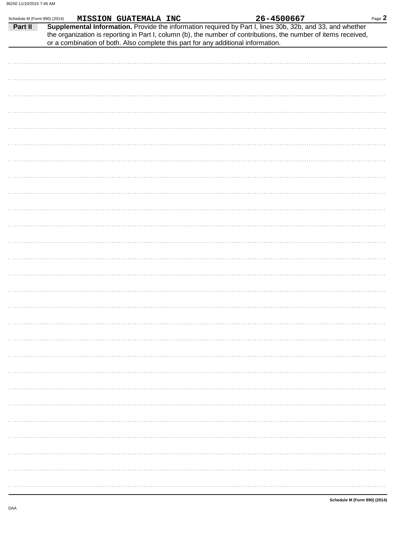$\ddot{\phantom{a}}$ 

 $\ddot{\phantom{a}}$ 

| Schedule M (Form 990) (2014) |  | <b>MISSION GUATEMALA INC</b> |  |                                                                                   | 26-4500667                                                                                                                                                                                                                   | Page 2 |
|------------------------------|--|------------------------------|--|-----------------------------------------------------------------------------------|------------------------------------------------------------------------------------------------------------------------------------------------------------------------------------------------------------------------------|--------|
| Part II                      |  |                              |  | or a combination of both. Also complete this part for any additional information. | Supplemental Information. Provide the information required by Part I, lines 30b, 32b, and 33, and whether<br>the organization is reporting in Part I, column (b), the number of contributions, the number of items received, |        |
|                              |  |                              |  |                                                                                   |                                                                                                                                                                                                                              |        |
|                              |  |                              |  |                                                                                   |                                                                                                                                                                                                                              |        |
|                              |  |                              |  |                                                                                   |                                                                                                                                                                                                                              |        |
|                              |  |                              |  |                                                                                   |                                                                                                                                                                                                                              |        |
|                              |  |                              |  |                                                                                   |                                                                                                                                                                                                                              |        |
|                              |  |                              |  |                                                                                   |                                                                                                                                                                                                                              |        |
|                              |  |                              |  |                                                                                   |                                                                                                                                                                                                                              |        |
|                              |  |                              |  |                                                                                   |                                                                                                                                                                                                                              |        |
|                              |  |                              |  |                                                                                   |                                                                                                                                                                                                                              |        |
|                              |  |                              |  |                                                                                   |                                                                                                                                                                                                                              |        |

| . |
|---|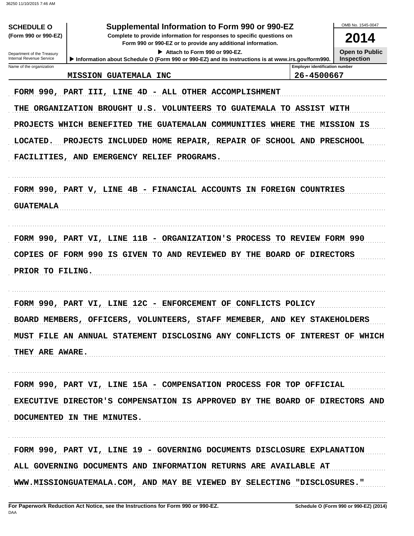| <b>SCHEDULE O</b><br>(Form 990 or 990-EZ)<br>Department of the Treasury | Supplemental Information to Form 990 or 990-EZ<br>Complete to provide information for responses to specific questions on<br>Form 990 or 990-EZ or to provide any additional information.<br>Attach to Form 990 or 990-EZ.                                                                                                                                                                                                                                    |                                       | OMB No. 1545-0047<br>2014<br><b>Open to Public</b> |
|-------------------------------------------------------------------------|--------------------------------------------------------------------------------------------------------------------------------------------------------------------------------------------------------------------------------------------------------------------------------------------------------------------------------------------------------------------------------------------------------------------------------------------------------------|---------------------------------------|----------------------------------------------------|
| Internal Revenue Service<br>Name of the organization                    | Information about Schedule O (Form 990 or 990-EZ) and its instructions is at www.irs.gov/form990.                                                                                                                                                                                                                                                                                                                                                            | <b>Employer identification number</b> | <b>Inspection</b>                                  |
|                                                                         | <b>MISSION GUATEMALA INC</b>                                                                                                                                                                                                                                                                                                                                                                                                                                 | 26-4500667                            |                                                    |
| LOCATED.<br><b>GUATEMALA</b>                                            | FORM 990, PART III, LINE 4D - ALL OTHER ACCOMPLISHMENT<br>THE ORGANIZATION BROUGHT U.S. VOLUNTEERS TO GUATEMALA TO ASSIST WITH<br>PROJECTS WHICH BENEFITED THE GUATEMALAN COMMUNITIES WHERE<br>PROJECTS INCLUDED HOME REPAIR, REPAIR OF SCHOOL AND PRESCHOOL<br>FACILITIES, AND EMERGENCY RELIEF PROGRAMS.<br>FORM 990, PART V, LINE 4B - FINANCIAL ACCOUNTS IN FOREIGN COUNTRIES<br>FORM 990, PART VI, LINE 11B - ORGANIZATION'S PROCESS TO REVIEW FORM 990 | THE MISSION IS                        |                                                    |
| PRIOR TO FILING.                                                        | COPIES OF FORM 990 IS GIVEN TO AND REVIEWED BY THE BOARD OF DIRECTORS                                                                                                                                                                                                                                                                                                                                                                                        |                                       |                                                    |
|                                                                         | FORM 990, PART VI, LINE 12C - ENFORCEMENT OF CONFLICTS POLICY                                                                                                                                                                                                                                                                                                                                                                                                |                                       |                                                    |
|                                                                         | BOARD MEMBERS, OFFICERS, VOLUNTEERS, STAFF MEMEBER, AND KEY STAKEHOLDERS                                                                                                                                                                                                                                                                                                                                                                                     |                                       |                                                    |
| THEY ARE AWARE.                                                         | MUST FILE AN ANNUAL STATEMENT DISCLOSING ANY CONFLICTS OF INTEREST OF WHICH                                                                                                                                                                                                                                                                                                                                                                                  |                                       |                                                    |
|                                                                         | FORM 990, PART VI, LINE 15A - COMPENSATION PROCESS FOR TOP OFFICIAL<br>EXECUTIVE DIRECTOR'S COMPENSATION IS APPROVED BY THE BOARD OF DIRECTORS AND<br>DOCUMENTED IN THE MINUTES.                                                                                                                                                                                                                                                                             |                                       |                                                    |
|                                                                         | FORM 990, PART VI, LINE 19 - GOVERNING DOCUMENTS DISCLOSURE EXPLANATION<br>ALL GOVERNING DOCUMENTS AND INFORMATION RETURNS ARE AVAILABLE AT<br>WWW.MISSIONGUATEMALA.COM, AND MAY BE VIEWED BY SELECTING "DISCLOSURES."                                                                                                                                                                                                                                       |                                       |                                                    |